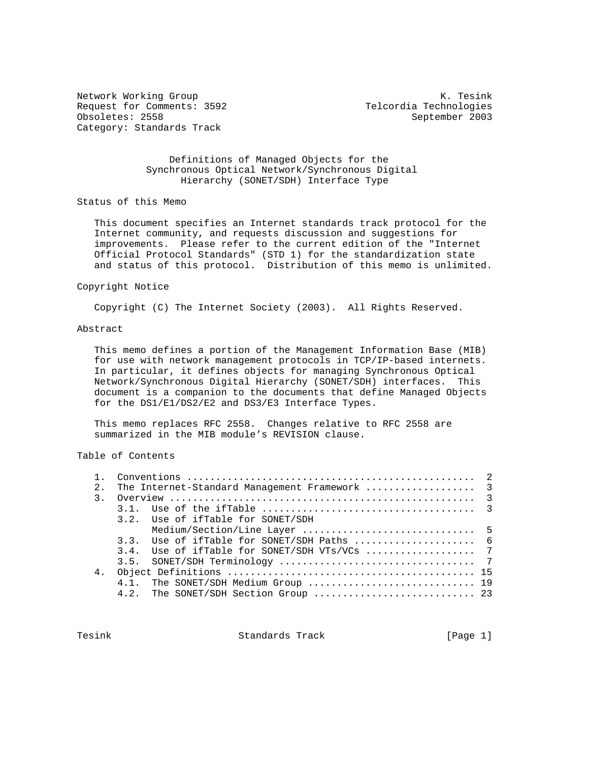Network Working Group Network Working Group Network Working Group Request for Comments: 3592 Telcordia Technologies Obsoletes: 2558 September 2003 Category: Standards Track

### Definitions of Managed Objects for the Synchronous Optical Network/Synchronous Digital Hierarchy (SONET/SDH) Interface Type

Status of this Memo

 This document specifies an Internet standards track protocol for the Internet community, and requests discussion and suggestions for improvements. Please refer to the current edition of the "Internet Official Protocol Standards" (STD 1) for the standardization state and status of this protocol. Distribution of this memo is unlimited.

#### Copyright Notice

Copyright (C) The Internet Society (2003). All Rights Reserved.

## Abstract

 This memo defines a portion of the Management Information Base (MIB) for use with network management protocols in TCP/IP-based internets. In particular, it defines objects for managing Synchronous Optical Network/Synchronous Digital Hierarchy (SONET/SDH) interfaces. This document is a companion to the documents that define Managed Objects for the DS1/E1/DS2/E2 and DS3/E3 Interface Types.

 This memo replaces RFC 2558. Changes relative to RFC 2558 are summarized in the MIB module's REVISION clause.

# Table of Contents

| 2.1            | The Internet-Standard Management Framework  3                                        |  |
|----------------|--------------------------------------------------------------------------------------|--|
| $\mathcal{R}$  |                                                                                      |  |
|                |                                                                                      |  |
|                | 3.2. Use of ifTable for SONET/SDH                                                    |  |
|                |                                                                                      |  |
|                | 3.3. Use of if Table for SONET/SDH Paths $\ldots, \ldots, \ldots, \ldots, \ldots,$ 6 |  |
|                |                                                                                      |  |
|                |                                                                                      |  |
| 4 <sub>1</sub> |                                                                                      |  |
|                | 4.1. The SONET/SDH Medium Group  19                                                  |  |
|                | 4.2. The SONET/SDH Section Group  23                                                 |  |
|                |                                                                                      |  |

Tesink **Standards Track** [Page 1]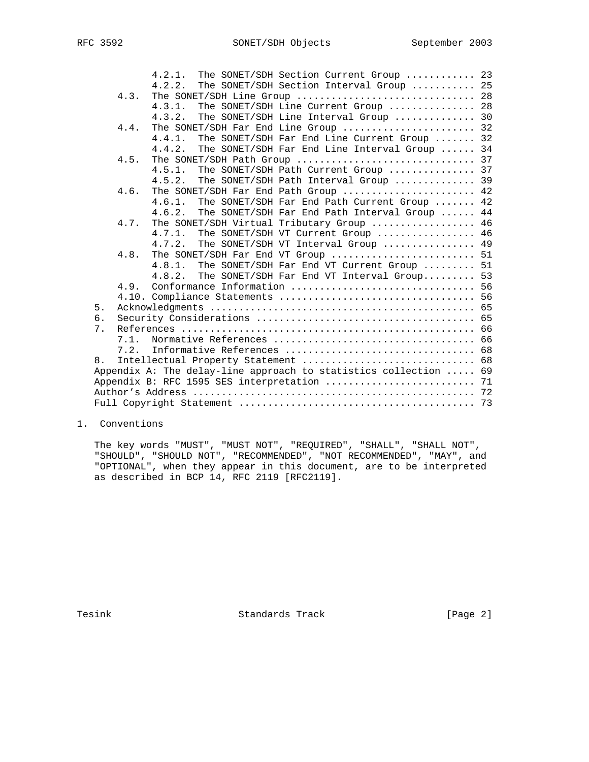|    |      | $4.2.1$ .<br>The SONET/SDH Section Current Group  23             |  |
|----|------|------------------------------------------------------------------|--|
|    |      | The SONET/SDH Section Interval Group  25<br>4.2.2.               |  |
|    | 4.3. | The SONET/SDH Line Group  28                                     |  |
|    |      | The SONET/SDH Line Current Group  28<br>4.3.1.                   |  |
|    |      | The SONET/SDH Line Interval Group  30<br>4.3.2.                  |  |
|    | 4.4. | The SONET/SDH Far End Line Group  32                             |  |
|    |      | The SONET/SDH Far End Line Current Group  32<br>4.4.1            |  |
|    |      | The SONET/SDH Far End Line Interval Group  34<br>4.4.2.          |  |
|    | 4.5. |                                                                  |  |
|    |      | The SONET/SDH Path Current Group  37<br>4.5.1.                   |  |
|    |      | The SONET/SDH Path Interval Group  39<br>4.5.2.                  |  |
|    | 4.6. | The SONET/SDH Far End Path Group  42                             |  |
|    |      | The SONET/SDH Far End Path Current Group  42<br>4.6.1.           |  |
|    |      | The SONET/SDH Far End Path Interval Group  44<br>4.6.2.          |  |
|    | 4.7. | The SONET/SDH Virtual Tributary Group  46                        |  |
|    |      | $4.7.1$ .<br>The SONET/SDH VT Current Group  46                  |  |
|    |      | The SONET/SDH VT Interval Group  49<br>4.7.2.                    |  |
|    | 4.8. | The SONET/SDH Far End VT Group  51                               |  |
|    |      | The SONET/SDH Far End VT Current Group  51<br>4.8.1.             |  |
|    |      | The SONET/SDH Far End VT Interval Group 53<br>4.8.2.             |  |
|    | 4.9. |                                                                  |  |
|    |      |                                                                  |  |
| 5. |      |                                                                  |  |
| 6. |      |                                                                  |  |
| 7. |      |                                                                  |  |
|    | 7.1. |                                                                  |  |
|    | 7.2. |                                                                  |  |
| 8. |      |                                                                  |  |
|    |      | Appendix A: The delay-line approach to statistics collection  69 |  |
|    |      | Appendix B: RFC 1595 SES interpretation  71                      |  |
|    |      |                                                                  |  |
|    |      |                                                                  |  |

### 1. Conventions

 The key words "MUST", "MUST NOT", "REQUIRED", "SHALL", "SHALL NOT", "SHOULD", "SHOULD NOT", "RECOMMENDED", "NOT RECOMMENDED", "MAY", and "OPTIONAL", when they appear in this document, are to be interpreted as described in BCP 14, RFC 2119 [RFC2119].

Tesink **Standards Track** [Page 2]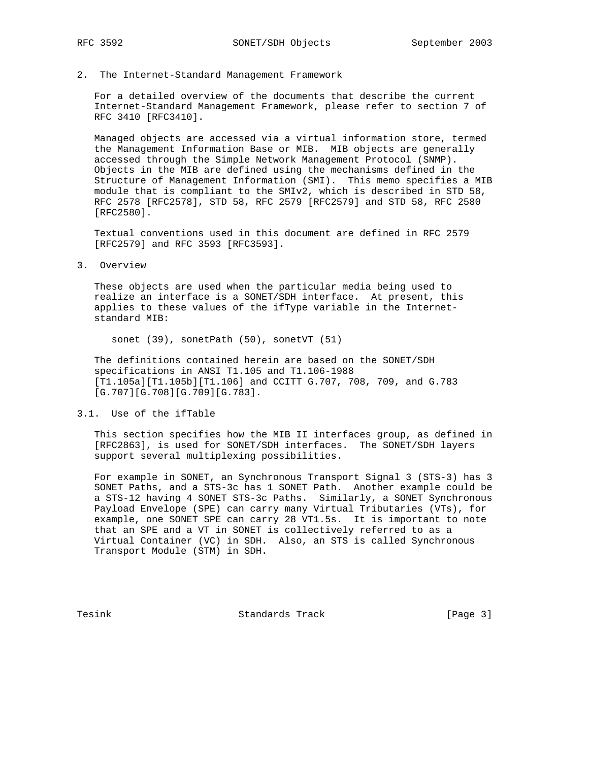2. The Internet-Standard Management Framework

 For a detailed overview of the documents that describe the current Internet-Standard Management Framework, please refer to section 7 of RFC 3410 [RFC3410].

 Managed objects are accessed via a virtual information store, termed the Management Information Base or MIB. MIB objects are generally accessed through the Simple Network Management Protocol (SNMP). Objects in the MIB are defined using the mechanisms defined in the Structure of Management Information (SMI). This memo specifies a MIB module that is compliant to the SMIv2, which is described in STD 58, RFC 2578 [RFC2578], STD 58, RFC 2579 [RFC2579] and STD 58, RFC 2580 [RFC2580].

 Textual conventions used in this document are defined in RFC 2579 [RFC2579] and RFC 3593 [RFC3593].

3. Overview

 These objects are used when the particular media being used to realize an interface is a SONET/SDH interface. At present, this applies to these values of the ifType variable in the Internet standard MIB:

sonet (39), sonetPath (50), sonetVT (51)

 The definitions contained herein are based on the SONET/SDH specifications in ANSI T1.105 and T1.106-1988 [T1.105a][T1.105b][T1.106] and CCITT G.707, 708, 709, and G.783 [G.707][G.708][G.709][G.783].

3.1. Use of the ifTable

 This section specifies how the MIB II interfaces group, as defined in [RFC2863], is used for SONET/SDH interfaces. The SONET/SDH layers support several multiplexing possibilities.

 For example in SONET, an Synchronous Transport Signal 3 (STS-3) has 3 SONET Paths, and a STS-3c has 1 SONET Path. Another example could be a STS-12 having 4 SONET STS-3c Paths. Similarly, a SONET Synchronous Payload Envelope (SPE) can carry many Virtual Tributaries (VTs), for example, one SONET SPE can carry 28 VT1.5s. It is important to note that an SPE and a VT in SONET is collectively referred to as a Virtual Container (VC) in SDH. Also, an STS is called Synchronous Transport Module (STM) in SDH.

Tesink **Standards Track** [Page 3]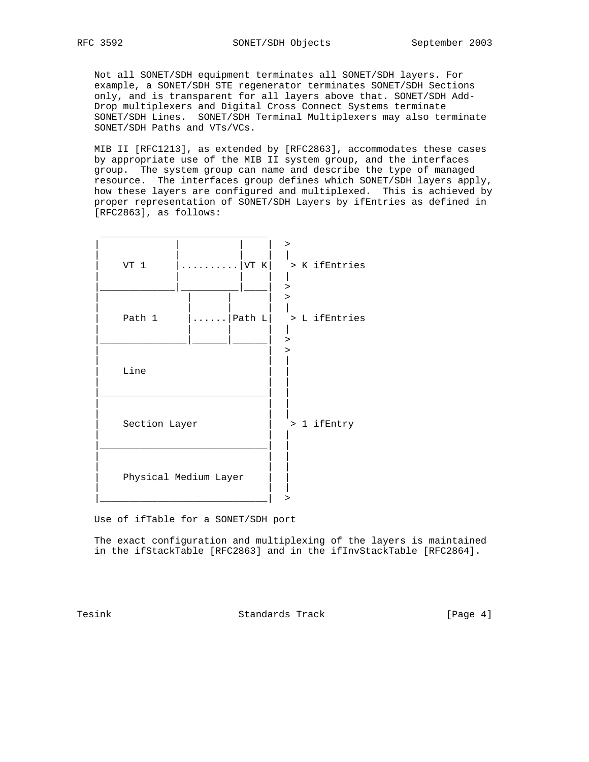Not all SONET/SDH equipment terminates all SONET/SDH layers. For example, a SONET/SDH STE regenerator terminates SONET/SDH Sections only, and is transparent for all layers above that. SONET/SDH Add- Drop multiplexers and Digital Cross Connect Systems terminate SONET/SDH Lines. SONET/SDH Terminal Multiplexers may also terminate SONET/SDH Paths and VTs/VCs.

 MIB II [RFC1213], as extended by [RFC2863], accommodates these cases by appropriate use of the MIB II system group, and the interfaces group. The system group can name and describe the type of managed resource. The interfaces group defines which SONET/SDH layers apply, how these layers are configured and multiplexed. This is achieved by proper representation of SONET/SDH Layers by ifEntries as defined in [RFC2863], as follows:

| VT K<br>VT 1<br>.             | ><br>> K ifEntries |
|-------------------------------|--------------------|
| Path 1<br>$\ldots$   Path $L$ | ><br>> L ifEntries |
| Line                          |                    |
| Section Layer                 | > 1 ifEntry        |
| Physical Medium Layer         |                    |
|                               |                    |

Use of ifTable for a SONET/SDH port

 The exact configuration and multiplexing of the layers is maintained in the ifStackTable [RFC2863] and in the ifInvStackTable [RFC2864].

Tesink **Standards Track** [Page 4]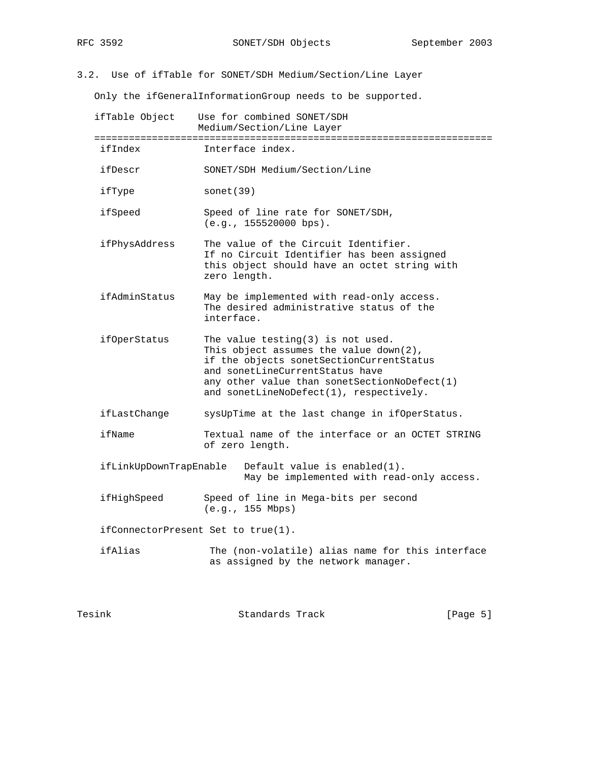3.2. Use of ifTable for SONET/SDH Medium/Section/Line Layer

Only the ifGeneralInformationGroup needs to be supported.

| ifTable Object                     | Use for combined SONET/SDH<br>Medium/Section/Line Layer                                                                                                                                                                                                     |
|------------------------------------|-------------------------------------------------------------------------------------------------------------------------------------------------------------------------------------------------------------------------------------------------------------|
| ifIndex                            | Interface index.                                                                                                                                                                                                                                            |
| ifDescr                            | SONET/SDH Medium/Section/Line                                                                                                                                                                                                                               |
| ifType                             | sonet(39)                                                                                                                                                                                                                                                   |
| ifSpeed                            | Speed of line rate for SONET/SDH,<br>(e.g., 155520000 bps).                                                                                                                                                                                                 |
| ifPhysAddress                      | The value of the Circuit Identifier.<br>If no Circuit Identifier has been assigned<br>this object should have an octet string with<br>zero length.                                                                                                          |
| ifAdminStatus                      | May be implemented with read-only access.<br>The desired administrative status of the<br>interface.                                                                                                                                                         |
| ifOperStatus                       | The value testing $(3)$ is not used.<br>This object assumes the value $down(2)$ ,<br>if the objects sonetSectionCurrentStatus<br>and sonetLineCurrentStatus have<br>any other value than sonetSectionNoDefect(1)<br>and sonetLineNoDefect(1), respectively. |
| ifLastChange                       | sysUpTime at the last change in ifOperStatus.                                                                                                                                                                                                               |
| ifName                             | Textual name of the interface or an OCTET STRING<br>of zero length.                                                                                                                                                                                         |
| ifLinkUpDownTrapEnable             | Default value is enabled $(1)$ .<br>May be implemented with read-only access.                                                                                                                                                                               |
| ifHighSpeed                        | Speed of line in Mega-bits per second<br>(e.g., 155 Mbps)                                                                                                                                                                                                   |
| ifConnectorPresent Set to true(1). |                                                                                                                                                                                                                                                             |
| ifAlias                            | The (non-volatile) alias name for this interface<br>as assigned by the network manager.                                                                                                                                                                     |
|                                    |                                                                                                                                                                                                                                                             |

Tesink **Standards Track** [Page 5]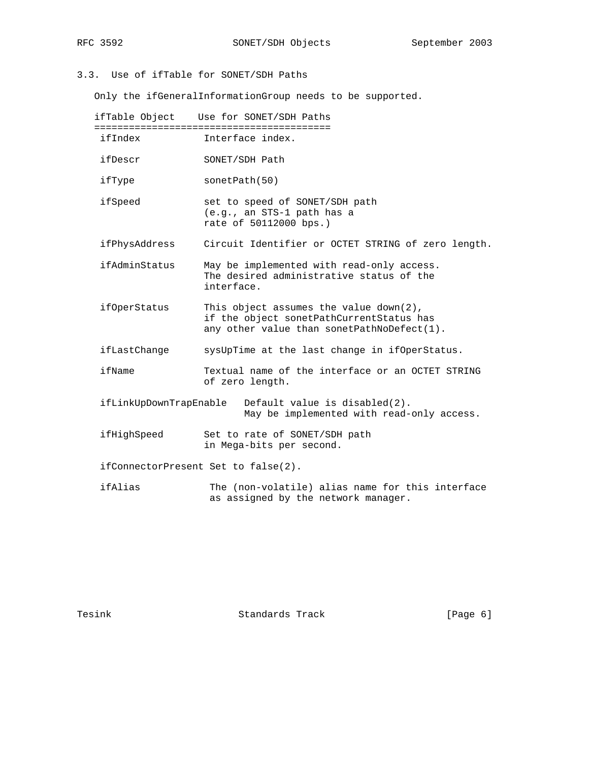# 3.3. Use of ifTable for SONET/SDH Paths

Only the ifGeneralInformationGroup needs to be supported.

| ifTable Object         | Use for SONET/SDH Paths                                                                                                             |
|------------------------|-------------------------------------------------------------------------------------------------------------------------------------|
| ifIndex                | Interface index.                                                                                                                    |
| ifDescr                | SONET/SDH Path                                                                                                                      |
| ifType                 | sonetPath(50)                                                                                                                       |
| ifSpeed                | set to speed of SONET/SDH path<br>(e.g., an STS-1 path has a<br>rate of 50112000 bps.)                                              |
| ifPhysAddress          | Circuit Identifier or OCTET STRING of zero length.                                                                                  |
| ifAdminStatus          | May be implemented with read-only access.<br>The desired administrative status of the<br>interface.                                 |
| ifOperStatus           | This object assumes the value $down(2)$ ,<br>if the object sonetPathCurrentStatus has<br>any other value than sonetPathNoDefect(1). |
| ifLastChange           | sysUpTime at the last change in ifOperStatus.                                                                                       |
| ifName                 | Textual name of the interface or an OCTET STRING<br>of zero length.                                                                 |
| ifLinkUpDownTrapEnable | Default value is disabled(2).<br>May be implemented with read-only access.                                                          |
| ifHighSpeed            | Set to rate of SONET/SDH path<br>in Mega-bits per second.                                                                           |
|                        | ifConnectorPresent Set to false(2).                                                                                                 |
| ifAlias                | The (non-volatile) alias name for this interface<br>as assigned by the network manager.                                             |

Tesink **Standards Track** [Page 6]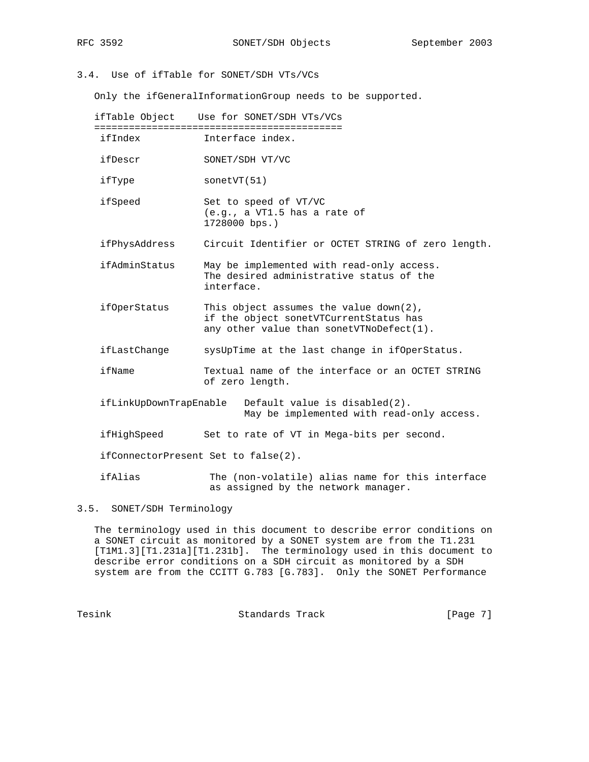# 3.4. Use of ifTable for SONET/SDH VTs/VCs

Only the ifGeneralInformationGroup needs to be supported.

 ifTable Object Use for SONET/SDH VTs/VCs =========================================== ifIndex Interface index. ifDescr SONET/SDH VT/VC ifType sonetVT(51) ifSpeed Set to speed of VT/VC (e.g., a VT1.5 has a rate of 1728000 bps.) ifPhysAddress Circuit Identifier or OCTET STRING of zero length. ifAdminStatus May be implemented with read-only access. The desired administrative status of the interface. ifOperStatus This object assumes the value down(2), if the object sonetVTCurrentStatus has any other value than sonetVTNoDefect(1). ifLastChange sysUpTime at the last change in ifOperStatus. ifName Textual name of the interface or an OCTET STRING of zero length. ifLinkUpDownTrapEnable Default value is disabled(2). May be implemented with read-only access. ifHighSpeed Set to rate of VT in Mega-bits per second. ifConnectorPresent Set to false(2). ifAlias The (non-volatile) alias name for this interface

3.5. SONET/SDH Terminology

 The terminology used in this document to describe error conditions on a SONET circuit as monitored by a SONET system are from the T1.231 [T1M1.3][T1.231a][T1.231b]. The terminology used in this document to describe error conditions on a SDH circuit as monitored by a SDH system are from the CCITT G.783 [G.783]. Only the SONET Performance

as assigned by the network manager.

Tesink **Standards Track** [Page 7]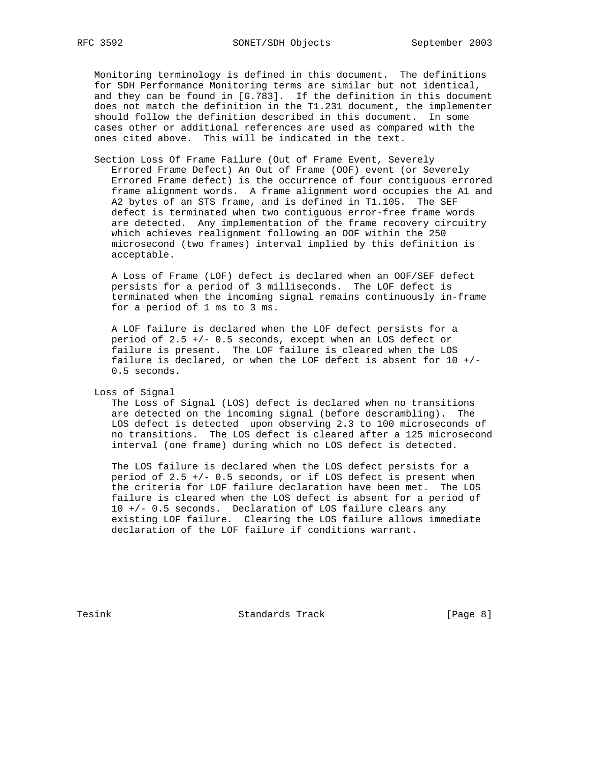Monitoring terminology is defined in this document. The definitions for SDH Performance Monitoring terms are similar but not identical, and they can be found in [G.783]. If the definition in this document does not match the definition in the T1.231 document, the implementer should follow the definition described in this document. In some cases other or additional references are used as compared with the ones cited above. This will be indicated in the text.

 Section Loss Of Frame Failure (Out of Frame Event, Severely Errored Frame Defect) An Out of Frame (OOF) event (or Severely Errored Frame defect) is the occurrence of four contiguous errored frame alignment words. A frame alignment word occupies the A1 and A2 bytes of an STS frame, and is defined in T1.105. The SEF defect is terminated when two contiguous error-free frame words are detected. Any implementation of the frame recovery circuitry which achieves realignment following an OOF within the 250 microsecond (two frames) interval implied by this definition is acceptable.

 A Loss of Frame (LOF) defect is declared when an OOF/SEF defect persists for a period of 3 milliseconds. The LOF defect is terminated when the incoming signal remains continuously in-frame for a period of 1 ms to 3 ms.

 A LOF failure is declared when the LOF defect persists for a period of 2.5 +/- 0.5 seconds, except when an LOS defect or failure is present. The LOF failure is cleared when the LOS failure is declared, or when the LOF defect is absent for 10 +/- 0.5 seconds.

Loss of Signal

 The Loss of Signal (LOS) defect is declared when no transitions are detected on the incoming signal (before descrambling). The LOS defect is detected upon observing 2.3 to 100 microseconds of no transitions. The LOS defect is cleared after a 125 microsecond interval (one frame) during which no LOS defect is detected.

 The LOS failure is declared when the LOS defect persists for a period of 2.5 +/- 0.5 seconds, or if LOS defect is present when the criteria for LOF failure declaration have been met. The LOS failure is cleared when the LOS defect is absent for a period of 10 +/- 0.5 seconds. Declaration of LOS failure clears any existing LOF failure. Clearing the LOS failure allows immediate declaration of the LOF failure if conditions warrant.

Tesink **Standards Track** [Page 8]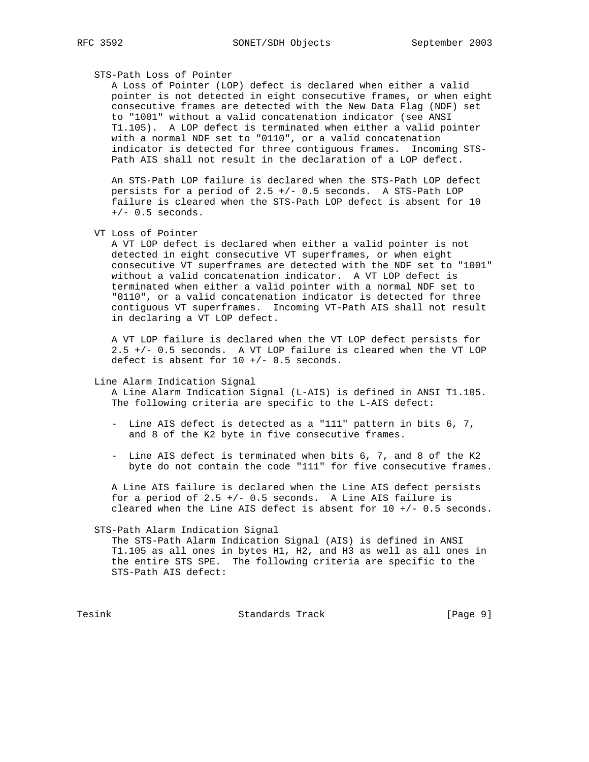### STS-Path Loss of Pointer

 A Loss of Pointer (LOP) defect is declared when either a valid pointer is not detected in eight consecutive frames, or when eight consecutive frames are detected with the New Data Flag (NDF) set to "1001" without a valid concatenation indicator (see ANSI T1.105). A LOP defect is terminated when either a valid pointer with a normal NDF set to "0110", or a valid concatenation indicator is detected for three contiguous frames. Incoming STS- Path AIS shall not result in the declaration of a LOP defect.

 An STS-Path LOP failure is declared when the STS-Path LOP defect persists for a period of 2.5 +/- 0.5 seconds. A STS-Path LOP failure is cleared when the STS-Path LOP defect is absent for 10  $+/-$  0.5 seconds.

VT Loss of Pointer

 A VT LOP defect is declared when either a valid pointer is not detected in eight consecutive VT superframes, or when eight consecutive VT superframes are detected with the NDF set to "1001" without a valid concatenation indicator. A VT LOP defect is terminated when either a valid pointer with a normal NDF set to "0110", or a valid concatenation indicator is detected for three contiguous VT superframes. Incoming VT-Path AIS shall not result in declaring a VT LOP defect.

 A VT LOP failure is declared when the VT LOP defect persists for 2.5 +/- 0.5 seconds. A VT LOP failure is cleared when the VT LOP defect is absent for  $10 +/- 0.5$  seconds.

### Line Alarm Indication Signal

 A Line Alarm Indication Signal (L-AIS) is defined in ANSI T1.105. The following criteria are specific to the L-AIS defect:

- Line AIS defect is detected as a "111" pattern in bits 6, 7, and 8 of the K2 byte in five consecutive frames.
- Line AIS defect is terminated when bits 6, 7, and 8 of the K2 byte do not contain the code "111" for five consecutive frames.

 A Line AIS failure is declared when the Line AIS defect persists for a period of 2.5 +/- 0.5 seconds. A Line AIS failure is cleared when the Line AIS defect is absent for 10 +/- 0.5 seconds.

#### STS-Path Alarm Indication Signal

 The STS-Path Alarm Indication Signal (AIS) is defined in ANSI T1.105 as all ones in bytes H1, H2, and H3 as well as all ones in the entire STS SPE. The following criteria are specific to the STS-Path AIS defect:

Tesink **Standards Track** [Page 9]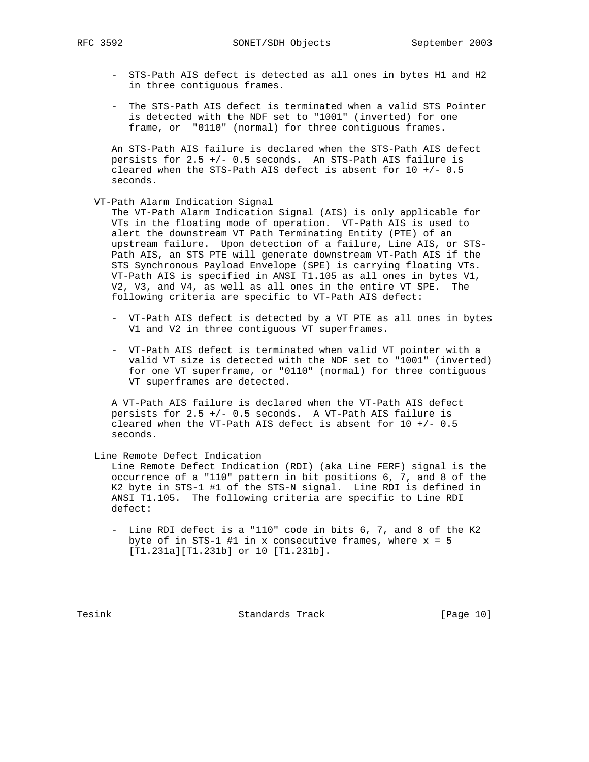RFC 3592 SONET/SDH Objects September 2003

- STS-Path AIS defect is detected as all ones in bytes H1 and H2 in three contiguous frames.
- The STS-Path AIS defect is terminated when a valid STS Pointer is detected with the NDF set to "1001" (inverted) for one frame, or "0110" (normal) for three contiguous frames.

 An STS-Path AIS failure is declared when the STS-Path AIS defect persists for 2.5 +/- 0.5 seconds. An STS-Path AIS failure is cleared when the STS-Path AIS defect is absent for  $10 +/- 0.5$ seconds.

### VT-Path Alarm Indication Signal

 The VT-Path Alarm Indication Signal (AIS) is only applicable for VTs in the floating mode of operation. VT-Path AIS is used to alert the downstream VT Path Terminating Entity (PTE) of an upstream failure. Upon detection of a failure, Line AIS, or STS- Path AIS, an STS PTE will generate downstream VT-Path AIS if the STS Synchronous Payload Envelope (SPE) is carrying floating VTs. VT-Path AIS is specified in ANSI T1.105 as all ones in bytes V1, V2, V3, and V4, as well as all ones in the entire VT SPE. The following criteria are specific to VT-Path AIS defect:

- VT-Path AIS defect is detected by a VT PTE as all ones in bytes V1 and V2 in three contiguous VT superframes.
- VT-Path AIS defect is terminated when valid VT pointer with a valid VT size is detected with the NDF set to "1001" (inverted) for one VT superframe, or "0110" (normal) for three contiguous VT superframes are detected.

 A VT-Path AIS failure is declared when the VT-Path AIS defect persists for 2.5 +/- 0.5 seconds. A VT-Path AIS failure is cleared when the VT-Path AIS defect is absent for  $10 + / -0.5$ seconds.

Line Remote Defect Indication

 Line Remote Defect Indication (RDI) (aka Line FERF) signal is the occurrence of a "110" pattern in bit positions 6, 7, and 8 of the K2 byte in STS-1 #1 of the STS-N signal. Line RDI is defined in ANSI T1.105. The following criteria are specific to Line RDI defect:

 - Line RDI defect is a "110" code in bits 6, 7, and 8 of the K2 byte of in STS-1 #1 in x consecutive frames, where  $x = 5$ [T1.231a][T1.231b] or 10 [T1.231b].

Tesink **Standards Track** [Page 10]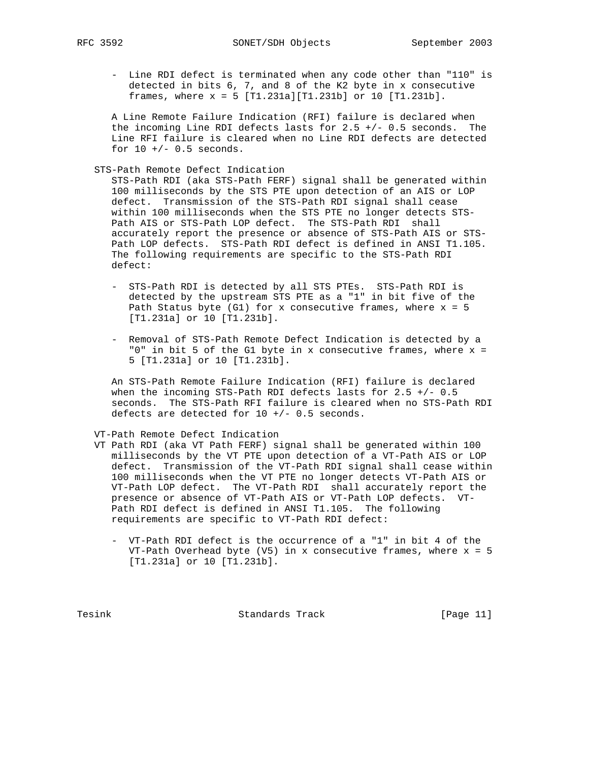- Line RDI defect is terminated when any code other than "110" is detected in bits 6, 7, and 8 of the K2 byte in x consecutive frames, where  $x = 5$  [T1.231a][T1.231b] or 10 [T1.231b].

 A Line Remote Failure Indication (RFI) failure is declared when the incoming Line RDI defects lasts for 2.5 +/- 0.5 seconds. The Line RFI failure is cleared when no Line RDI defects are detected for  $10 +/- 0.5$  seconds.

STS-Path Remote Defect Indication

 STS-Path RDI (aka STS-Path FERF) signal shall be generated within 100 milliseconds by the STS PTE upon detection of an AIS or LOP defect. Transmission of the STS-Path RDI signal shall cease within 100 milliseconds when the STS PTE no longer detects STS- Path AIS or STS-Path LOP defect. The STS-Path RDI shall accurately report the presence or absence of STS-Path AIS or STS- Path LOP defects. STS-Path RDI defect is defined in ANSI T1.105. The following requirements are specific to the STS-Path RDI defect:

- STS-Path RDI is detected by all STS PTEs. STS-Path RDI is detected by the upstream STS PTE as a "1" in bit five of the Path Status byte (G1) for x consecutive frames, where  $x = 5$ [T1.231a] or 10 [T1.231b].
- Removal of STS-Path Remote Defect Indication is detected by a "0" in bit 5 of the G1 byte in x consecutive frames, where  $x =$ 5 [T1.231a] or 10 [T1.231b].

 An STS-Path Remote Failure Indication (RFI) failure is declared when the incoming STS-Path RDI defects lasts for 2.5 +/- 0.5 seconds. The STS-Path RFI failure is cleared when no STS-Path RDI defects are detected for 10 +/- 0.5 seconds.

#### VT-Path Remote Defect Indication

- VT Path RDI (aka VT Path FERF) signal shall be generated within 100 milliseconds by the VT PTE upon detection of a VT-Path AIS or LOP defect. Transmission of the VT-Path RDI signal shall cease within 100 milliseconds when the VT PTE no longer detects VT-Path AIS or VT-Path LOP defect. The VT-Path RDI shall accurately report the presence or absence of VT-Path AIS or VT-Path LOP defects. VT- Path RDI defect is defined in ANSI T1.105. The following requirements are specific to VT-Path RDI defect:
	- VT-Path RDI defect is the occurrence of a "1" in bit 4 of the VT-Path Overhead byte (V5) in x consecutive frames, where x = 5 [T1.231a] or 10 [T1.231b].

Tesink **Standards Track** [Page 11]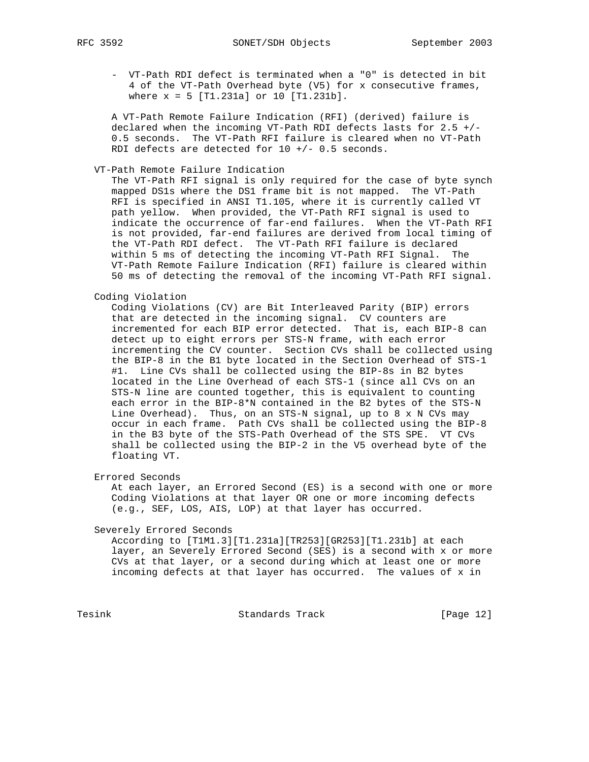- VT-Path RDI defect is terminated when a "0" is detected in bit 4 of the VT-Path Overhead byte (V5) for x consecutive frames, where  $x = 5$  [T1.231a] or 10 [T1.231b].

 A VT-Path Remote Failure Indication (RFI) (derived) failure is declared when the incoming VT-Path RDI defects lasts for 2.5 +/- 0.5 seconds. The VT-Path RFI failure is cleared when no VT-Path RDI defects are detected for 10 +/- 0.5 seconds.

### VT-Path Remote Failure Indication

 The VT-Path RFI signal is only required for the case of byte synch mapped DS1s where the DS1 frame bit is not mapped. The VT-Path RFI is specified in ANSI T1.105, where it is currently called VT path yellow. When provided, the VT-Path RFI signal is used to indicate the occurrence of far-end failures. When the VT-Path RFI is not provided, far-end failures are derived from local timing of the VT-Path RDI defect. The VT-Path RFI failure is declared within 5 ms of detecting the incoming VT-Path RFI Signal. The VT-Path Remote Failure Indication (RFI) failure is cleared within 50 ms of detecting the removal of the incoming VT-Path RFI signal.

### Coding Violation

 Coding Violations (CV) are Bit Interleaved Parity (BIP) errors that are detected in the incoming signal. CV counters are incremented for each BIP error detected. That is, each BIP-8 can detect up to eight errors per STS-N frame, with each error incrementing the CV counter. Section CVs shall be collected using the BIP-8 in the B1 byte located in the Section Overhead of STS-1 #1. Line CVs shall be collected using the BIP-8s in B2 bytes located in the Line Overhead of each STS-1 (since all CVs on an STS-N line are counted together, this is equivalent to counting each error in the BIP-8\*N contained in the B2 bytes of the STS-N Line Overhead). Thus, on an STS-N signal, up to 8 x N CVs may occur in each frame. Path CVs shall be collected using the BIP-8 in the B3 byte of the STS-Path Overhead of the STS SPE. VT CVs shall be collected using the BIP-2 in the V5 overhead byte of the floating VT.

Errored Seconds

 At each layer, an Errored Second (ES) is a second with one or more Coding Violations at that layer OR one or more incoming defects (e.g., SEF, LOS, AIS, LOP) at that layer has occurred.

Severely Errored Seconds

 According to [T1M1.3][T1.231a][TR253][GR253][T1.231b] at each layer, an Severely Errored Second (SES) is a second with x or more CVs at that layer, or a second during which at least one or more incoming defects at that layer has occurred. The values of x in

Tesink **Standards Track** [Page 12]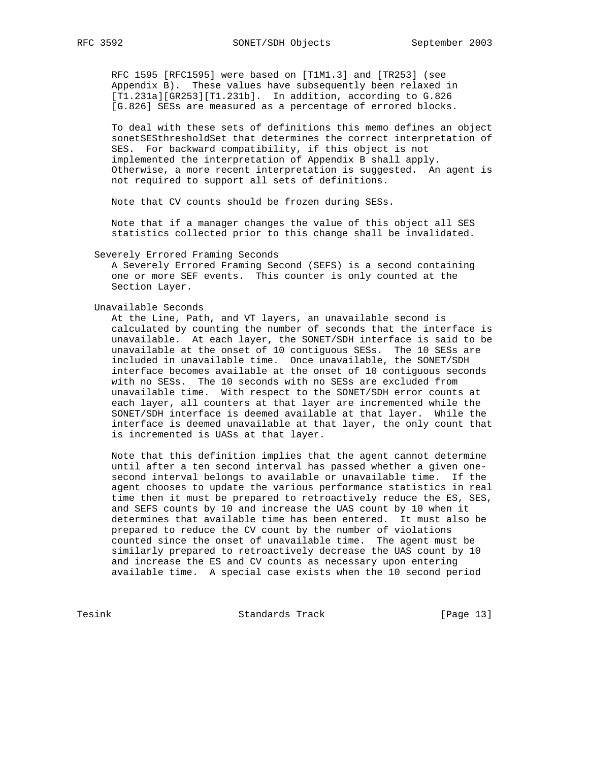RFC 1595 [RFC1595] were based on [T1M1.3] and [TR253] (see Appendix B). These values have subsequently been relaxed in [T1.231a][GR253][T1.231b]. In addition, according to G.826 [G.826] SESs are measured as a percentage of errored blocks.

 To deal with these sets of definitions this memo defines an object sonetSESthresholdSet that determines the correct interpretation of SES. For backward compatibility, if this object is not implemented the interpretation of Appendix B shall apply. Otherwise, a more recent interpretation is suggested. An agent is not required to support all sets of definitions.

Note that CV counts should be frozen during SESs.

 Note that if a manager changes the value of this object all SES statistics collected prior to this change shall be invalidated.

Severely Errored Framing Seconds

 A Severely Errored Framing Second (SEFS) is a second containing one or more SEF events. This counter is only counted at the Section Layer.

#### Unavailable Seconds

 At the Line, Path, and VT layers, an unavailable second is calculated by counting the number of seconds that the interface is unavailable. At each layer, the SONET/SDH interface is said to be unavailable at the onset of 10 contiguous SESs. The 10 SESs are included in unavailable time. Once unavailable, the SONET/SDH interface becomes available at the onset of 10 contiguous seconds with no SESs. The 10 seconds with no SESs are excluded from unavailable time. With respect to the SONET/SDH error counts at each layer, all counters at that layer are incremented while the SONET/SDH interface is deemed available at that layer. While the interface is deemed unavailable at that layer, the only count that is incremented is UASs at that layer.

 Note that this definition implies that the agent cannot determine until after a ten second interval has passed whether a given one second interval belongs to available or unavailable time. If the agent chooses to update the various performance statistics in real time then it must be prepared to retroactively reduce the ES, SES, and SEFS counts by 10 and increase the UAS count by 10 when it determines that available time has been entered. It must also be prepared to reduce the CV count by the number of violations counted since the onset of unavailable time. The agent must be similarly prepared to retroactively decrease the UAS count by 10 and increase the ES and CV counts as necessary upon entering available time. A special case exists when the 10 second period

Tesink **Standards Track** [Page 13]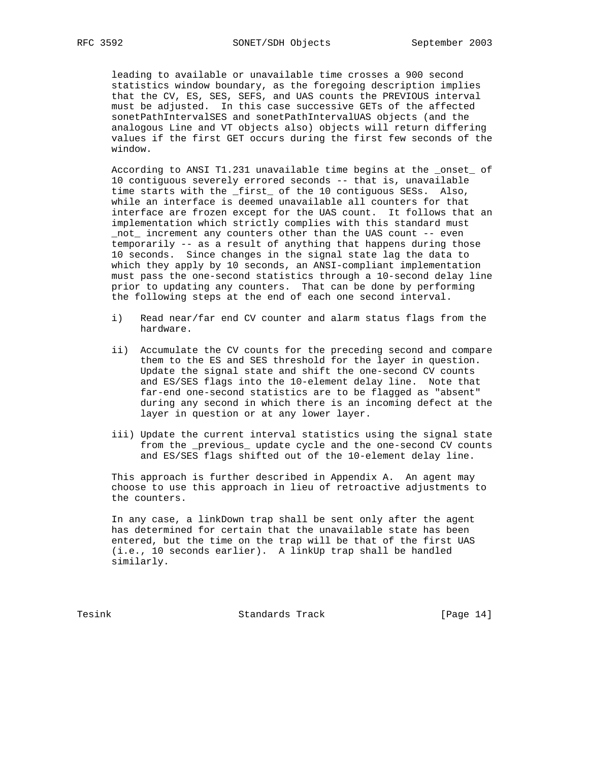leading to available or unavailable time crosses a 900 second statistics window boundary, as the foregoing description implies that the CV, ES, SES, SEFS, and UAS counts the PREVIOUS interval must be adjusted. In this case successive GETs of the affected sonetPathIntervalSES and sonetPathIntervalUAS objects (and the analogous Line and VT objects also) objects will return differing values if the first GET occurs during the first few seconds of the window.

 According to ANSI T1.231 unavailable time begins at the \_onset\_ of 10 contiguous severely errored seconds -- that is, unavailable time starts with the \_first\_ of the 10 contiguous SESs. Also, while an interface is deemed unavailable all counters for that interface are frozen except for the UAS count. It follows that an implementation which strictly complies with this standard must not increment any counters other than the UAS count -- even temporarily -- as a result of anything that happens during those 10 seconds. Since changes in the signal state lag the data to which they apply by 10 seconds, an ANSI-compliant implementation must pass the one-second statistics through a 10-second delay line prior to updating any counters. That can be done by performing the following steps at the end of each one second interval.

- i) Read near/far end CV counter and alarm status flags from the hardware.
- ii) Accumulate the CV counts for the preceding second and compare them to the ES and SES threshold for the layer in question. Update the signal state and shift the one-second CV counts and ES/SES flags into the 10-element delay line. Note that far-end one-second statistics are to be flagged as "absent" during any second in which there is an incoming defect at the layer in question or at any lower layer.
- iii) Update the current interval statistics using the signal state from the \_previous\_ update cycle and the one-second CV counts and ES/SES flags shifted out of the 10-element delay line.

 This approach is further described in Appendix A. An agent may choose to use this approach in lieu of retroactive adjustments to the counters.

 In any case, a linkDown trap shall be sent only after the agent has determined for certain that the unavailable state has been entered, but the time on the trap will be that of the first UAS (i.e., 10 seconds earlier). A linkUp trap shall be handled similarly.

Tesink **Standards Track** [Page 14]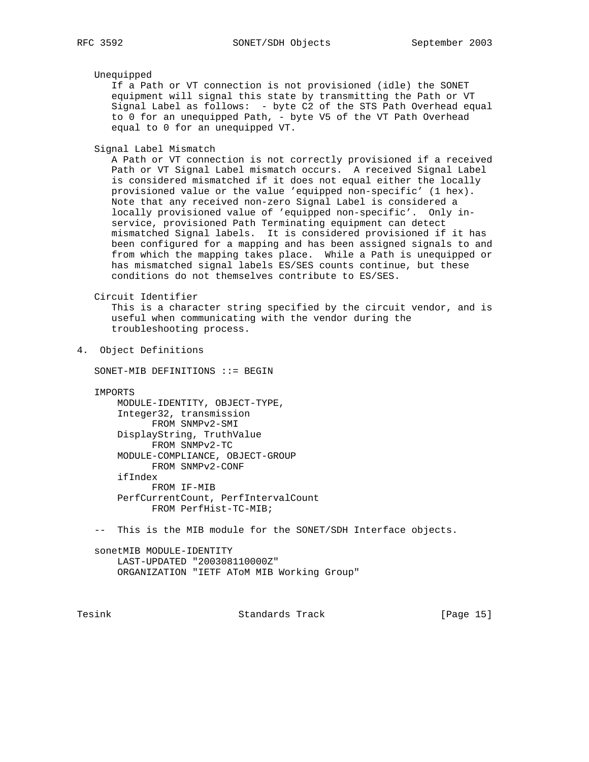Unequipped

 If a Path or VT connection is not provisioned (idle) the SONET equipment will signal this state by transmitting the Path or VT Signal Label as follows: - byte C2 of the STS Path Overhead equal to 0 for an unequipped Path, - byte V5 of the VT Path Overhead equal to 0 for an unequipped VT.

Signal Label Mismatch

 A Path or VT connection is not correctly provisioned if a received Path or VT Signal Label mismatch occurs. A received Signal Label is considered mismatched if it does not equal either the locally provisioned value or the value 'equipped non-specific' (1 hex). Note that any received non-zero Signal Label is considered a locally provisioned value of 'equipped non-specific'. Only in service, provisioned Path Terminating equipment can detect mismatched Signal labels. It is considered provisioned if it has been configured for a mapping and has been assigned signals to and from which the mapping takes place. While a Path is unequipped or has mismatched signal labels ES/SES counts continue, but these conditions do not themselves contribute to ES/SES.

Circuit Identifier

 This is a character string specified by the circuit vendor, and is useful when communicating with the vendor during the troubleshooting process.

4. Object Definitions

SONET-MIB DEFINITIONS ::= BEGIN

IMPORTS

 MODULE-IDENTITY, OBJECT-TYPE, Integer32, transmission FROM SNMPv2-SMI DisplayString, TruthValue FROM SNMPv2-TC MODULE-COMPLIANCE, OBJECT-GROUP FROM SNMPv2-CONF ifIndex FROM IF-MIB PerfCurrentCount, PerfIntervalCount FROM PerfHist-TC-MIB;

-- This is the MIB module for the SONET/SDH Interface objects.

 sonetMIB MODULE-IDENTITY LAST-UPDATED "200308110000Z" ORGANIZATION "IETF AToM MIB Working Group"

Tesink Standards Track [Page 15]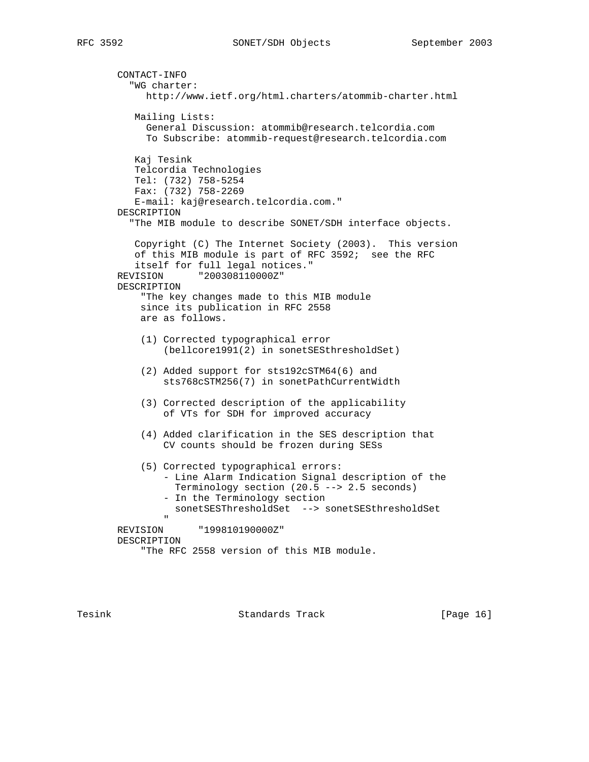```
 CONTACT-INFO
          "WG charter:
            http://www.ietf.org/html.charters/atommib-charter.html
          Mailing Lists:
            General Discussion: atommib@research.telcordia.com
            To Subscribe: atommib-request@research.telcordia.com
          Kaj Tesink
          Telcordia Technologies
          Tel: (732) 758-5254
          Fax: (732) 758-2269
          E-mail: kaj@research.telcordia.com."
       DESCRIPTION
          "The MIB module to describe SONET/SDH interface objects.
          Copyright (C) The Internet Society (2003). This version
          of this MIB module is part of RFC 3592; see the RFC
          itself for full legal notices."
       REVISION "200308110000Z"
       DESCRIPTION
            "The key changes made to this MIB module
           since its publication in RFC 2558
           are as follows.
            (1) Corrected typographical error
                (bellcore1991(2) in sonetSESthresholdSet)
            (2) Added support for sts192cSTM64(6) and
                sts768cSTM256(7) in sonetPathCurrentWidth
            (3) Corrected description of the applicability
                of VTs for SDH for improved accuracy
            (4) Added clarification in the SES description that
               CV counts should be frozen during SESs
            (5) Corrected typographical errors:
                - Line Alarm Indication Signal description of the
                 Terminology section (20.5 --> 2.5 seconds)
                - In the Terminology section
                 sonetSESThresholdSet --> sonetSESthresholdSet
 "
       REVISION "199810190000Z"
       DESCRIPTION
            "The RFC 2558 version of this MIB module.
```
Tesink **Standards Track** [Page 16]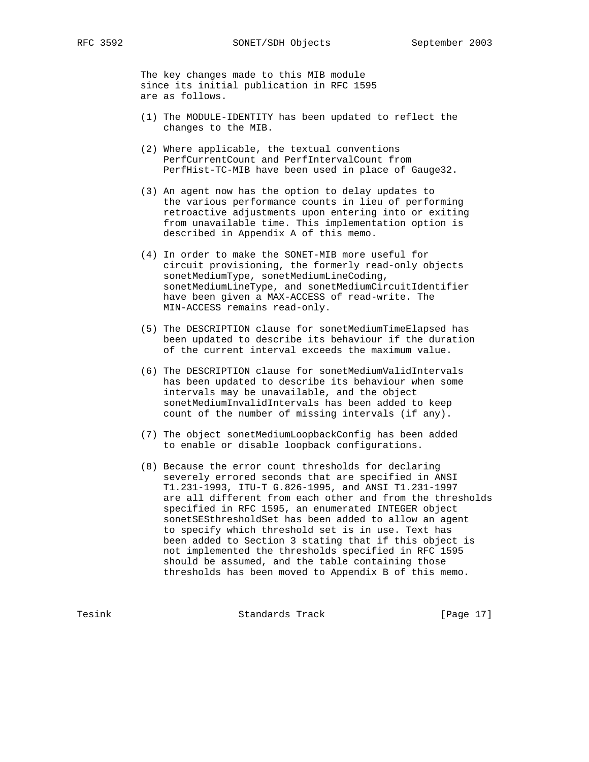The key changes made to this MIB module since its initial publication in RFC 1595 are as follows.

- (1) The MODULE-IDENTITY has been updated to reflect the changes to the MIB.
- (2) Where applicable, the textual conventions PerfCurrentCount and PerfIntervalCount from PerfHist-TC-MIB have been used in place of Gauge32.
- (3) An agent now has the option to delay updates to the various performance counts in lieu of performing retroactive adjustments upon entering into or exiting from unavailable time. This implementation option is described in Appendix A of this memo.
- (4) In order to make the SONET-MIB more useful for circuit provisioning, the formerly read-only objects sonetMediumType, sonetMediumLineCoding, sonetMediumLineType, and sonetMediumCircuitIdentifier have been given a MAX-ACCESS of read-write. The MIN-ACCESS remains read-only.
- (5) The DESCRIPTION clause for sonetMediumTimeElapsed has been updated to describe its behaviour if the duration of the current interval exceeds the maximum value.
- (6) The DESCRIPTION clause for sonetMediumValidIntervals has been updated to describe its behaviour when some intervals may be unavailable, and the object sonetMediumInvalidIntervals has been added to keep count of the number of missing intervals (if any).
- (7) The object sonetMediumLoopbackConfig has been added to enable or disable loopback configurations.
- (8) Because the error count thresholds for declaring severely errored seconds that are specified in ANSI T1.231-1993, ITU-T G.826-1995, and ANSI T1.231-1997 are all different from each other and from the thresholds specified in RFC 1595, an enumerated INTEGER object sonetSESthresholdSet has been added to allow an agent to specify which threshold set is in use. Text has been added to Section 3 stating that if this object is not implemented the thresholds specified in RFC 1595 should be assumed, and the table containing those thresholds has been moved to Appendix B of this memo.

Tesink Standards Track [Page 17]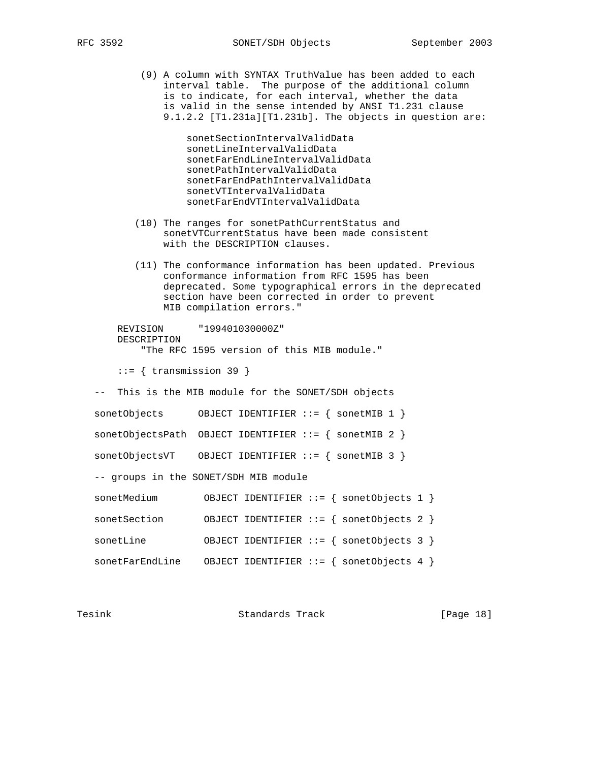(9) A column with SYNTAX TruthValue has been added to each interval table. The purpose of the additional column is to indicate, for each interval, whether the data is valid in the sense intended by ANSI T1.231 clause 9.1.2.2 [T1.231a][T1.231b]. The objects in question are:

> sonetSectionIntervalValidData sonetLineIntervalValidData sonetFarEndLineIntervalValidData sonetPathIntervalValidData sonetFarEndPathIntervalValidData sonetVTIntervalValidData sonetFarEndVTIntervalValidData

- (10) The ranges for sonetPathCurrentStatus and sonetVTCurrentStatus have been made consistent with the DESCRIPTION clauses.
- (11) The conformance information has been updated. Previous conformance information from RFC 1595 has been deprecated. Some typographical errors in the deprecated section have been corrected in order to prevent MIB compilation errors."

 REVISION "199401030000Z" DESCRIPTION "The RFC 1595 version of this MIB module."

 $::=$  { transmission 39 }

-- This is the MIB module for the SONET/SDH objects

| sonetObjects    | OBJECT IDENTIFIER ::= $\{$ sonetMIB 1 $\}$              |
|-----------------|---------------------------------------------------------|
|                 | sonetObjectsPath OBJECT IDENTIFIER $::=$ { sonetMIB 2 } |
| sonetObjectsVT  | OBJECT IDENTIFIER ::= $\{$ sonetMIB 3 $\}$              |
|                 | -- groups in the SONET/SDH MIB module                   |
| sonetMedium     | OBJECT IDENTIFIER ::= { sonetObjects 1 }                |
| sonetSection    | OBJECT IDENTIFIER ::= { sonetObjects 2 }                |
| sonetLine       | OBJECT IDENTIFIER ::= $\{$ sonetObjects 3 $\}$          |
| sonetFarEndLine | OBJECT IDENTIFIER ::= { sonetObjects 4 }                |

| Tesink | Standards Track | [Page 18] |  |
|--------|-----------------|-----------|--|
|        |                 |           |  |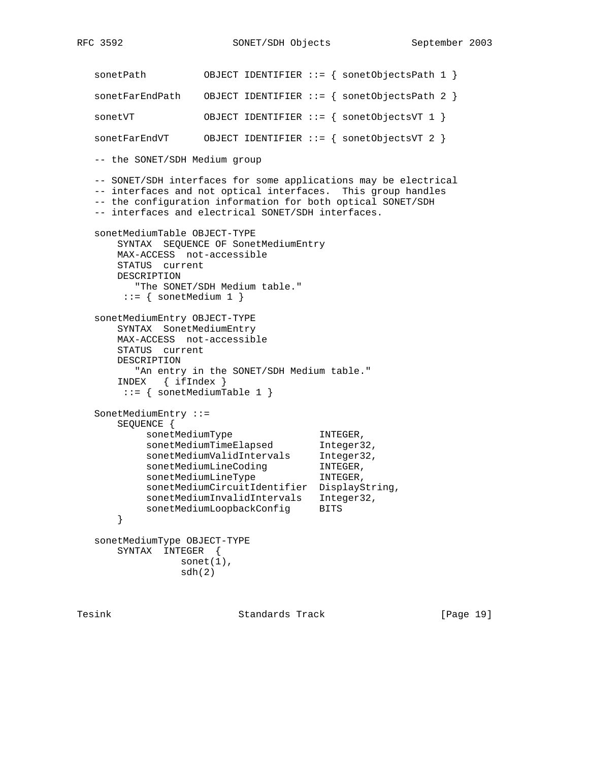```
 sonetPath OBJECT IDENTIFIER ::= { sonetObjectsPath 1 }
   sonetFarEndPath OBJECT IDENTIFIER ::= { sonetObjectsPath 2 }
   sonetVT OBJECT IDENTIFIER ::= { sonetObjectsVT 1 }
   sonetFarEndVT OBJECT IDENTIFIER ::= { sonetObjectsVT 2 }
   -- the SONET/SDH Medium group
   -- SONET/SDH interfaces for some applications may be electrical
   -- interfaces and not optical interfaces. This group handles
   -- the configuration information for both optical SONET/SDH
   -- interfaces and electrical SONET/SDH interfaces.
   sonetMediumTable OBJECT-TYPE
       SYNTAX SEQUENCE OF SonetMediumEntry
       MAX-ACCESS not-accessible
       STATUS current
       DESCRIPTION
         "The SONET/SDH Medium table."
       ::= { sonetMedium 1 }
   sonetMediumEntry OBJECT-TYPE
       SYNTAX SonetMediumEntry
       MAX-ACCESS not-accessible
       STATUS current
       DESCRIPTION
         "An entry in the SONET/SDH Medium table."
       INDEX { ifIndex }
        ::= { sonetMediumTable 1 }
   SonetMediumEntry ::=
       SEQUENCE {
sonetMediumType INTEGER,
sonetMediumTimeElapsed Integer32,
sonetMediumValidIntervals Integer32,
sonetMediumLineCoding TNTEGER,
sonetMediumLineType INTEGER,
           sonetMediumCircuitIdentifier DisplayString,
           sonetMediumInvalidIntervals Integer32,
          sonetMediumLoopbackConfig BITS
       }
   sonetMediumType OBJECT-TYPE
       SYNTAX INTEGER {
                 sonet(1),
                 sdh(2)
```
Tesink **Standards Track** [Page 19]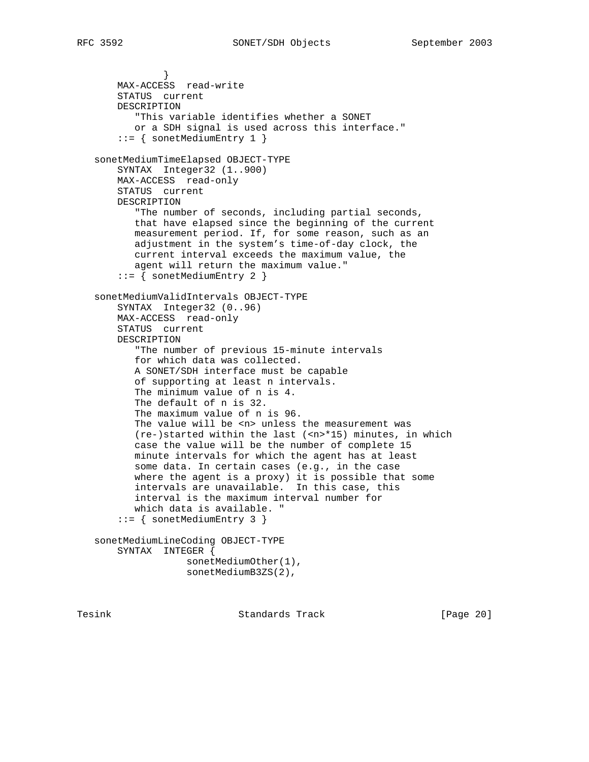```
 }
       MAX-ACCESS read-write
       STATUS current
       DESCRIPTION
           "This variable identifies whether a SONET
           or a SDH signal is used across this interface."
        ::= { sonetMediumEntry 1 }
   sonetMediumTimeElapsed OBJECT-TYPE
       SYNTAX Integer32 (1..900)
       MAX-ACCESS read-only
       STATUS current
       DESCRIPTION
          "The number of seconds, including partial seconds,
           that have elapsed since the beginning of the current
          measurement period. If, for some reason, such as an
           adjustment in the system's time-of-day clock, the
          current interval exceeds the maximum value, the
          agent will return the maximum value."
        ::= { sonetMediumEntry 2 }
   sonetMediumValidIntervals OBJECT-TYPE
       SYNTAX Integer32 (0..96)
       MAX-ACCESS read-only
       STATUS current
       DESCRIPTION
           "The number of previous 15-minute intervals
           for which data was collected.
          A SONET/SDH interface must be capable
          of supporting at least n intervals.
          The minimum value of n is 4.
          The default of n is 32.
          The maximum value of n is 96.
         The value will be <n> unless the measurement was
         (re-)started within the last (\langle n \rangle * 15) minutes, in which
          case the value will be the number of complete 15
          minute intervals for which the agent has at least
           some data. In certain cases (e.g., in the case
           where the agent is a proxy) it is possible that some
           intervals are unavailable. In this case, this
           interval is the maximum interval number for
          which data is available. "
        ::= { sonetMediumEntry 3 }
   sonetMediumLineCoding OBJECT-TYPE
       SYNTAX INTEGER {
                    sonetMediumOther(1),
                    sonetMediumB3ZS(2),
```
Tesink **Standards Track** [Page 20]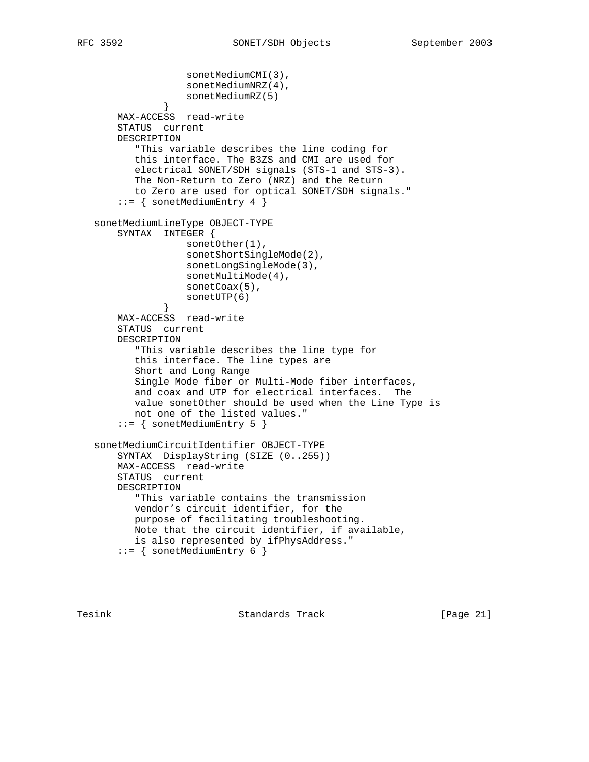```
 sonetMediumCMI(3),
                    sonetMediumNRZ(4),
                   sonetMediumRZ(5)
 }
       MAX-ACCESS read-write
       STATUS current
       DESCRIPTION
          "This variable describes the line coding for
          this interface. The B3ZS and CMI are used for
          electrical SONET/SDH signals (STS-1 and STS-3).
          The Non-Return to Zero (NRZ) and the Return
          to Zero are used for optical SONET/SDH signals."
        ::= { sonetMediumEntry 4 }
   sonetMediumLineType OBJECT-TYPE
       SYNTAX INTEGER {
                   sonetOther(1),
                   sonetShortSingleMode(2),
                   sonetLongSingleMode(3),
                   sonetMultiMode(4),
                   sonetCoax(5),
               sonetUTP(6)<br>}
 }
       MAX-ACCESS read-write
       STATUS current
       DESCRIPTION
           "This variable describes the line type for
          this interface. The line types are
          Short and Long Range
          Single Mode fiber or Multi-Mode fiber interfaces,
          and coax and UTP for electrical interfaces. The
          value sonetOther should be used when the Line Type is
          not one of the listed values."
        ::= { sonetMediumEntry 5 }
   sonetMediumCircuitIdentifier OBJECT-TYPE
       SYNTAX DisplayString (SIZE (0..255))
       MAX-ACCESS read-write
       STATUS current
       DESCRIPTION
          "This variable contains the transmission
          vendor's circuit identifier, for the
          purpose of facilitating troubleshooting.
          Note that the circuit identifier, if available,
          is also represented by ifPhysAddress."
        ::= { sonetMediumEntry 6 }
```
Tesink Standards Track [Page 21]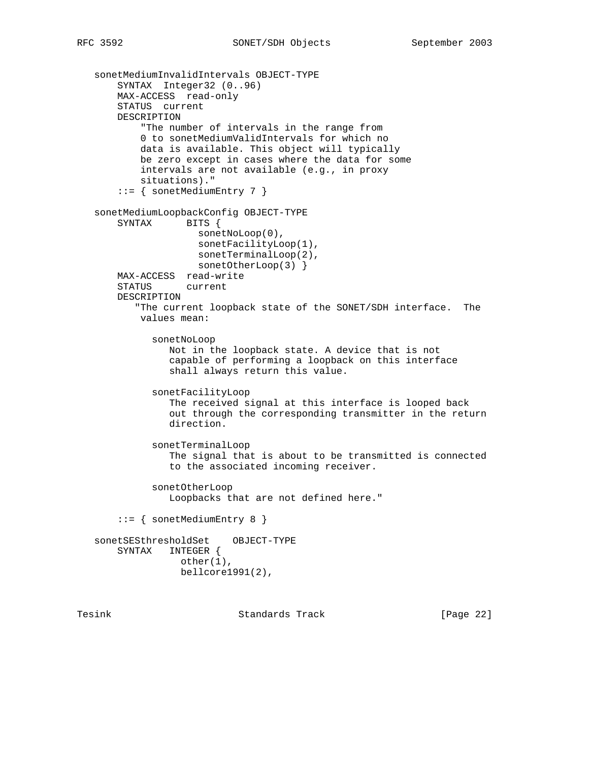```
 sonetMediumInvalidIntervals OBJECT-TYPE
    SYNTAX Integer32 (0..96)
    MAX-ACCESS read-only
    STATUS current
    DESCRIPTION
         "The number of intervals in the range from
         0 to sonetMediumValidIntervals for which no
         data is available. This object will typically
        be zero except in cases where the data for some
         intervals are not available (e.g., in proxy
        situations)."
     ::= { sonetMediumEntry 7 }
 sonetMediumLoopbackConfig OBJECT-TYPE
   SYNTAX BITS {
                  sonetNoLoop(0),
                  sonetFacilityLoop(1),
                  sonetTerminalLoop(2),
                 sonetOtherLoop(3) }
    MAX-ACCESS read-write
    STATUS current
    DESCRIPTION
        "The current loopback state of the SONET/SDH interface. The
        values mean:
           sonetNoLoop
              Not in the loopback state. A device that is not
              capable of performing a loopback on this interface
              shall always return this value.
           sonetFacilityLoop
              The received signal at this interface is looped back
              out through the corresponding transmitter in the return
              direction.
           sonetTerminalLoop
              The signal that is about to be transmitted is connected
              to the associated incoming receiver.
           sonetOtherLoop
              Loopbacks that are not defined here."
     ::= { sonetMediumEntry 8 }
 sonetSESthresholdSet OBJECT-TYPE
    SYNTAX INTEGER {
                other(1),
                bellcore1991(2),
```
Tesink **Standards Track** [Page 22]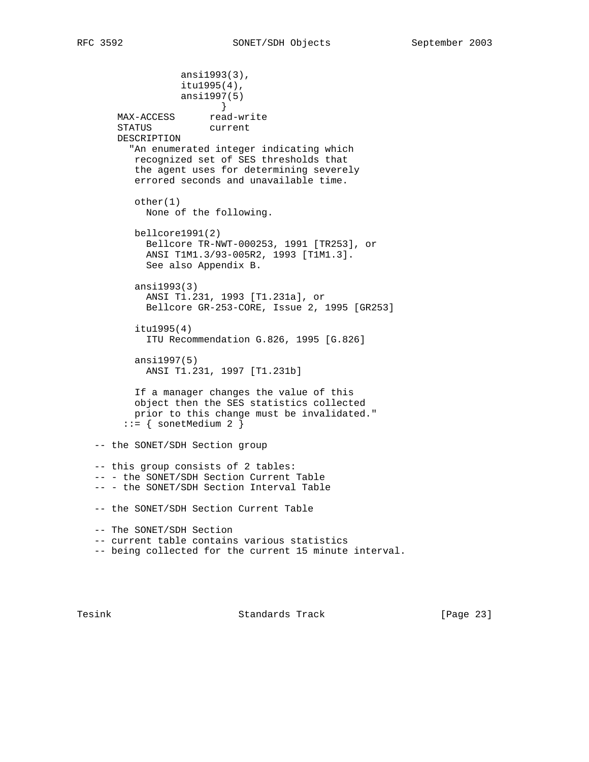```
 ansi1993(3),
                  itu1995(4),
                  ansi1997(5)
 }
MAX-ACCESS read-write
 STATUS current
       DESCRIPTION
         "An enumerated integer indicating which
          recognized set of SES thresholds that
          the agent uses for determining severely
          errored seconds and unavailable time.
          other(1)
           None of the following.
          bellcore1991(2)
            Bellcore TR-NWT-000253, 1991 [TR253], or
            ANSI T1M1.3/93-005R2, 1993 [T1M1.3].
            See also Appendix B.
          ansi1993(3)
            ANSI T1.231, 1993 [T1.231a], or
            Bellcore GR-253-CORE, Issue 2, 1995 [GR253]
          itu1995(4)
            ITU Recommendation G.826, 1995 [G.826]
          ansi1997(5)
           ANSI T1.231, 1997 [T1.231b]
          If a manager changes the value of this
          object then the SES statistics collected
          prior to this change must be invalidated."
       ::= { sonetMedium 2 }
   -- the SONET/SDH Section group
   -- this group consists of 2 tables:
   -- - the SONET/SDH Section Current Table
   -- - the SONET/SDH Section Interval Table
   -- the SONET/SDH Section Current Table
   -- The SONET/SDH Section
   -- current table contains various statistics
   -- being collected for the current 15 minute interval.
```
Tesink **Standards Track** [Page 23]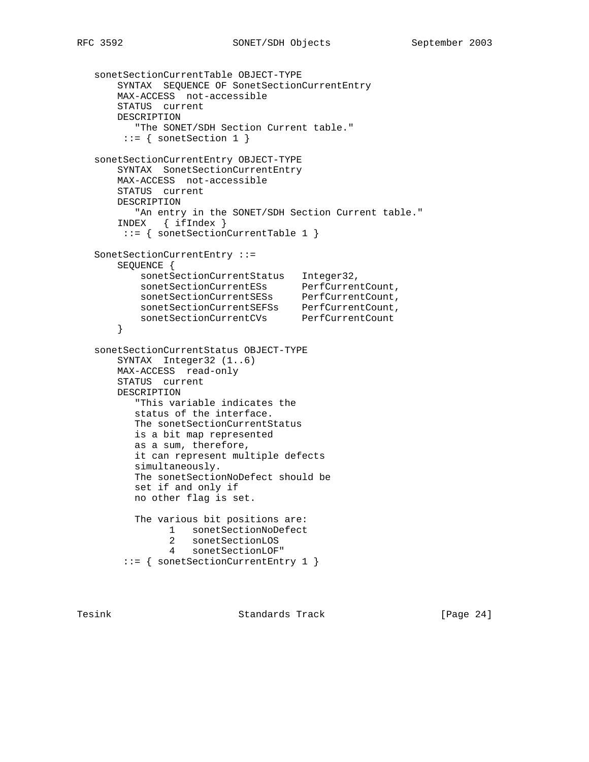```
 sonetSectionCurrentTable OBJECT-TYPE
       SYNTAX SEQUENCE OF SonetSectionCurrentEntry
       MAX-ACCESS not-accessible
       STATUS current
       DESCRIPTION
          "The SONET/SDH Section Current table."
        ::= { sonetSection 1 }
   sonetSectionCurrentEntry OBJECT-TYPE
       SYNTAX SonetSectionCurrentEntry
       MAX-ACCESS not-accessible
       STATUS current
       DESCRIPTION
         "An entry in the SONET/SDH Section Current table."
       INDEX { ifIndex }
        ::= { sonetSectionCurrentTable 1 }
   SonetSectionCurrentEntry ::=
       SEQUENCE {
          sonetSectionCurrentStatus Integer32,
sonetSectionCurrentESs PerfCurrentCount,
 sonetSectionCurrentSESs PerfCurrentCount,
 sonetSectionCurrentSEFSs PerfCurrentCount,
 sonetSectionCurrentCVs PerfCurrentCount
       }
   sonetSectionCurrentStatus OBJECT-TYPE
       SYNTAX Integer32 (1..6)
       MAX-ACCESS read-only
       STATUS current
       DESCRIPTION
          "This variable indicates the
          status of the interface.
          The sonetSectionCurrentStatus
          is a bit map represented
          as a sum, therefore,
          it can represent multiple defects
          simultaneously.
          The sonetSectionNoDefect should be
          set if and only if
          no other flag is set.
          The various bit positions are:
               1 sonetSectionNoDefect
                2 sonetSectionLOS
                4 sonetSectionLOF"
        ::= { sonetSectionCurrentEntry 1 }
```
Tesink Standards Track [Page 24]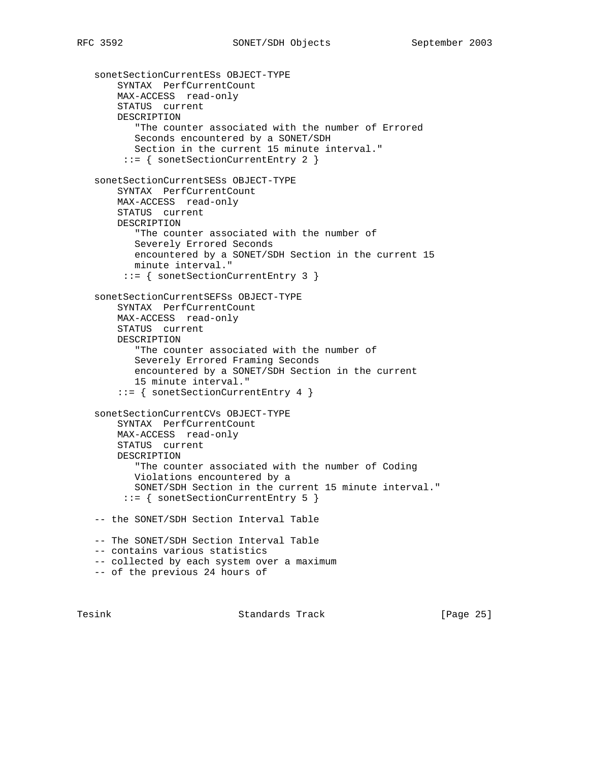```
 sonetSectionCurrentESs OBJECT-TYPE
    SYNTAX PerfCurrentCount
    MAX-ACCESS read-only
    STATUS current
    DESCRIPTION
        "The counter associated with the number of Errored
        Seconds encountered by a SONET/SDH
        Section in the current 15 minute interval."
      ::= { sonetSectionCurrentEntry 2 }
 sonetSectionCurrentSESs OBJECT-TYPE
    SYNTAX PerfCurrentCount
    MAX-ACCESS read-only
    STATUS current
    DESCRIPTION
        "The counter associated with the number of
        Severely Errored Seconds
        encountered by a SONET/SDH Section in the current 15
        minute interval."
      ::= { sonetSectionCurrentEntry 3 }
 sonetSectionCurrentSEFSs OBJECT-TYPE
    SYNTAX PerfCurrentCount
    MAX-ACCESS read-only
    STATUS current
    DESCRIPTION
        "The counter associated with the number of
        Severely Errored Framing Seconds
        encountered by a SONET/SDH Section in the current
        15 minute interval."
     ::= { sonetSectionCurrentEntry 4 }
 sonetSectionCurrentCVs OBJECT-TYPE
    SYNTAX PerfCurrentCount
    MAX-ACCESS read-only
    STATUS current
    DESCRIPTION
       "The counter associated with the number of Coding
        Violations encountered by a
       SONET/SDH Section in the current 15 minute interval."
      ::= { sonetSectionCurrentEntry 5 }
 -- the SONET/SDH Section Interval Table
 -- The SONET/SDH Section Interval Table
 -- contains various statistics
 -- collected by each system over a maximum
 -- of the previous 24 hours of
```
Tesink Standards Track [Page 25]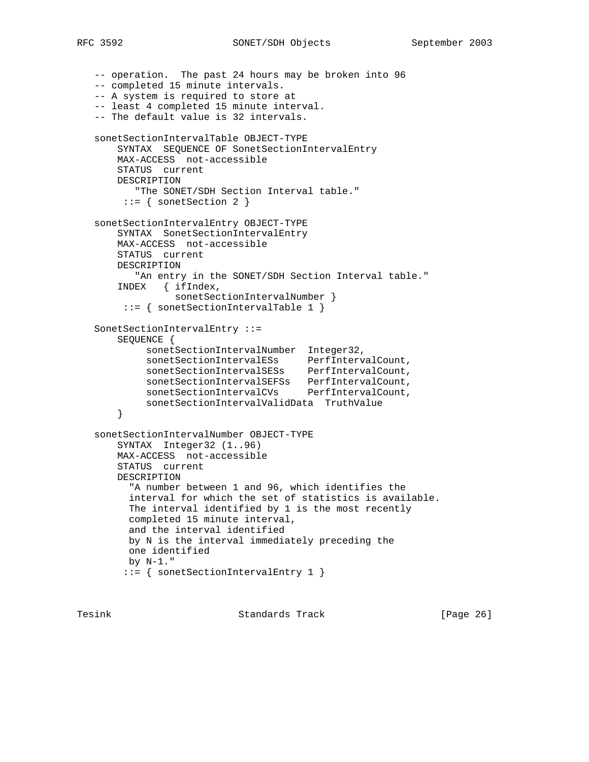```
 -- operation. The past 24 hours may be broken into 96
   -- completed 15 minute intervals.
   -- A system is required to store at
   -- least 4 completed 15 minute interval.
   -- The default value is 32 intervals.
   sonetSectionIntervalTable OBJECT-TYPE
       SYNTAX SEQUENCE OF SonetSectionIntervalEntry
       MAX-ACCESS not-accessible
       STATUS current
       DESCRIPTION
          "The SONET/SDH Section Interval table."
        ::= { sonetSection 2 }
   sonetSectionIntervalEntry OBJECT-TYPE
       SYNTAX SonetSectionIntervalEntry
       MAX-ACCESS not-accessible
       STATUS current
       DESCRIPTION
          "An entry in the SONET/SDH Section Interval table."
       INDEX { ifIndex,
                sonetSectionIntervalNumber }
        ::= { sonetSectionIntervalTable 1 }
   SonetSectionIntervalEntry ::=
       SEQUENCE {
 sonetSectionIntervalNumber Integer32,
sonetSectionIntervalESs PerfIntervalCount,
 sonetSectionIntervalSESs PerfIntervalCount,
 sonetSectionIntervalSEFSs PerfIntervalCount,
 sonetSectionIntervalCVs PerfIntervalCount,
           sonetSectionIntervalValidData TruthValue
       }
   sonetSectionIntervalNumber OBJECT-TYPE
       SYNTAX Integer32 (1..96)
       MAX-ACCESS not-accessible
       STATUS current
       DESCRIPTION
         "A number between 1 and 96, which identifies the
         interval for which the set of statistics is available.
         The interval identified by 1 is the most recently
         completed 15 minute interval,
         and the interval identified
         by N is the interval immediately preceding the
         one identified
         by N-1."
        ::= { sonetSectionIntervalEntry 1 }
```
Tesink Standards Track [Page 26]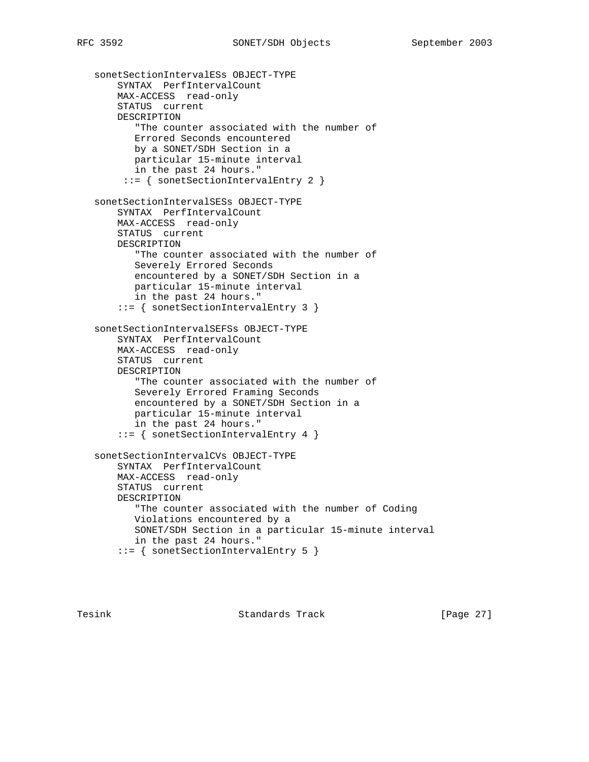sonetSectionIntervalESs OBJECT-TYPE SYNTAX PerfIntervalCount MAX-ACCESS read-only STATUS current DESCRIPTION "The counter associated with the number of Errored Seconds encountered by a SONET/SDH Section in a particular 15-minute interval in the past 24 hours." ::= { sonetSectionIntervalEntry 2 } sonetSectionIntervalSESs OBJECT-TYPE SYNTAX PerfIntervalCount MAX-ACCESS read-only STATUS current DESCRIPTION "The counter associated with the number of Severely Errored Seconds encountered by a SONET/SDH Section in a particular 15-minute interval in the past 24 hours." ::= { sonetSectionIntervalEntry 3 } sonetSectionIntervalSEFSs OBJECT-TYPE SYNTAX PerfIntervalCount MAX-ACCESS read-only STATUS current DESCRIPTION "The counter associated with the number of Severely Errored Framing Seconds encountered by a SONET/SDH Section in a particular 15-minute interval in the past 24 hours." ::= { sonetSectionIntervalEntry 4 } sonetSectionIntervalCVs OBJECT-TYPE SYNTAX PerfIntervalCount MAX-ACCESS read-only STATUS current DESCRIPTION "The counter associated with the number of Coding Violations encountered by a SONET/SDH Section in a particular 15-minute interval in the past 24 hours." ::= { sonetSectionIntervalEntry 5 }

Tesink **Standards Track** [Page 27]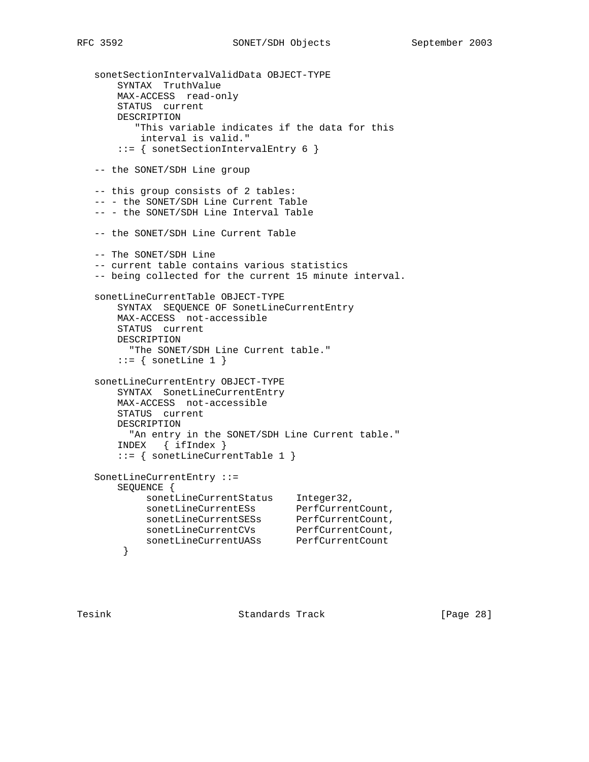sonetSectionIntervalValidData OBJECT-TYPE SYNTAX TruthValue MAX-ACCESS read-only STATUS current DESCRIPTION "This variable indicates if the data for this interval is valid." ::= { sonetSectionIntervalEntry 6 } -- the SONET/SDH Line group -- this group consists of 2 tables: -- - the SONET/SDH Line Current Table -- - the SONET/SDH Line Interval Table -- the SONET/SDH Line Current Table -- The SONET/SDH Line -- current table contains various statistics -- being collected for the current 15 minute interval. sonetLineCurrentTable OBJECT-TYPE SYNTAX SEQUENCE OF SonetLineCurrentEntry MAX-ACCESS not-accessible STATUS current DESCRIPTION "The SONET/SDH Line Current table."  $::=$  { sonetLine 1 } sonetLineCurrentEntry OBJECT-TYPE SYNTAX SonetLineCurrentEntry MAX-ACCESS not-accessible STATUS current DESCRIPTION "An entry in the SONET/SDH Line Current table." INDEX { ifIndex } ::= { sonetLineCurrentTable 1 } SonetLineCurrentEntry ::= SEQUENCE { sonetLineCurrentStatus Integer32, sonetLineCurrentESs PerfCurrentCount, sonetLineCurrentSESs PerfCurrentCount, sonetLineCurrentCVs PerfCurrentCount, sonetLineCurrentUASs PerfCurrentCount }

Tesink **Standards Track** [Page 28]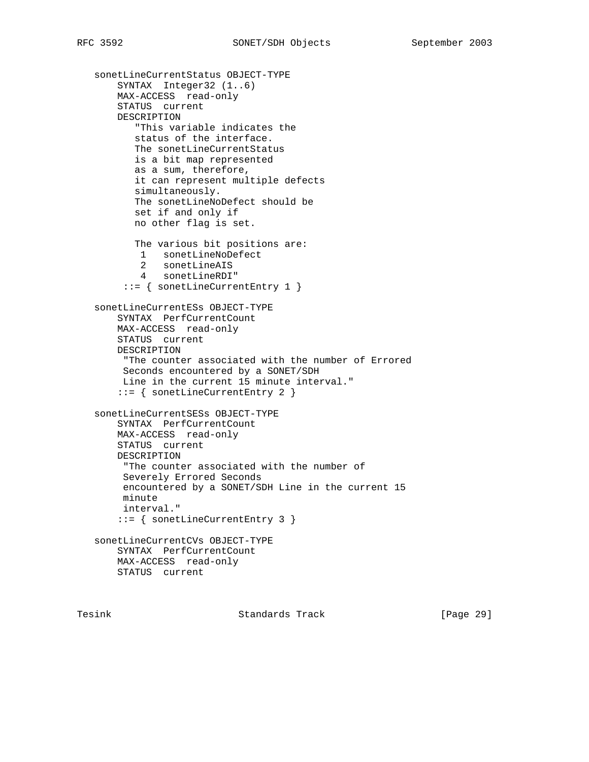```
 sonetLineCurrentStatus OBJECT-TYPE
    SYNTAX Integer32 (1..6)
    MAX-ACCESS read-only
    STATUS current
    DESCRIPTION
        "This variable indicates the
        status of the interface.
       The sonetLineCurrentStatus
       is a bit map represented
       as a sum, therefore,
       it can represent multiple defects
       simultaneously.
       The sonetLineNoDefect should be
        set if and only if
        no other flag is set.
        The various bit positions are:
         1 sonetLineNoDefect
         2 sonetLineAIS
         4 sonetLineRDI"
      ::= { sonetLineCurrentEntry 1 }
 sonetLineCurrentESs OBJECT-TYPE
    SYNTAX PerfCurrentCount
    MAX-ACCESS read-only
    STATUS current
    DESCRIPTION
      "The counter associated with the number of Errored
     Seconds encountered by a SONET/SDH
     Line in the current 15 minute interval."
     ::= { sonetLineCurrentEntry 2 }
 sonetLineCurrentSESs OBJECT-TYPE
    SYNTAX PerfCurrentCount
    MAX-ACCESS read-only
    STATUS current
    DESCRIPTION
     "The counter associated with the number of
     Severely Errored Seconds
     encountered by a SONET/SDH Line in the current 15
     minute
     interval."
     ::= { sonetLineCurrentEntry 3 }
 sonetLineCurrentCVs OBJECT-TYPE
    SYNTAX PerfCurrentCount
    MAX-ACCESS read-only
    STATUS current
```
Tesink **Standards Track** [Page 29]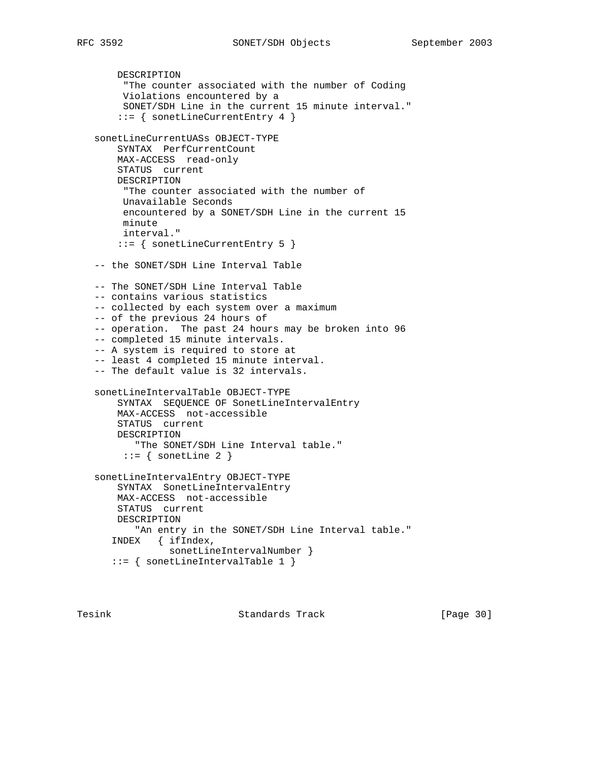```
 DESCRIPTION
      "The counter associated with the number of Coding
      Violations encountered by a
     SONET/SDH Line in the current 15 minute interval."
     ::= { sonetLineCurrentEntry 4 }
 sonetLineCurrentUASs OBJECT-TYPE
    SYNTAX PerfCurrentCount
     MAX-ACCESS read-only
     STATUS current
     DESCRIPTION
      "The counter associated with the number of
     Unavailable Seconds
      encountered by a SONET/SDH Line in the current 15
      minute
      interval."
     ::= { sonetLineCurrentEntry 5 }
 -- the SONET/SDH Line Interval Table
 -- The SONET/SDH Line Interval Table
 -- contains various statistics
 -- collected by each system over a maximum
 -- of the previous 24 hours of
 -- operation. The past 24 hours may be broken into 96
 -- completed 15 minute intervals.
 -- A system is required to store at
 -- least 4 completed 15 minute interval.
 -- The default value is 32 intervals.
 sonetLineIntervalTable OBJECT-TYPE
     SYNTAX SEQUENCE OF SonetLineIntervalEntry
     MAX-ACCESS not-accessible
     STATUS current
     DESCRIPTION
        "The SONET/SDH Line Interval table."
     ::= { sonetLine 2 }
 sonetLineIntervalEntry OBJECT-TYPE
     SYNTAX SonetLineIntervalEntry
     MAX-ACCESS not-accessible
     STATUS current
    DESCRIPTION
        "An entry in the SONET/SDH Line Interval table."
    INDEX { ifIndex,
             sonetLineIntervalNumber }
    ::= { sonetLineIntervalTable 1 }
```
Tesink **Standards Track** [Page 30]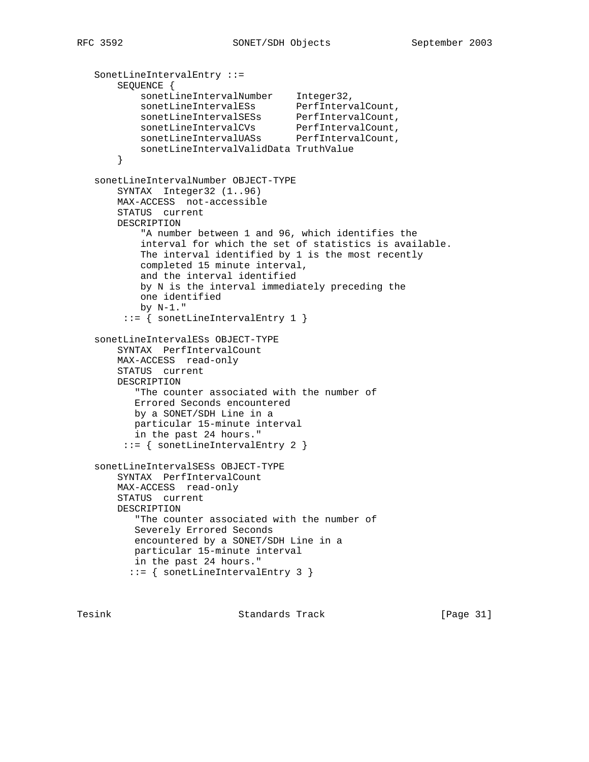```
 SonetLineIntervalEntry ::=
       SEQUENCE {
sonetLineIntervalNumber Integer32,
sonetLineIntervalESs PerfIntervalCount,
sonetLineIntervalSESs PerfIntervalCount,
sonetLineIntervalCVs PerfIntervalCount,
sonetLineIntervalUASs PerfIntervalCount,
           sonetLineIntervalValidData TruthValue
       }
   sonetLineIntervalNumber OBJECT-TYPE
       SYNTAX Integer32 (1..96)
       MAX-ACCESS not-accessible
       STATUS current
       DESCRIPTION
           "A number between 1 and 96, which identifies the
           interval for which the set of statistics is available.
           The interval identified by 1 is the most recently
           completed 15 minute interval,
           and the interval identified
           by N is the interval immediately preceding the
           one identified
           by N-1."
        ::= { sonetLineIntervalEntry 1 }
   sonetLineIntervalESs OBJECT-TYPE
       SYNTAX PerfIntervalCount
       MAX-ACCESS read-only
       STATUS current
       DESCRIPTION
          "The counter associated with the number of
          Errored Seconds encountered
          by a SONET/SDH Line in a
          particular 15-minute interval
          in the past 24 hours."
        ::= { sonetLineIntervalEntry 2 }
   sonetLineIntervalSESs OBJECT-TYPE
       SYNTAX PerfIntervalCount
       MAX-ACCESS read-only
       STATUS current
       DESCRIPTION
          "The counter associated with the number of
          Severely Errored Seconds
          encountered by a SONET/SDH Line in a
          particular 15-minute interval
         in the past 24 hours."
         ::= { sonetLineIntervalEntry 3 }
```
Tesink **Standards Track** [Page 31]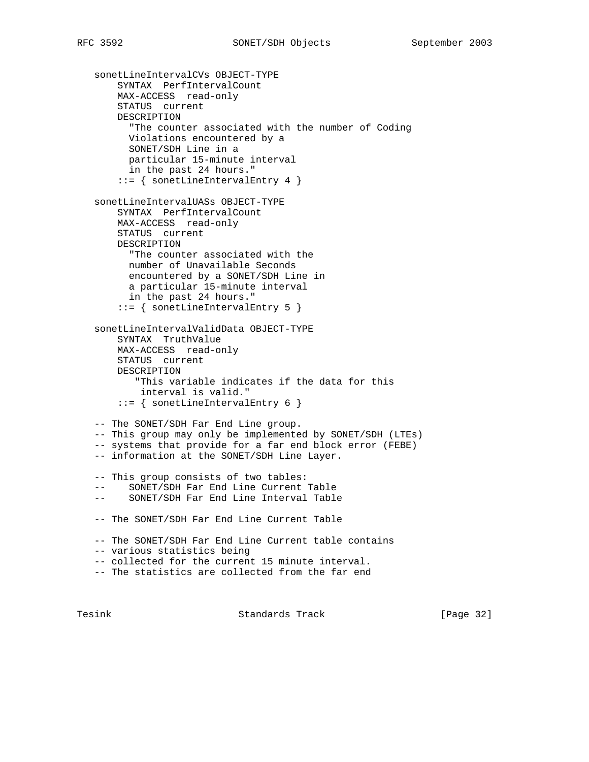sonetLineIntervalCVs OBJECT-TYPE SYNTAX PerfIntervalCount MAX-ACCESS read-only STATUS current DESCRIPTION "The counter associated with the number of Coding Violations encountered by a SONET/SDH Line in a particular 15-minute interval in the past 24 hours." ::= { sonetLineIntervalEntry 4 } sonetLineIntervalUASs OBJECT-TYPE SYNTAX PerfIntervalCount MAX-ACCESS read-only STATUS current DESCRIPTION "The counter associated with the number of Unavailable Seconds encountered by a SONET/SDH Line in a particular 15-minute interval in the past 24 hours." ::= { sonetLineIntervalEntry 5 } sonetLineIntervalValidData OBJECT-TYPE SYNTAX TruthValue MAX-ACCESS read-only STATUS current DESCRIPTION "This variable indicates if the data for this interval is valid." ::= { sonetLineIntervalEntry 6 } -- The SONET/SDH Far End Line group. -- This group may only be implemented by SONET/SDH (LTEs) -- systems that provide for a far end block error (FEBE) -- information at the SONET/SDH Line Layer. -- This group consists of two tables: -- SONET/SDH Far End Line Current Table -- SONET/SDH Far End Line Interval Table -- The SONET/SDH Far End Line Current Table -- The SONET/SDH Far End Line Current table contains -- various statistics being -- collected for the current 15 minute interval. -- The statistics are collected from the far end

Tesink **Standards Track** [Page 32]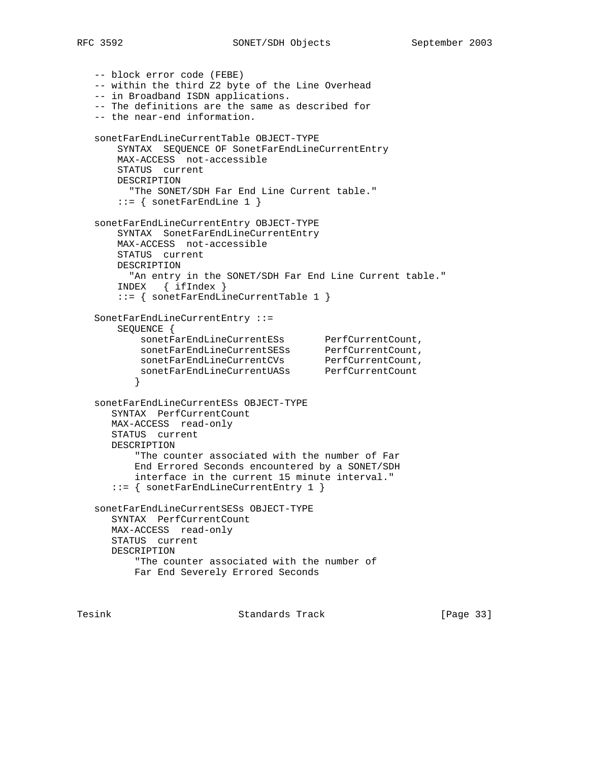-- block error code (FEBE) -- within the third Z2 byte of the Line Overhead -- in Broadband ISDN applications. -- The definitions are the same as described for -- the near-end information. sonetFarEndLineCurrentTable OBJECT-TYPE SYNTAX SEQUENCE OF SonetFarEndLineCurrentEntry MAX-ACCESS not-accessible STATUS current DESCRIPTION "The SONET/SDH Far End Line Current table."  $::=$  { sonetFarEndLine 1 } sonetFarEndLineCurrentEntry OBJECT-TYPE SYNTAX SonetFarEndLineCurrentEntry MAX-ACCESS not-accessible STATUS current DESCRIPTION "An entry in the SONET/SDH Far End Line Current table." INDEX { ifIndex } ::= { sonetFarEndLineCurrentTable 1 } SonetFarEndLineCurrentEntry ::= SEQUENCE { sonetFarEndLineCurrentESs PerfCurrentCount, sonetFarEndLineCurrentSESs PerfCurrentCount, sonetFarEndLineCurrentCVs PerfCurrentCount, sonetFarEndLineCurrentUASs PerfCurrentCount } sonetFarEndLineCurrentESs OBJECT-TYPE SYNTAX PerfCurrentCount MAX-ACCESS read-only STATUS current DESCRIPTION "The counter associated with the number of Far End Errored Seconds encountered by a SONET/SDH interface in the current 15 minute interval." ::= { sonetFarEndLineCurrentEntry 1 } sonetFarEndLineCurrentSESs OBJECT-TYPE SYNTAX PerfCurrentCount MAX-ACCESS read-only STATUS current DESCRIPTION "The counter associated with the number of Far End Severely Errored Seconds

Tesink Standards Track [Page 33]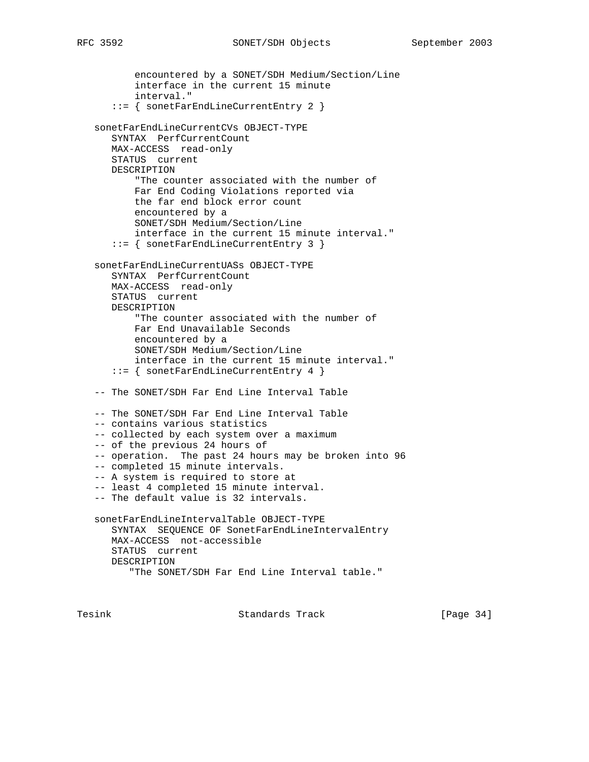encountered by a SONET/SDH Medium/Section/Line interface in the current 15 minute interval." ::= { sonetFarEndLineCurrentEntry 2 } sonetFarEndLineCurrentCVs OBJECT-TYPE SYNTAX PerfCurrentCount MAX-ACCESS read-only STATUS current DESCRIPTION "The counter associated with the number of Far End Coding Violations reported via the far end block error count encountered by a SONET/SDH Medium/Section/Line interface in the current 15 minute interval." ::= { sonetFarEndLineCurrentEntry 3 } sonetFarEndLineCurrentUASs OBJECT-TYPE SYNTAX PerfCurrentCount MAX-ACCESS read-only STATUS current DESCRIPTION "The counter associated with the number of Far End Unavailable Seconds encountered by a SONET/SDH Medium/Section/Line interface in the current 15 minute interval." ::= { sonetFarEndLineCurrentEntry 4 } -- The SONET/SDH Far End Line Interval Table -- The SONET/SDH Far End Line Interval Table -- contains various statistics -- collected by each system over a maximum -- of the previous 24 hours of -- operation. The past 24 hours may be broken into 96 -- completed 15 minute intervals. -- A system is required to store at -- least 4 completed 15 minute interval. -- The default value is 32 intervals. sonetFarEndLineIntervalTable OBJECT-TYPE SYNTAX SEQUENCE OF SonetFarEndLineIntervalEntry MAX-ACCESS not-accessible STATUS current DESCRIPTION "The SONET/SDH Far End Line Interval table."

Tesink Standards Track [Page 34]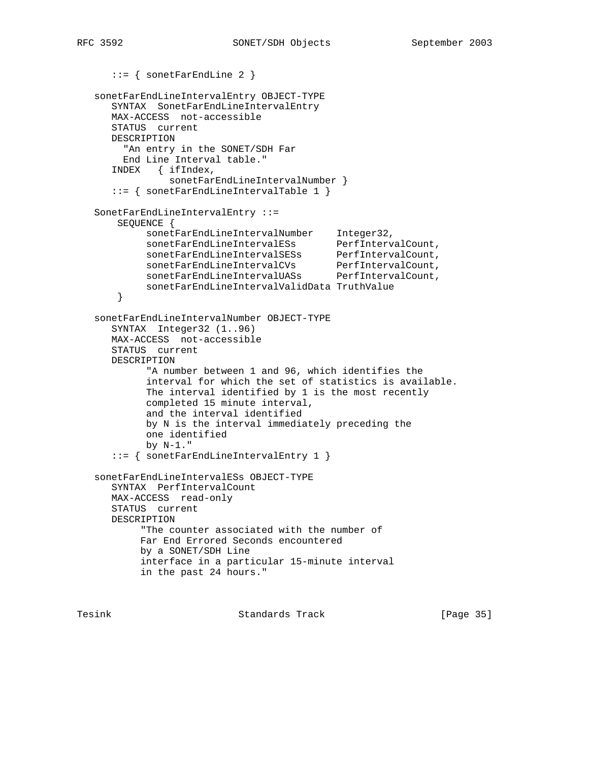```
 ::= { sonetFarEndLine 2 }
   sonetFarEndLineIntervalEntry OBJECT-TYPE
      SYNTAX SonetFarEndLineIntervalEntry
      MAX-ACCESS not-accessible
      STATUS current
      DESCRIPTION
        "An entry in the SONET/SDH Far
        End Line Interval table."
      INDEX { ifIndex,
               sonetFarEndLineIntervalNumber }
      ::= { sonetFarEndLineIntervalTable 1 }
   SonetFarEndLineIntervalEntry ::=
       SEQUENCE {
 sonetFarEndLineIntervalNumber Integer32,
 sonetFarEndLineIntervalESs PerfIntervalCount,
 sonetFarEndLineIntervalSESs PerfIntervalCount,
 sonetFarEndLineIntervalCVs PerfIntervalCount,
 sonetFarEndLineIntervalUASs PerfIntervalCount,
            sonetFarEndLineIntervalValidData TruthValue
       }
   sonetFarEndLineIntervalNumber OBJECT-TYPE
      SYNTAX Integer32 (1..96)
      MAX-ACCESS not-accessible
      STATUS current
      DESCRIPTION
            "A number between 1 and 96, which identifies the
            interval for which the set of statistics is available.
            The interval identified by 1 is the most recently
            completed 15 minute interval,
            and the interval identified
            by N is the interval immediately preceding the
            one identified
            by N-1."
      ::= { sonetFarEndLineIntervalEntry 1 }
   sonetFarEndLineIntervalESs OBJECT-TYPE
      SYNTAX PerfIntervalCount
      MAX-ACCESS read-only
      STATUS current
      DESCRIPTION
           "The counter associated with the number of
           Far End Errored Seconds encountered
           by a SONET/SDH Line
           interface in a particular 15-minute interval
           in the past 24 hours."
```
Tesink Standards Track [Page 35]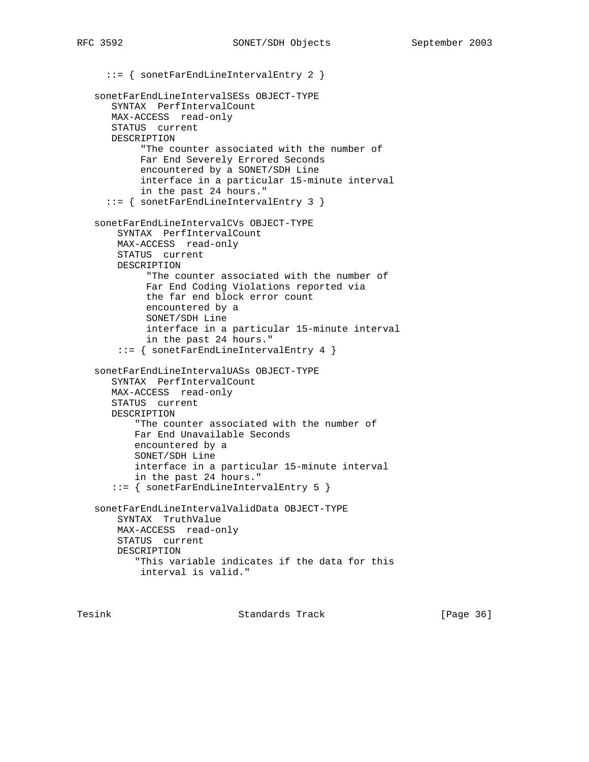::= { sonetFarEndLineIntervalEntry 2 } sonetFarEndLineIntervalSESs OBJECT-TYPE SYNTAX PerfIntervalCount MAX-ACCESS read-only STATUS current DESCRIPTION "The counter associated with the number of Far End Severely Errored Seconds encountered by a SONET/SDH Line interface in a particular 15-minute interval in the past 24 hours." ::= { sonetFarEndLineIntervalEntry 3 } sonetFarEndLineIntervalCVs OBJECT-TYPE SYNTAX PerfIntervalCount MAX-ACCESS read-only STATUS current DESCRIPTION "The counter associated with the number of Far End Coding Violations reported via the far end block error count encountered by a SONET/SDH Line interface in a particular 15-minute interval in the past 24 hours." ::= { sonetFarEndLineIntervalEntry 4 } sonetFarEndLineIntervalUASs OBJECT-TYPE SYNTAX PerfIntervalCount MAX-ACCESS read-only STATUS current DESCRIPTION "The counter associated with the number of Far End Unavailable Seconds encountered by a SONET/SDH Line interface in a particular 15-minute interval in the past 24 hours." ::= { sonetFarEndLineIntervalEntry 5 } sonetFarEndLineIntervalValidData OBJECT-TYPE SYNTAX TruthValue MAX-ACCESS read-only STATUS current DESCRIPTION "This variable indicates if the data for this interval is valid."

Tesink **Standards Track** [Page 36]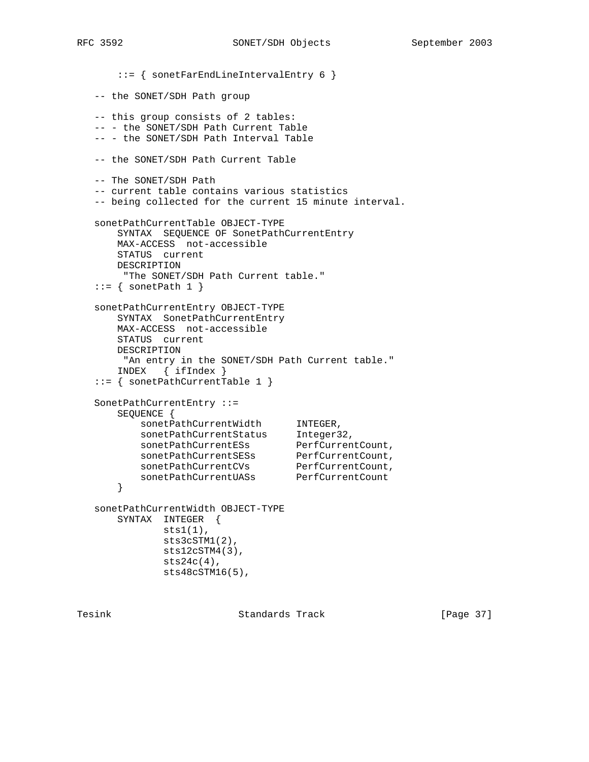```
 ::= { sonetFarEndLineIntervalEntry 6 }
   -- the SONET/SDH Path group
   -- this group consists of 2 tables:
   -- - the SONET/SDH Path Current Table
   -- - the SONET/SDH Path Interval Table
   -- the SONET/SDH Path Current Table
   -- The SONET/SDH Path
   -- current table contains various statistics
   -- being collected for the current 15 minute interval.
   sonetPathCurrentTable OBJECT-TYPE
       SYNTAX SEQUENCE OF SonetPathCurrentEntry
       MAX-ACCESS not-accessible
       STATUS current
       DESCRIPTION
       "The SONET/SDH Path Current table."
  ::= { sonetPath 1 }
   sonetPathCurrentEntry OBJECT-TYPE
       SYNTAX SonetPathCurrentEntry
       MAX-ACCESS not-accessible
       STATUS current
       DESCRIPTION
        "An entry in the SONET/SDH Path Current table."
       INDEX { ifIndex }
   ::= { sonetPathCurrentTable 1 }
   SonetPathCurrentEntry ::=
       SEQUENCE {
sonetPathCurrentWidth INTEGER,
sonetPathCurrentStatus Integer32,
sonetPathCurrentESs PerfCurrentCount,
sonetPathCurrentSESs PerfCurrentCount,
sonetPathCurrentCVs PerfCurrentCount,
sonetPathCurrentUASs PerfCurrentCount
       }
   sonetPathCurrentWidth OBJECT-TYPE
       SYNTAX INTEGER {
              sts1(1),
              sts3cSTM1(2),
              sts12cSTM4(3),
             sts24c(4),
              sts48cSTM16(5),
```
Tesink **Standards Track** [Page 37]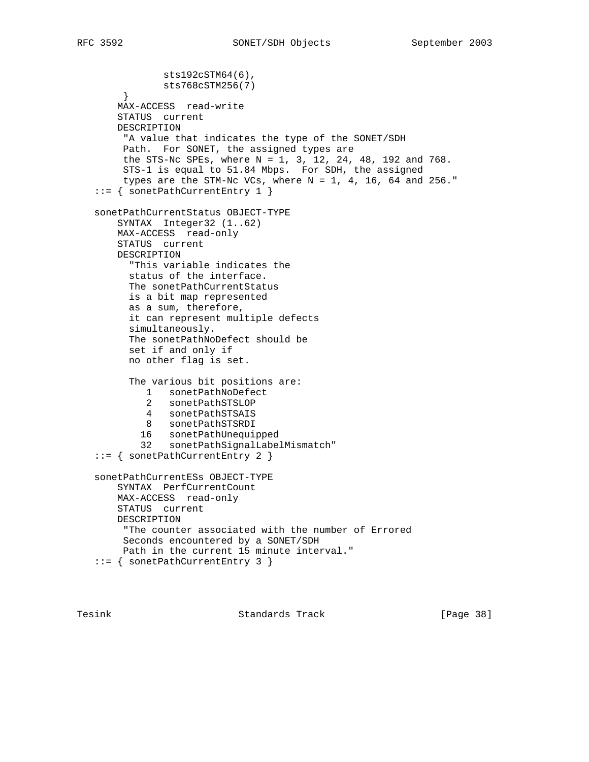```
 sts192cSTM64(6),
            sts768cSTM256(7)
      }
    MAX-ACCESS read-write
    STATUS current
    DESCRIPTION
      "A value that indicates the type of the SONET/SDH
     Path. For SONET, the assigned types are
     the STS-Nc SPEs, where N = 1, 3, 12, 24, 48, 192 and 768.
      STS-1 is equal to 51.84 Mbps. For SDH, the assigned
    types are the STM-Nc VCs, where N = 1, 4, 16, 64 and 256."
 ::= { sonetPathCurrentEntry 1 }
 sonetPathCurrentStatus OBJECT-TYPE
    SYNTAX Integer32 (1..62)
    MAX-ACCESS read-only
    STATUS current
    DESCRIPTION
      "This variable indicates the
      status of the interface.
      The sonetPathCurrentStatus
      is a bit map represented
      as a sum, therefore,
      it can represent multiple defects
      simultaneously.
      The sonetPathNoDefect should be
      set if and only if
      no other flag is set.
       The various bit positions are:
        1 sonetPathNoDefect
          2 sonetPathSTSLOP
         4 sonetPathSTSAIS
         8 sonetPathSTSRDI
         16 sonetPathUnequipped
        32 sonetPathSignalLabelMismatch"
 ::= { sonetPathCurrentEntry 2 }
 sonetPathCurrentESs OBJECT-TYPE
    SYNTAX PerfCurrentCount
    MAX-ACCESS read-only
    STATUS current
    DESCRIPTION
     "The counter associated with the number of Errored
     Seconds encountered by a SONET/SDH
     Path in the current 15 minute interval."
 ::= { sonetPathCurrentEntry 3 }
```
Tesink **Standards Track** [Page 38]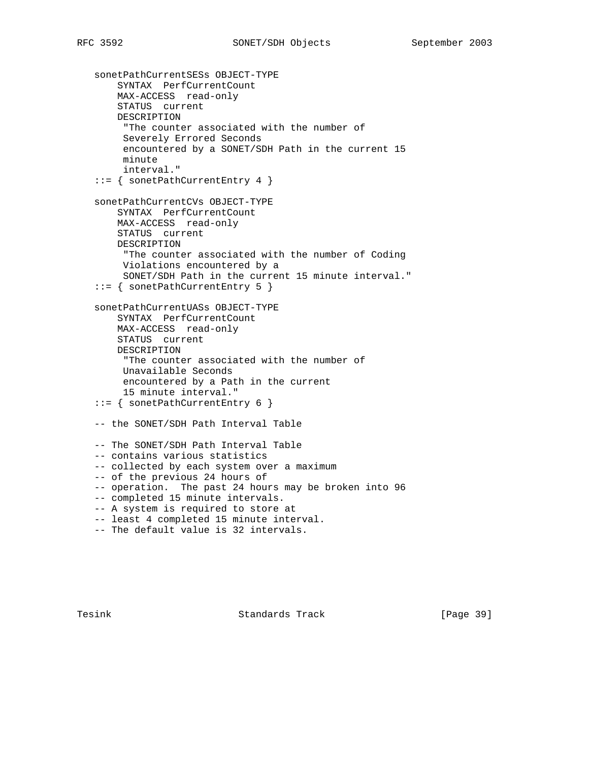sonetPathCurrentSESs OBJECT-TYPE SYNTAX PerfCurrentCount MAX-ACCESS read-only STATUS current DESCRIPTION "The counter associated with the number of Severely Errored Seconds encountered by a SONET/SDH Path in the current 15 minute interval." ::= { sonetPathCurrentEntry 4 } sonetPathCurrentCVs OBJECT-TYPE SYNTAX PerfCurrentCount MAX-ACCESS read-only STATUS current DESCRIPTION "The counter associated with the number of Coding Violations encountered by a SONET/SDH Path in the current 15 minute interval." ::= { sonetPathCurrentEntry 5 } sonetPathCurrentUASs OBJECT-TYPE SYNTAX PerfCurrentCount MAX-ACCESS read-only STATUS current DESCRIPTION "The counter associated with the number of Unavailable Seconds encountered by a Path in the current 15 minute interval." ::= { sonetPathCurrentEntry 6 } -- the SONET/SDH Path Interval Table -- The SONET/SDH Path Interval Table -- contains various statistics -- collected by each system over a maximum -- of the previous 24 hours of -- operation. The past 24 hours may be broken into 96 -- completed 15 minute intervals. -- A system is required to store at -- least 4 completed 15 minute interval. -- The default value is 32 intervals.

Tesink **Standards Track** [Page 39]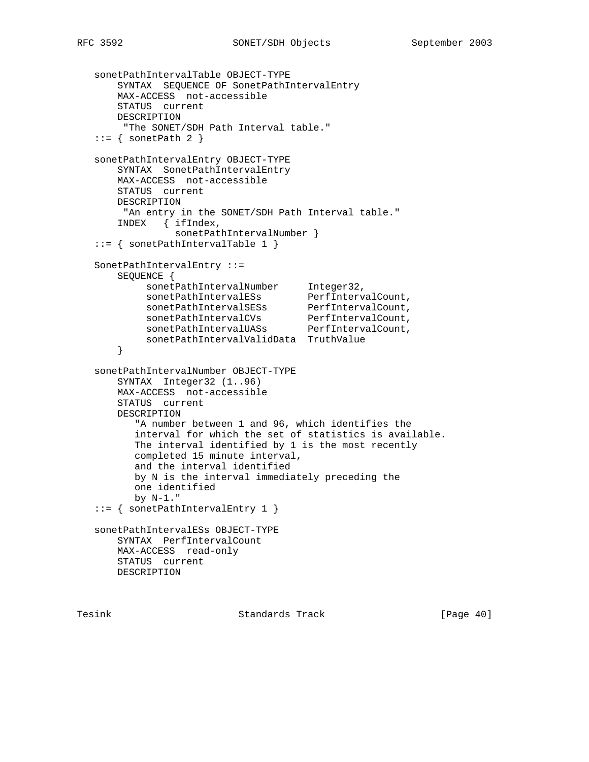```
 sonetPathIntervalTable OBJECT-TYPE
       SYNTAX SEQUENCE OF SonetPathIntervalEntry
       MAX-ACCESS not-accessible
       STATUS current
       DESCRIPTION
        "The SONET/SDH Path Interval table."
  ::= { sonetPath 2 }
   sonetPathIntervalEntry OBJECT-TYPE
       SYNTAX SonetPathIntervalEntry
       MAX-ACCESS not-accessible
       STATUS current
       DESCRIPTION
        "An entry in the SONET/SDH Path Interval table."
       INDEX { ifIndex,
               sonetPathIntervalNumber }
   ::= { sonetPathIntervalTable 1 }
   SonetPathIntervalEntry ::=
       SEQUENCE {
sonetPathIntervalNumber Integer32,
sonetPathIntervalESs PerfIntervalCount,
sonetPathIntervalSESs PerfIntervalCount,
sonetPathIntervalCVs PerfIntervalCount,
sonetPathIntervalUASs PerfIntervalCount,
           sonetPathIntervalValidData TruthValue
       }
   sonetPathIntervalNumber OBJECT-TYPE
       SYNTAX Integer32 (1..96)
       MAX-ACCESS not-accessible
       STATUS current
       DESCRIPTION
          "A number between 1 and 96, which identifies the
          interval for which the set of statistics is available.
          The interval identified by 1 is the most recently
          completed 15 minute interval,
          and the interval identified
          by N is the interval immediately preceding the
          one identified
         by N-1."
   ::= { sonetPathIntervalEntry 1 }
   sonetPathIntervalESs OBJECT-TYPE
       SYNTAX PerfIntervalCount
       MAX-ACCESS read-only
       STATUS current
       DESCRIPTION
```
Tesink Standards Track [Page 40]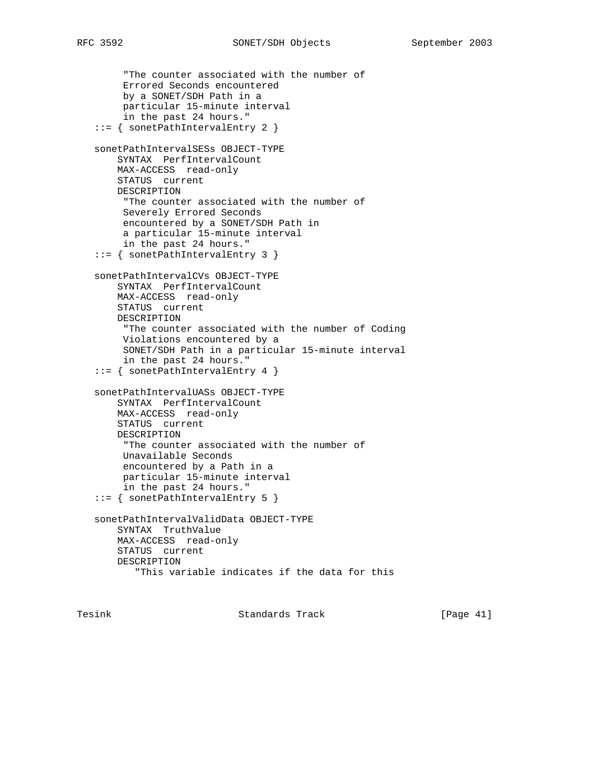```
 "The counter associated with the number of
      Errored Seconds encountered
     by a SONET/SDH Path in a
     particular 15-minute interval
     in the past 24 hours."
 ::= { sonetPathIntervalEntry 2 }
 sonetPathIntervalSESs OBJECT-TYPE
    SYNTAX PerfIntervalCount
    MAX-ACCESS read-only
    STATUS current
    DESCRIPTION
      "The counter associated with the number of
     Severely Errored Seconds
      encountered by a SONET/SDH Path in
      a particular 15-minute interval
     in the past 24 hours."
 ::= { sonetPathIntervalEntry 3 }
 sonetPathIntervalCVs OBJECT-TYPE
    SYNTAX PerfIntervalCount
    MAX-ACCESS read-only
    STATUS current
    DESCRIPTION
      "The counter associated with the number of Coding
     Violations encountered by a
     SONET/SDH Path in a particular 15-minute interval
     in the past 24 hours."
 ::= { sonetPathIntervalEntry 4 }
 sonetPathIntervalUASs OBJECT-TYPE
    SYNTAX PerfIntervalCount
    MAX-ACCESS read-only
    STATUS current
    DESCRIPTION
      "The counter associated with the number of
     Unavailable Seconds
     encountered by a Path in a
     particular 15-minute interval
      in the past 24 hours."
 ::= { sonetPathIntervalEntry 5 }
 sonetPathIntervalValidData OBJECT-TYPE
    SYNTAX TruthValue
    MAX-ACCESS read-only
    STATUS current
    DESCRIPTION
        "This variable indicates if the data for this
```
Tesink **Standards Track** [Page 41]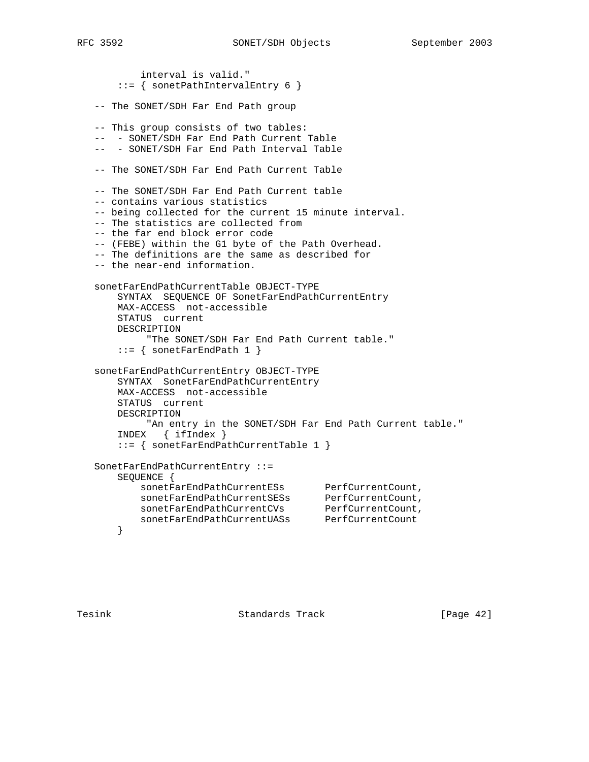interval is valid." ::= { sonetPathIntervalEntry 6 } -- The SONET/SDH Far End Path group -- This group consists of two tables: -- - SONET/SDH Far End Path Current Table -- - SONET/SDH Far End Path Interval Table -- The SONET/SDH Far End Path Current Table -- The SONET/SDH Far End Path Current table -- contains various statistics -- being collected for the current 15 minute interval. -- The statistics are collected from -- the far end block error code -- (FEBE) within the G1 byte of the Path Overhead. -- The definitions are the same as described for -- the near-end information. sonetFarEndPathCurrentTable OBJECT-TYPE SYNTAX SEQUENCE OF SonetFarEndPathCurrentEntry MAX-ACCESS not-accessible STATUS current DESCRIPTION "The SONET/SDH Far End Path Current table."  $::=$  { sonetFarEndPath 1 } sonetFarEndPathCurrentEntry OBJECT-TYPE SYNTAX SonetFarEndPathCurrentEntry MAX-ACCESS not-accessible STATUS current DESCRIPTION "An entry in the SONET/SDH Far End Path Current table." INDEX { ifIndex } ::= { sonetFarEndPathCurrentTable 1 } SonetFarEndPathCurrentEntry ::= SEQUENCE { sonetFarEndPathCurrentESs PerfCurrentCount, sonetFarEndPathCurrentSESs PerfCurrentCount, sonetFarEndPathCurrentCVs PerfCurrentCount, sonetFarEndPathCurrentUASs PerfCurrentCount }

Tesink **Standards Track** [Page 42]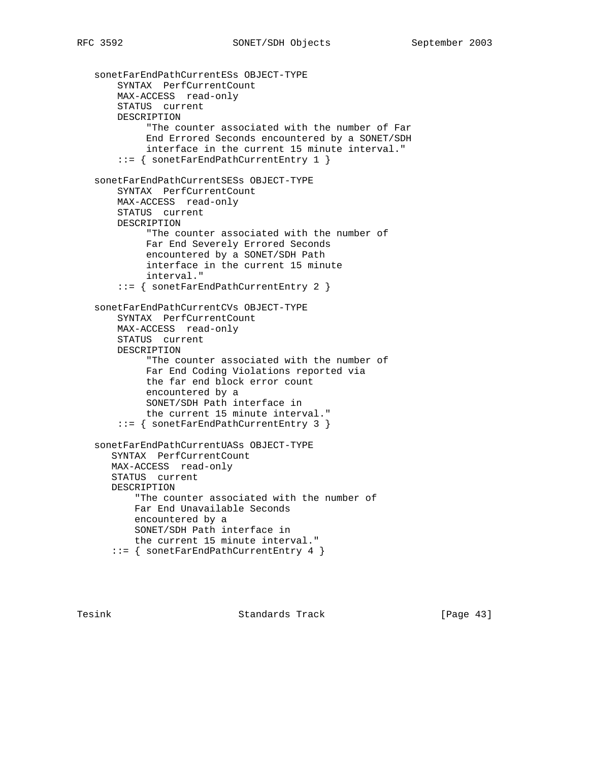```
 sonetFarEndPathCurrentESs OBJECT-TYPE
    SYNTAX PerfCurrentCount
    MAX-ACCESS read-only
    STATUS current
    DESCRIPTION
          "The counter associated with the number of Far
          End Errored Seconds encountered by a SONET/SDH
         interface in the current 15 minute interval."
     ::= { sonetFarEndPathCurrentEntry 1 }
 sonetFarEndPathCurrentSESs OBJECT-TYPE
    SYNTAX PerfCurrentCount
    MAX-ACCESS read-only
    STATUS current
    DESCRIPTION
          "The counter associated with the number of
          Far End Severely Errored Seconds
          encountered by a SONET/SDH Path
          interface in the current 15 minute
          interval."
     ::= { sonetFarEndPathCurrentEntry 2 }
 sonetFarEndPathCurrentCVs OBJECT-TYPE
    SYNTAX PerfCurrentCount
    MAX-ACCESS read-only
    STATUS current
    DESCRIPTION
          "The counter associated with the number of
          Far End Coding Violations reported via
          the far end block error count
          encountered by a
          SONET/SDH Path interface in
          the current 15 minute interval."
     ::= { sonetFarEndPathCurrentEntry 3 }
 sonetFarEndPathCurrentUASs OBJECT-TYPE
   SYNTAX PerfCurrentCount
   MAX-ACCESS read-only
   STATUS current
   DESCRIPTION
        "The counter associated with the number of
        Far End Unavailable Seconds
        encountered by a
       SONET/SDH Path interface in
       the current 15 minute interval."
    ::= { sonetFarEndPathCurrentEntry 4 }
```
Tesink **Standards Track** [Page 43]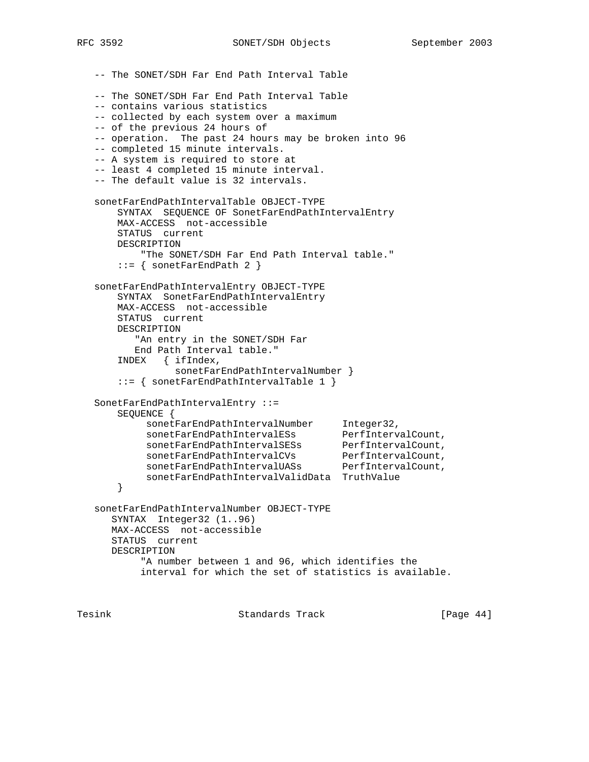-- The SONET/SDH Far End Path Interval Table -- The SONET/SDH Far End Path Interval Table -- contains various statistics -- collected by each system over a maximum -- of the previous 24 hours of -- operation. The past 24 hours may be broken into 96 -- completed 15 minute intervals. -- A system is required to store at -- least 4 completed 15 minute interval. -- The default value is 32 intervals. sonetFarEndPathIntervalTable OBJECT-TYPE SYNTAX SEQUENCE OF SonetFarEndPathIntervalEntry MAX-ACCESS not-accessible STATUS current DESCRIPTION "The SONET/SDH Far End Path Interval table."  $::=$  { sonetFarEndPath 2 } sonetFarEndPathIntervalEntry OBJECT-TYPE SYNTAX SonetFarEndPathIntervalEntry MAX-ACCESS not-accessible STATUS current DESCRIPTION "An entry in the SONET/SDH Far End Path Interval table." INDEX { ifIndex, sonetFarEndPathIntervalNumber } ::= { sonetFarEndPathIntervalTable 1 } SonetFarEndPathIntervalEntry ::= SEQUENCE { sonetFarEndPathIntervalNumber Integer32, sonetFarEndPathIntervalESs PerfIntervalCount, sonetFarEndPathIntervalSESs PerfIntervalCount, sonetFarEndPathIntervalCVs PerfIntervalCount, sonetFarEndPathIntervalUASs PerfIntervalCount, sonetFarEndPathIntervalValidData TruthValue } sonetFarEndPathIntervalNumber OBJECT-TYPE SYNTAX Integer32 (1..96) MAX-ACCESS not-accessible STATUS current DESCRIPTION "A number between 1 and 96, which identifies the interval for which the set of statistics is available.

Tesink **Standards Track** [Page 44]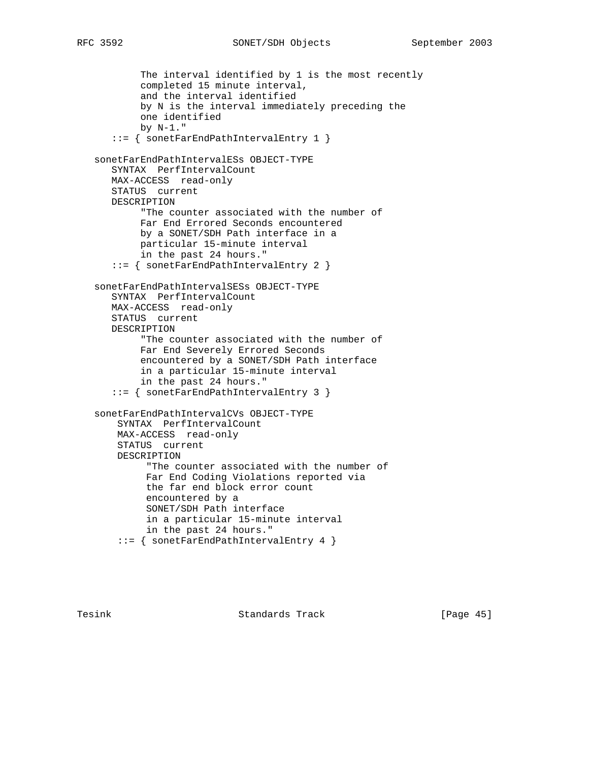```
 The interval identified by 1 is the most recently
```
 completed 15 minute interval, and the interval identified by N is the interval immediately preceding the one identified by N-1." ::= { sonetFarEndPathIntervalEntry 1 } sonetFarEndPathIntervalESs OBJECT-TYPE SYNTAX PerfIntervalCount MAX-ACCESS read-only STATUS current DESCRIPTION "The counter associated with the number of Far End Errored Seconds encountered by a SONET/SDH Path interface in a particular 15-minute interval in the past 24 hours." ::= { sonetFarEndPathIntervalEntry 2 } sonetFarEndPathIntervalSESs OBJECT-TYPE SYNTAX PerfIntervalCount MAX-ACCESS read-only STATUS current DESCRIPTION "The counter associated with the number of Far End Severely Errored Seconds encountered by a SONET/SDH Path interface in a particular 15-minute interval in the past 24 hours." ::= { sonetFarEndPathIntervalEntry 3 } sonetFarEndPathIntervalCVs OBJECT-TYPE SYNTAX PerfIntervalCount MAX-ACCESS read-only STATUS current DESCRIPTION "The counter associated with the number of Far End Coding Violations reported via the far end block error count encountered by a SONET/SDH Path interface in a particular 15-minute interval in the past 24 hours." ::= { sonetFarEndPathIntervalEntry 4 }

Tesink **Standards Track** [Page 45]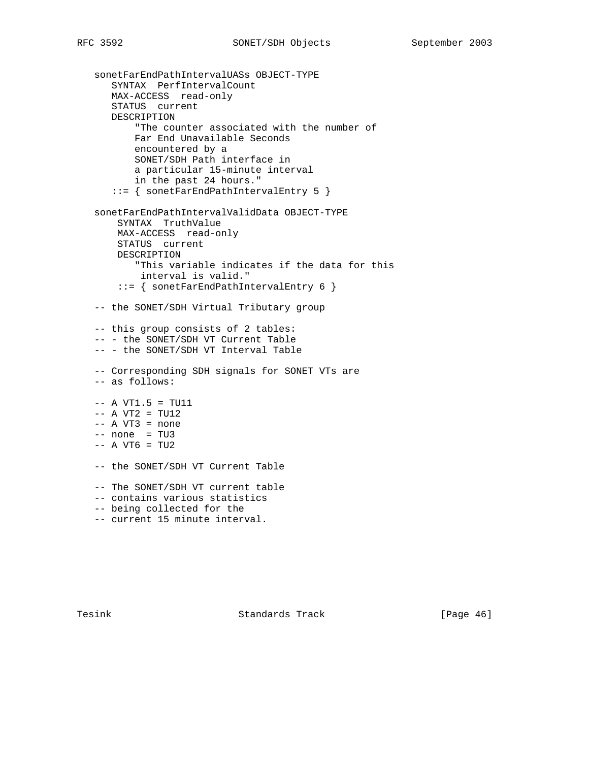```
 sonetFarEndPathIntervalUASs OBJECT-TYPE
   SYNTAX PerfIntervalCount
   MAX-ACCESS read-only
   STATUS current
   DESCRIPTION
        "The counter associated with the number of
       Far End Unavailable Seconds
       encountered by a
       SONET/SDH Path interface in
       a particular 15-minute interval
       in the past 24 hours."
    ::= { sonetFarEndPathIntervalEntry 5 }
 sonetFarEndPathIntervalValidData OBJECT-TYPE
    SYNTAX TruthValue
    MAX-ACCESS read-only
    STATUS current
    DESCRIPTION
        "This variable indicates if the data for this
        interval is valid."
     ::= { sonetFarEndPathIntervalEntry 6 }
 -- the SONET/SDH Virtual Tributary group
 -- this group consists of 2 tables:
 -- - the SONET/SDH VT Current Table
 -- - the SONET/SDH VT Interval Table
 -- Corresponding SDH signals for SONET VTs are
 -- as follows:
-- A VT1.5 = TU11-- A VT2 = TU12
-- A VT3 = none
-- none = TU3
-- A VT6 = TU2
 -- the SONET/SDH VT Current Table
 -- The SONET/SDH VT current table
 -- contains various statistics
 -- being collected for the
 -- current 15 minute interval.
```
Tesink **Standards Track** [Page 46]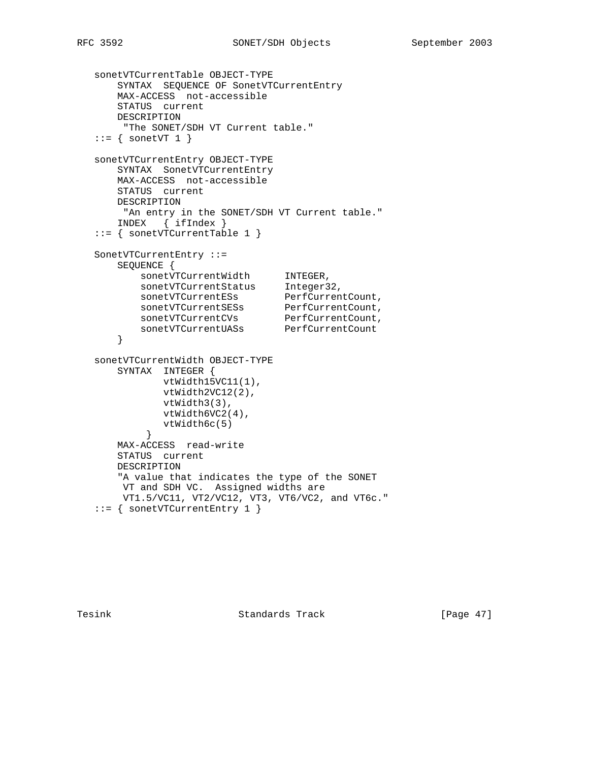```
 sonetVTCurrentTable OBJECT-TYPE
       SYNTAX SEQUENCE OF SonetVTCurrentEntry
       MAX-ACCESS not-accessible
       STATUS current
      DESCRIPTION
       "The SONET/SDH VT Current table."
  ::= { sonetVT 1 }
   sonetVTCurrentEntry OBJECT-TYPE
      SYNTAX SonetVTCurrentEntry
       MAX-ACCESS not-accessible
      STATUS current
       DESCRIPTION
       "An entry in the SONET/SDH VT Current table."
       INDEX { ifIndex }
   ::= { sonetVTCurrentTable 1 }
   SonetVTCurrentEntry ::=
      SEQUENCE {
sonetVTCurrentWidth INTEGER,
sonetVTCurrentStatus Integer32,
sonetVTCurrentESs PerfCurrentCount,
sonetVTCurrentSESs PerfCurrentCount,
sonetVTCurrentCVs PerfCurrentCount,
sonetVTCurrentUASs PerfCurrentCount
       }
   sonetVTCurrentWidth OBJECT-TYPE
      SYNTAX INTEGER {
             vtWidth15VC11(1),
             vtWidth2VC12(2),
             vtWidth3(3),
             vtWidth6VC2(4),
             vtWidth6c(5)
           }
       MAX-ACCESS read-write
       STATUS current
       DESCRIPTION
       "A value that indicates the type of the SONET
       VT and SDH VC. Assigned widths are
       VT1.5/VC11, VT2/VC12, VT3, VT6/VC2, and VT6c."
   ::= { sonetVTCurrentEntry 1 }
```
Tesink **Standards Track** [Page 47]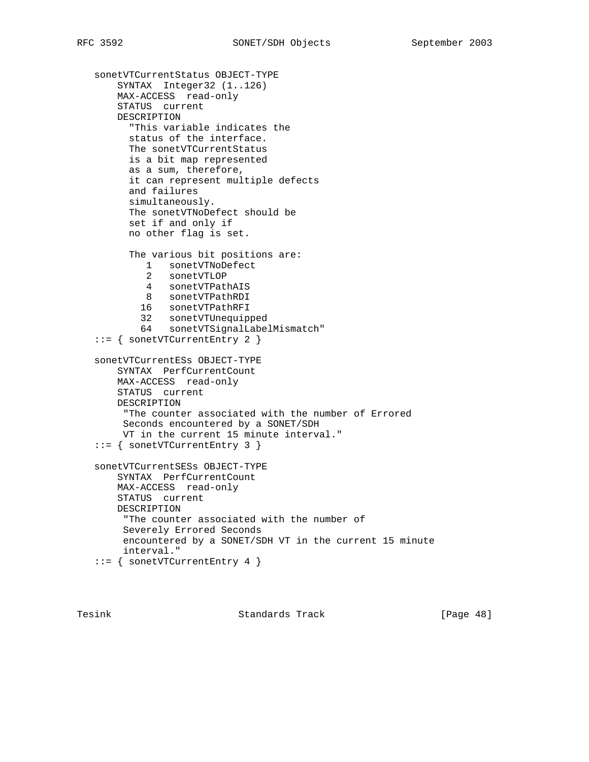```
 sonetVTCurrentStatus OBJECT-TYPE
    SYNTAX Integer32 (1..126)
    MAX-ACCESS read-only
    STATUS current
    DESCRIPTION
       "This variable indicates the
      status of the interface.
      The sonetVTCurrentStatus
      is a bit map represented
      as a sum, therefore,
      it can represent multiple defects
      and failures
      simultaneously.
      The sonetVTNoDefect should be
      set if and only if
      no other flag is set.
       The various bit positions are:
         1 sonetVTNoDefect
          2 sonetVTLOP
          4 sonetVTPathAIS
          8 sonetVTPathRDI
         16 sonetVTPathRFI
         32 sonetVTUnequipped
         64 sonetVTSignalLabelMismatch"
 ::= { sonetVTCurrentEntry 2 }
 sonetVTCurrentESs OBJECT-TYPE
    SYNTAX PerfCurrentCount
    MAX-ACCESS read-only
    STATUS current
    DESCRIPTION
      "The counter associated with the number of Errored
     Seconds encountered by a SONET/SDH
     VT in the current 15 minute interval."
 ::= { sonetVTCurrentEntry 3 }
 sonetVTCurrentSESs OBJECT-TYPE
    SYNTAX PerfCurrentCount
    MAX-ACCESS read-only
    STATUS current
    DESCRIPTION
      "The counter associated with the number of
     Severely Errored Seconds
     encountered by a SONET/SDH VT in the current 15 minute
     interval."
 ::= { sonetVTCurrentEntry 4 }
```
Tesink **Standards Track** [Page 48]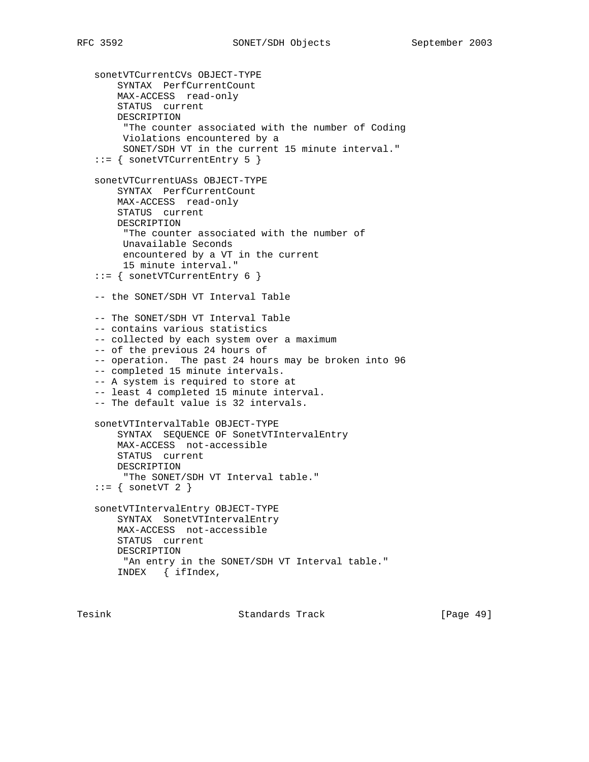sonetVTCurrentCVs OBJECT-TYPE SYNTAX PerfCurrentCount MAX-ACCESS read-only STATUS current DESCRIPTION "The counter associated with the number of Coding Violations encountered by a SONET/SDH VT in the current 15 minute interval." ::= { sonetVTCurrentEntry 5 } sonetVTCurrentUASs OBJECT-TYPE SYNTAX PerfCurrentCount MAX-ACCESS read-only STATUS current DESCRIPTION "The counter associated with the number of Unavailable Seconds encountered by a VT in the current 15 minute interval." ::= { sonetVTCurrentEntry 6 } -- the SONET/SDH VT Interval Table -- The SONET/SDH VT Interval Table -- contains various statistics -- collected by each system over a maximum -- of the previous 24 hours of -- operation. The past 24 hours may be broken into 96 -- completed 15 minute intervals. -- A system is required to store at -- least 4 completed 15 minute interval. -- The default value is 32 intervals. sonetVTIntervalTable OBJECT-TYPE SYNTAX SEQUENCE OF SonetVTIntervalEntry MAX-ACCESS not-accessible STATUS current DESCRIPTION "The SONET/SDH VT Interval table."  $::=$  { sonetVT 2 } sonetVTIntervalEntry OBJECT-TYPE SYNTAX SonetVTIntervalEntry MAX-ACCESS not-accessible STATUS current DESCRIPTION "An entry in the SONET/SDH VT Interval table." INDEX { ifIndex,

Tesink Standards Track [Page 49]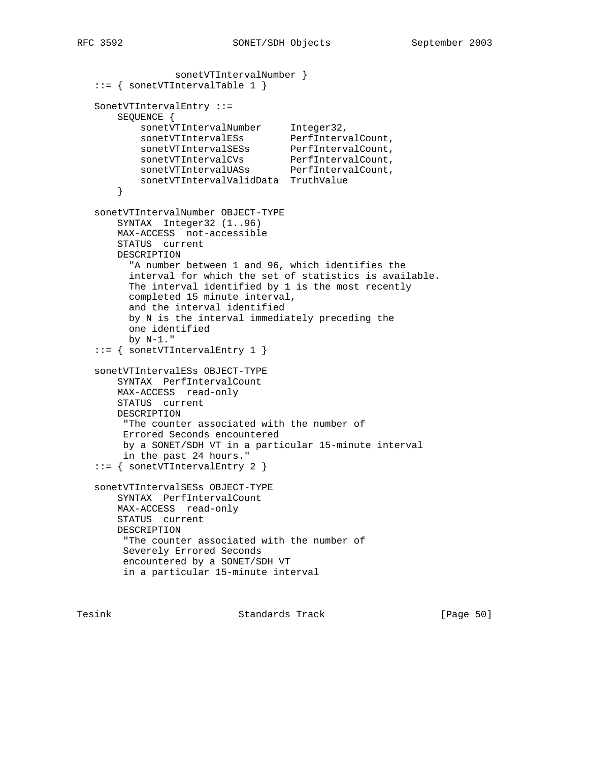```
 sonetVTIntervalNumber }
  ::= { sonetVTIntervalTable 1 }
   SonetVTIntervalEntry ::=
       SEQUENCE {
sonetVTIntervalNumber Integer32,
sonetVTIntervalESs PerfIntervalCount,
sonetVTIntervalSESs PerfIntervalCount,
sonetVTIntervalCVs PerfIntervalCount,
sonetVTIntervalUASs PerfIntervalCount,
           sonetVTIntervalValidData TruthValue
       }
   sonetVTIntervalNumber OBJECT-TYPE
       SYNTAX Integer32 (1..96)
       MAX-ACCESS not-accessible
       STATUS current
       DESCRIPTION
         "A number between 1 and 96, which identifies the
         interval for which the set of statistics is available.
         The interval identified by 1 is the most recently
         completed 15 minute interval,
         and the interval identified
         by N is the interval immediately preceding the
         one identified
         by N-1."
   ::= { sonetVTIntervalEntry 1 }
   sonetVTIntervalESs OBJECT-TYPE
       SYNTAX PerfIntervalCount
       MAX-ACCESS read-only
       STATUS current
       DESCRIPTION
        "The counter associated with the number of
        Errored Seconds encountered
        by a SONET/SDH VT in a particular 15-minute interval
        in the past 24 hours."
   ::= { sonetVTIntervalEntry 2 }
   sonetVTIntervalSESs OBJECT-TYPE
       SYNTAX PerfIntervalCount
       MAX-ACCESS read-only
       STATUS current
       DESCRIPTION
        "The counter associated with the number of
        Severely Errored Seconds
        encountered by a SONET/SDH VT
        in a particular 15-minute interval
```
Tesink **Standards Track** [Page 50]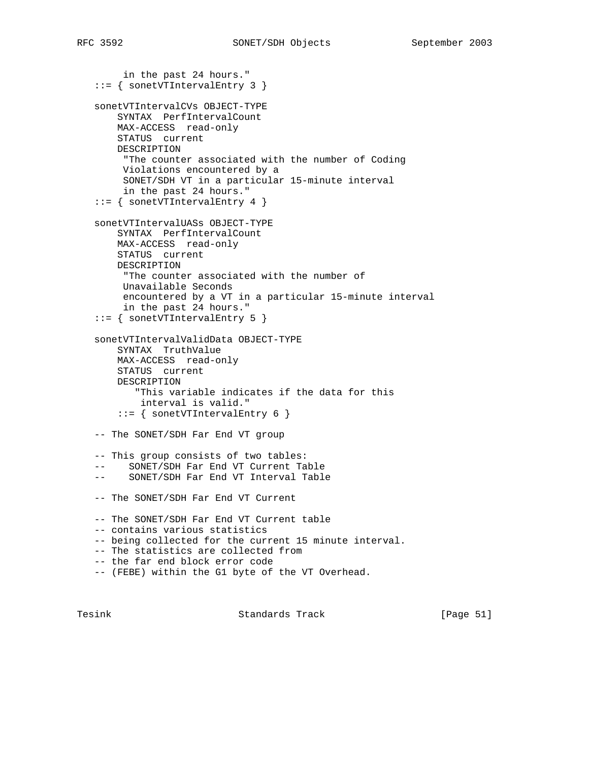```
 in the past 24 hours."
 ::= { sonetVTIntervalEntry 3 }
 sonetVTIntervalCVs OBJECT-TYPE
    SYNTAX PerfIntervalCount
    MAX-ACCESS read-only
    STATUS current
    DESCRIPTION
      "The counter associated with the number of Coding
     Violations encountered by a
     SONET/SDH VT in a particular 15-minute interval
     in the past 24 hours."
 ::= { sonetVTIntervalEntry 4 }
 sonetVTIntervalUASs OBJECT-TYPE
    SYNTAX PerfIntervalCount
    MAX-ACCESS read-only
    STATUS current
    DESCRIPTION
     "The counter associated with the number of
     Unavailable Seconds
     encountered by a VT in a particular 15-minute interval
     in the past 24 hours."
 ::= { sonetVTIntervalEntry 5 }
 sonetVTIntervalValidData OBJECT-TYPE
    SYNTAX TruthValue
    MAX-ACCESS read-only
    STATUS current
    DESCRIPTION
        "This variable indicates if the data for this
        interval is valid."
    ::= { sonetVTIntervalEntry 6 }
 -- The SONET/SDH Far End VT group
 -- This group consists of two tables:
 -- SONET/SDH Far End VT Current Table
 -- SONET/SDH Far End VT Interval Table
 -- The SONET/SDH Far End VT Current
 -- The SONET/SDH Far End VT Current table
 -- contains various statistics
 -- being collected for the current 15 minute interval.
 -- The statistics are collected from
 -- the far end block error code
 -- (FEBE) within the G1 byte of the VT Overhead.
```
Tesink Standards Track [Page 51]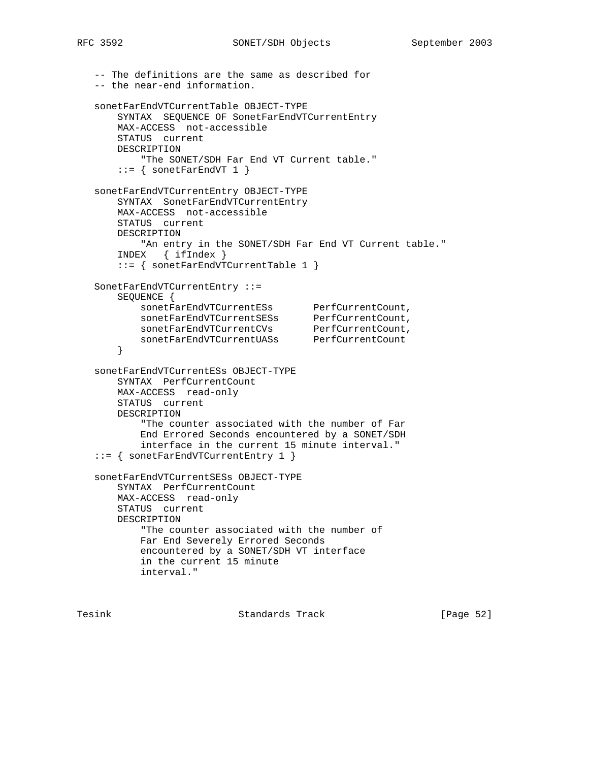```
 -- The definitions are the same as described for
   -- the near-end information.
   sonetFarEndVTCurrentTable OBJECT-TYPE
       SYNTAX SEQUENCE OF SonetFarEndVTCurrentEntry
       MAX-ACCESS not-accessible
       STATUS current
       DESCRIPTION
           "The SONET/SDH Far End VT Current table."
      ::= { sonetFarEndVT 1 }
   sonetFarEndVTCurrentEntry OBJECT-TYPE
       SYNTAX SonetFarEndVTCurrentEntry
       MAX-ACCESS not-accessible
       STATUS current
       DESCRIPTION
          "An entry in the SONET/SDH Far End VT Current table."
       INDEX { ifIndex }
       ::= { sonetFarEndVTCurrentTable 1 }
   SonetFarEndVTCurrentEntry ::=
       SEQUENCE {
sonetFarEndVTCurrentESs PerfCurrentCount,
 sonetFarEndVTCurrentSESs PerfCurrentCount,
 sonetFarEndVTCurrentCVs PerfCurrentCount,
 sonetFarEndVTCurrentUASs PerfCurrentCount
       }
   sonetFarEndVTCurrentESs OBJECT-TYPE
       SYNTAX PerfCurrentCount
       MAX-ACCESS read-only
       STATUS current
       DESCRIPTION
           "The counter associated with the number of Far
           End Errored Seconds encountered by a SONET/SDH
           interface in the current 15 minute interval."
   ::= { sonetFarEndVTCurrentEntry 1 }
   sonetFarEndVTCurrentSESs OBJECT-TYPE
       SYNTAX PerfCurrentCount
       MAX-ACCESS read-only
       STATUS current
       DESCRIPTION
           "The counter associated with the number of
           Far End Severely Errored Seconds
           encountered by a SONET/SDH VT interface
           in the current 15 minute
           interval."
```
Tesink **Standards Track** [Page 52]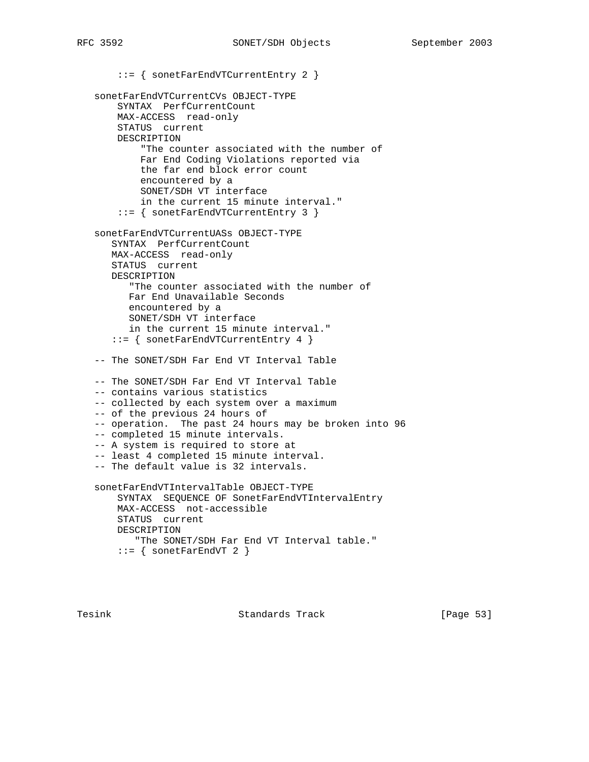::= { sonetFarEndVTCurrentEntry 2 } sonetFarEndVTCurrentCVs OBJECT-TYPE SYNTAX PerfCurrentCount MAX-ACCESS read-only STATUS current DESCRIPTION "The counter associated with the number of Far End Coding Violations reported via the far end block error count encountered by a SONET/SDH VT interface in the current 15 minute interval." ::= { sonetFarEndVTCurrentEntry 3 } sonetFarEndVTCurrentUASs OBJECT-TYPE SYNTAX PerfCurrentCount MAX-ACCESS read-only STATUS current DESCRIPTION "The counter associated with the number of Far End Unavailable Seconds encountered by a SONET/SDH VT interface in the current 15 minute interval." ::= { sonetFarEndVTCurrentEntry 4 } -- The SONET/SDH Far End VT Interval Table -- The SONET/SDH Far End VT Interval Table -- contains various statistics -- collected by each system over a maximum -- of the previous 24 hours of -- operation. The past 24 hours may be broken into 96 -- completed 15 minute intervals. -- A system is required to store at -- least 4 completed 15 minute interval. -- The default value is 32 intervals. sonetFarEndVTIntervalTable OBJECT-TYPE SYNTAX SEQUENCE OF SonetFarEndVTIntervalEntry MAX-ACCESS not-accessible STATUS current DESCRIPTION "The SONET/SDH Far End VT Interval table."  $::=$  { sonetFarEndVT 2 }

Tesink **Standards Track** [Page 53]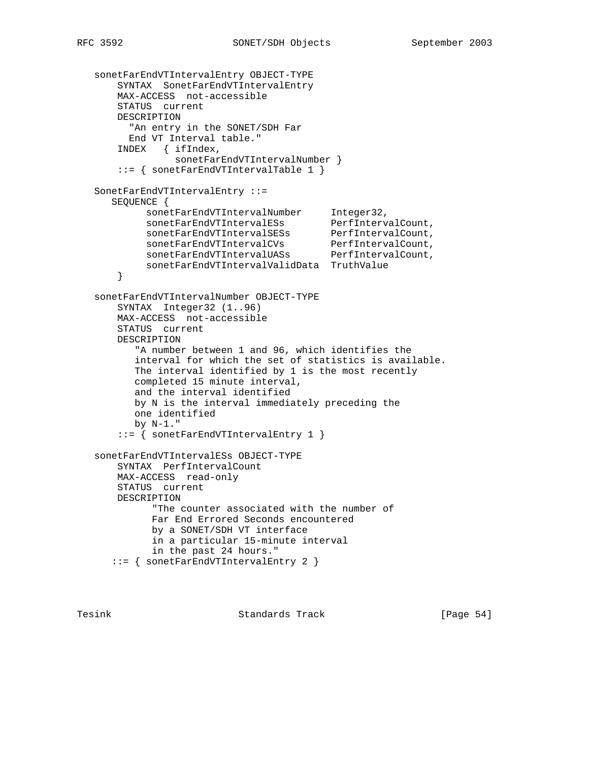```
 sonetFarEndVTIntervalEntry OBJECT-TYPE
       SYNTAX SonetFarEndVTIntervalEntry
       MAX-ACCESS not-accessible
       STATUS current
       DESCRIPTION
         "An entry in the SONET/SDH Far
         End VT Interval table."
       INDEX { ifIndex,
                sonetFarEndVTIntervalNumber }
       ::= { sonetFarEndVTIntervalTable 1 }
   SonetFarEndVTIntervalEntry ::=
      SEQUENCE {
sonetFarEndVTIntervalNumber Integer32,
sonetFarEndVTIntervalESs PerfIntervalCount,
 sonetFarEndVTIntervalSESs PerfIntervalCount,
 sonetFarEndVTIntervalCVs PerfIntervalCount,
 sonetFarEndVTIntervalUASs PerfIntervalCount,
            sonetFarEndVTIntervalValidData TruthValue
       }
   sonetFarEndVTIntervalNumber OBJECT-TYPE
       SYNTAX Integer32 (1..96)
       MAX-ACCESS not-accessible
       STATUS current
       DESCRIPTION
          "A number between 1 and 96, which identifies the
          interval for which the set of statistics is available.
          The interval identified by 1 is the most recently
          completed 15 minute interval,
          and the interval identified
          by N is the interval immediately preceding the
          one identified
          by N-1."
       ::= { sonetFarEndVTIntervalEntry 1 }
   sonetFarEndVTIntervalESs OBJECT-TYPE
       SYNTAX PerfIntervalCount
       MAX-ACCESS read-only
       STATUS current
       DESCRIPTION
             "The counter associated with the number of
             Far End Errored Seconds encountered
             by a SONET/SDH VT interface
             in a particular 15-minute interval
            in the past 24 hours."
      ::= { sonetFarEndVTIntervalEntry 2 }
```
Tesink **Standards Track** [Page 54]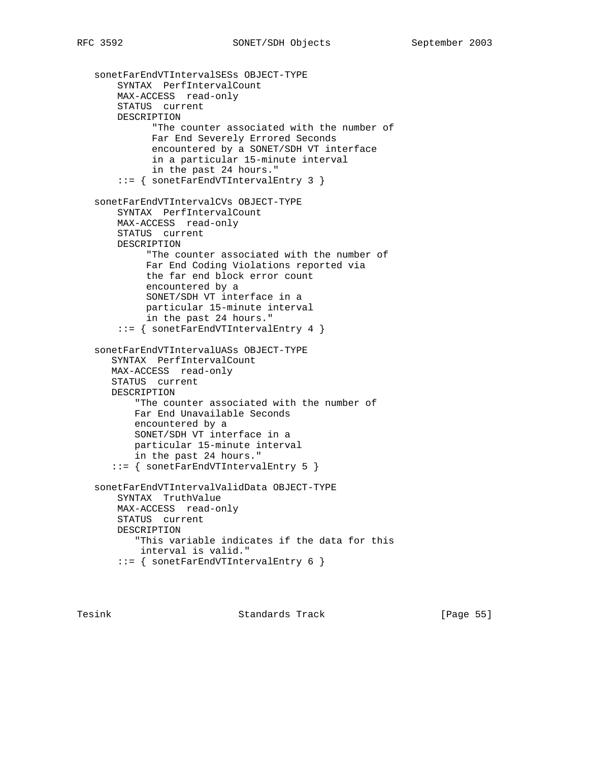```
 sonetFarEndVTIntervalSESs OBJECT-TYPE
    SYNTAX PerfIntervalCount
    MAX-ACCESS read-only
    STATUS current
    DESCRIPTION
           "The counter associated with the number of
           Far End Severely Errored Seconds
           encountered by a SONET/SDH VT interface
           in a particular 15-minute interval
           in the past 24 hours."
     ::= { sonetFarEndVTIntervalEntry 3 }
 sonetFarEndVTIntervalCVs OBJECT-TYPE
    SYNTAX PerfIntervalCount
    MAX-ACCESS read-only
     STATUS current
    DESCRIPTION
          "The counter associated with the number of
          Far End Coding Violations reported via
          the far end block error count
          encountered by a
          SONET/SDH VT interface in a
          particular 15-minute interval
         in the past 24 hours."
     ::= { sonetFarEndVTIntervalEntry 4 }
 sonetFarEndVTIntervalUASs OBJECT-TYPE
    SYNTAX PerfIntervalCount
   MAX-ACCESS read-only
   STATUS current
   DESCRIPTION
        "The counter associated with the number of
        Far End Unavailable Seconds
        encountered by a
       SONET/SDH VT interface in a
        particular 15-minute interval
        in the past 24 hours."
    ::= { sonetFarEndVTIntervalEntry 5 }
 sonetFarEndVTIntervalValidData OBJECT-TYPE
    SYNTAX TruthValue
    MAX-ACCESS read-only
    STATUS current
    DESCRIPTION
        "This variable indicates if the data for this
        interval is valid."
     ::= { sonetFarEndVTIntervalEntry 6 }
```
Tesink **Standards Track** [Page 55]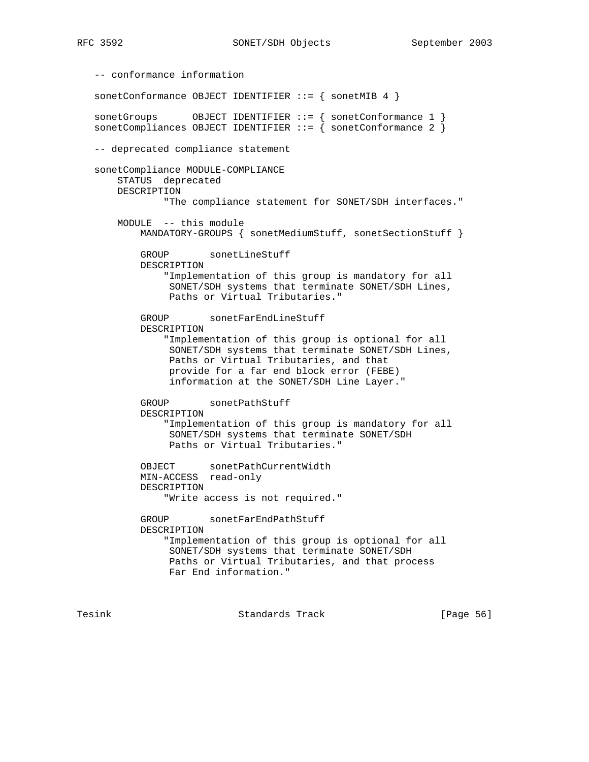-- conformance information sonetConformance OBJECT IDENTIFIER ::= { sonetMIB 4 } sonetGroups OBJECT IDENTIFIER ::= { sonetConformance 1 } sonetCompliances OBJECT IDENTIFIER ::= { sonetConformance 2 } -- deprecated compliance statement sonetCompliance MODULE-COMPLIANCE STATUS deprecated DESCRIPTION "The compliance statement for SONET/SDH interfaces." MODULE -- this module MANDATORY-GROUPS { sonetMediumStuff, sonetSectionStuff } GROUP sonetLineStuff DESCRIPTION "Implementation of this group is mandatory for all SONET/SDH systems that terminate SONET/SDH Lines, Paths or Virtual Tributaries." GROUP sonetFarEndLineStuff DESCRIPTION "Implementation of this group is optional for all SONET/SDH systems that terminate SONET/SDH Lines, Paths or Virtual Tributaries, and that provide for a far end block error (FEBE) information at the SONET/SDH Line Layer." GROUP sonetPathStuff DESCRIPTION "Implementation of this group is mandatory for all SONET/SDH systems that terminate SONET/SDH Paths or Virtual Tributaries." OBJECT sonetPathCurrentWidth MIN-ACCESS read-only DESCRIPTION "Write access is not required." GROUP sonetFarEndPathStuff DESCRIPTION "Implementation of this group is optional for all SONET/SDH systems that terminate SONET/SDH Paths or Virtual Tributaries, and that process Far End information."

Tesink Standards Track [Page 56]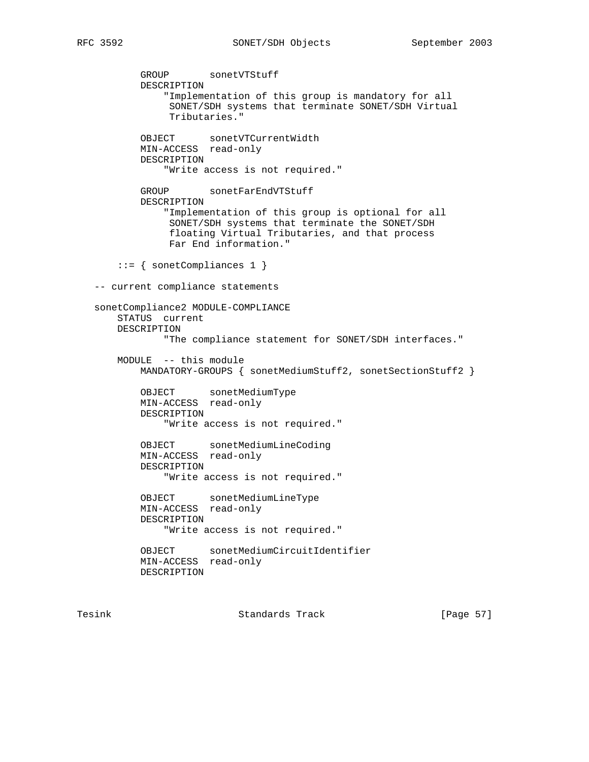GROUP sonetVTStuff DESCRIPTION "Implementation of this group is mandatory for all SONET/SDH systems that terminate SONET/SDH Virtual Tributaries." OBJECT sonetVTCurrentWidth MIN-ACCESS read-only DESCRIPTION "Write access is not required." GROUP sonetFarEndVTStuff DESCRIPTION "Implementation of this group is optional for all SONET/SDH systems that terminate the SONET/SDH floating Virtual Tributaries, and that process Far End information." ::= { sonetCompliances 1 } -- current compliance statements sonetCompliance2 MODULE-COMPLIANCE STATUS current DESCRIPTION "The compliance statement for SONET/SDH interfaces." MODULE -- this module MANDATORY-GROUPS { sonetMediumStuff2, sonetSectionStuff2 } OBJECT sonetMediumType MIN-ACCESS read-only DESCRIPTION "Write access is not required." OBJECT sonetMediumLineCoding MIN-ACCESS read-only DESCRIPTION "Write access is not required." OBJECT sonetMediumLineType MIN-ACCESS read-only DESCRIPTION "Write access is not required." OBJECT sonetMediumCircuitIdentifier MIN-ACCESS read-only DESCRIPTION

Tesink **Standards Track** [Page 57]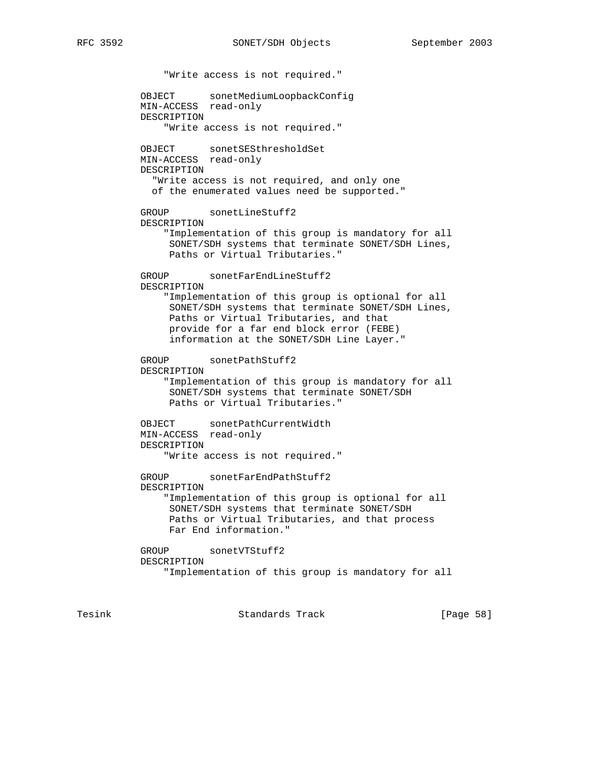"Write access is not required." OBJECT sonetMediumLoopbackConfig MIN-ACCESS read-only DESCRIPTION "Write access is not required." OBJECT sonetSESthresholdSet MIN-ACCESS read-only DESCRIPTION "Write access is not required, and only one of the enumerated values need be supported." GROUP sonetLineStuff2 DESCRIPTION "Implementation of this group is mandatory for all SONET/SDH systems that terminate SONET/SDH Lines, Paths or Virtual Tributaries." GROUP sonetFarEndLineStuff2 DESCRIPTION "Implementation of this group is optional for all SONET/SDH systems that terminate SONET/SDH Lines, Paths or Virtual Tributaries, and that provide for a far end block error (FEBE) information at the SONET/SDH Line Layer." GROUP sonetPathStuff2 DESCRIPTION "Implementation of this group is mandatory for all SONET/SDH systems that terminate SONET/SDH Paths or Virtual Tributaries." OBJECT sonetPathCurrentWidth MIN-ACCESS read-only DESCRIPTION "Write access is not required." GROUP sonetFarEndPathStuff2 DESCRIPTION "Implementation of this group is optional for all SONET/SDH systems that terminate SONET/SDH Paths or Virtual Tributaries, and that process Far End information." GROUP sonetVTStuff2 DESCRIPTION "Implementation of this group is mandatory for all

Tesink Standards Track [Page 58]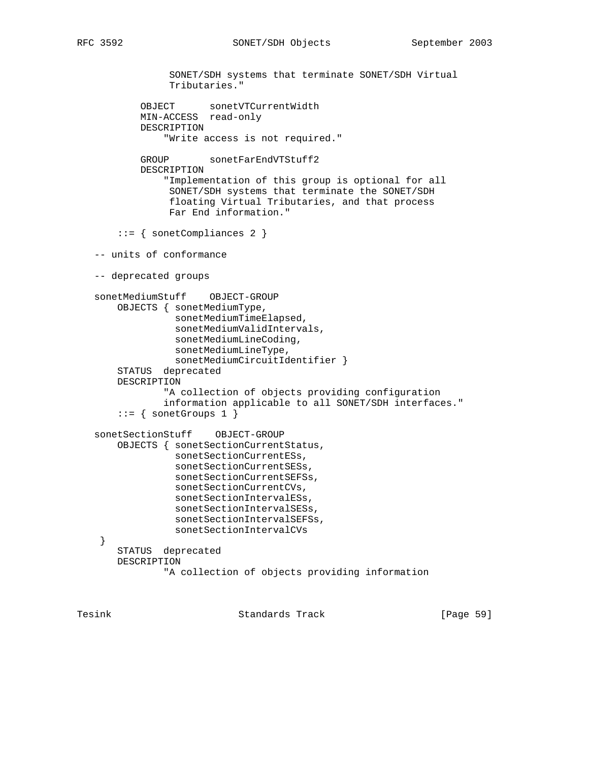```
 SONET/SDH systems that terminate SONET/SDH Virtual
                Tributaries."
 OBJECT sonetVTCurrentWidth
 MIN-ACCESS read-only
           DESCRIPTION
                "Write access is not required."
          GROUP sonetFarEndVTStuff2
           DESCRIPTION
                "Implementation of this group is optional for all
                SONET/SDH systems that terminate the SONET/SDH
                 floating Virtual Tributaries, and that process
                 Far End information."
        ::= { sonetCompliances 2 }
   -- units of conformance
   -- deprecated groups
   sonetMediumStuff OBJECT-GROUP
       OBJECTS { sonetMediumType,
                 sonetMediumTimeElapsed,
                 sonetMediumValidIntervals,
                 sonetMediumLineCoding,
                 sonetMediumLineType,
                 sonetMediumCircuitIdentifier }
       STATUS deprecated
       DESCRIPTION
                "A collection of objects providing configuration
                information applicable to all SONET/SDH interfaces."
       ::= { sonetGroups 1 }
   sonetSectionStuff OBJECT-GROUP
       OBJECTS { sonetSectionCurrentStatus,
                 sonetSectionCurrentESs,
                 sonetSectionCurrentSESs,
                 sonetSectionCurrentSEFSs,
                 sonetSectionCurrentCVs,
                 sonetSectionIntervalESs,
                 sonetSectionIntervalSESs,
                 sonetSectionIntervalSEFSs,
                 sonetSectionIntervalCVs
    }
       STATUS deprecated
       DESCRIPTION
                "A collection of objects providing information
```
Tesink Standards Track [Page 59]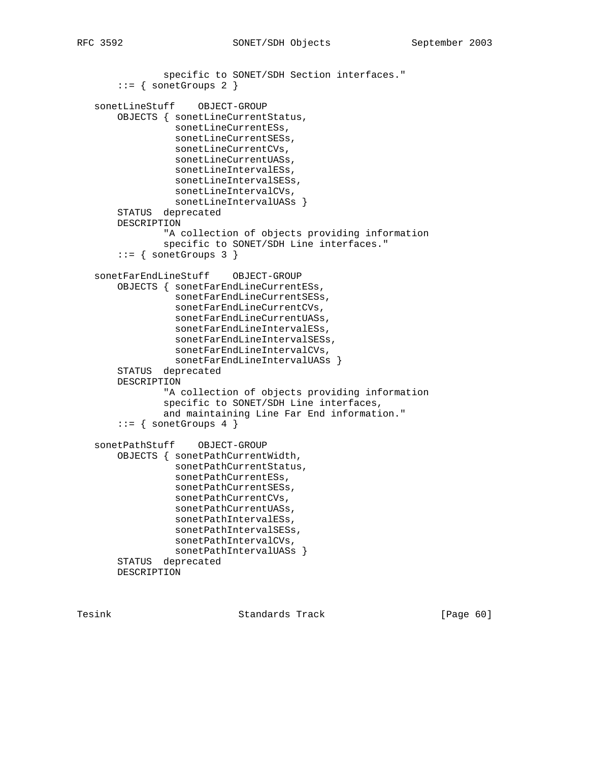```
 specific to SONET/SDH Section interfaces."
    ::= { sonetGroups 2 }
 sonetLineStuff OBJECT-GROUP
     OBJECTS { sonetLineCurrentStatus,
               sonetLineCurrentESs,
               sonetLineCurrentSESs,
               sonetLineCurrentCVs,
               sonetLineCurrentUASs,
               sonetLineIntervalESs,
               sonetLineIntervalSESs,
               sonetLineIntervalCVs,
             sonetLineIntervalUASs }
     STATUS deprecated
     DESCRIPTION
             "A collection of objects providing information
             specific to SONET/SDH Line interfaces."
    ::= { sonetGroups 3 }
 sonetFarEndLineStuff OBJECT-GROUP
    OBJECTS { sonetFarEndLineCurrentESs,
               sonetFarEndLineCurrentSESs,
               sonetFarEndLineCurrentCVs,
               sonetFarEndLineCurrentUASs,
               sonetFarEndLineIntervalESs,
               sonetFarEndLineIntervalSESs,
               sonetFarEndLineIntervalCVs,
               sonetFarEndLineIntervalUASs }
     STATUS deprecated
     DESCRIPTION
             "A collection of objects providing information
             specific to SONET/SDH Line interfaces,
             and maintaining Line Far End information."
    ::= { sonetGroups 4 }
 sonetPathStuff OBJECT-GROUP
    OBJECTS { sonetPathCurrentWidth,
               sonetPathCurrentStatus,
               sonetPathCurrentESs,
               sonetPathCurrentSESs,
               sonetPathCurrentCVs,
               sonetPathCurrentUASs,
               sonetPathIntervalESs,
               sonetPathIntervalSESs,
              sonetPathIntervalCVs,
              sonetPathIntervalUASs }
     STATUS deprecated
    DESCRIPTION
```
Tesink Standards Track [Page 60]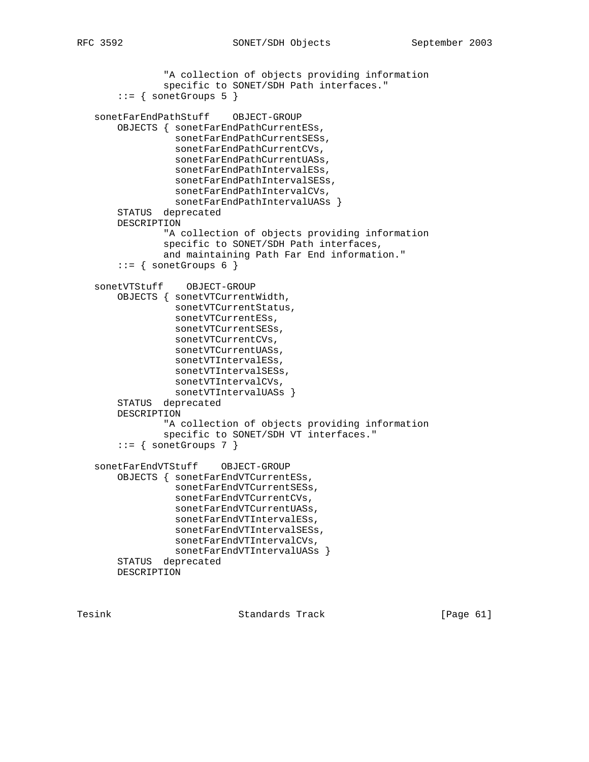```
 "A collection of objects providing information
             specific to SONET/SDH Path interfaces."
    ::= { sonetGroups 5 }
 sonetFarEndPathStuff OBJECT-GROUP
    OBJECTS { sonetFarEndPathCurrentESs,
               sonetFarEndPathCurrentSESs,
               sonetFarEndPathCurrentCVs,
               sonetFarEndPathCurrentUASs,
               sonetFarEndPathIntervalESs,
               sonetFarEndPathIntervalSESs,
               sonetFarEndPathIntervalCVs,
              sonetFarEndPathIntervalUASs }
     STATUS deprecated
     DESCRIPTION
             "A collection of objects providing information
             specific to SONET/SDH Path interfaces,
             and maintaining Path Far End information."
    ::= { sonetGroups 6 }
 sonetVTStuff OBJECT-GROUP
     OBJECTS { sonetVTCurrentWidth,
               sonetVTCurrentStatus,
               sonetVTCurrentESs,
               sonetVTCurrentSESs,
               sonetVTCurrentCVs,
               sonetVTCurrentUASs,
               sonetVTIntervalESs,
               sonetVTIntervalSESs,
               sonetVTIntervalCVs,
               sonetVTIntervalUASs }
     STATUS deprecated
    DESCRIPTION
             "A collection of objects providing information
             specific to SONET/SDH VT interfaces."
    ::= { sonetGroups 7 }
```

```
 sonetFarEndVTStuff OBJECT-GROUP
     OBJECTS { sonetFarEndVTCurrentESs,
               sonetFarEndVTCurrentSESs,
               sonetFarEndVTCurrentCVs,
               sonetFarEndVTCurrentUASs,
               sonetFarEndVTIntervalESs,
               sonetFarEndVTIntervalSESs,
               sonetFarEndVTIntervalCVs,
              sonetFarEndVTIntervalUASs }
     STATUS deprecated
    DESCRIPTION
```
Tesink Standards Track [Page 61]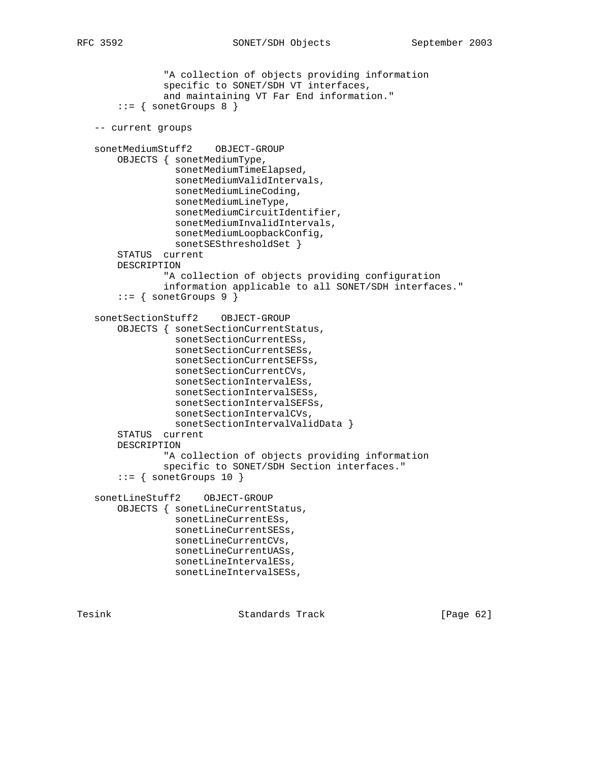```
 "A collection of objects providing information
             specific to SONET/SDH VT interfaces,
             and maintaining VT Far End information."
    ::= { sonetGroups 8 }
 -- current groups
 sonetMediumStuff2 OBJECT-GROUP
     OBJECTS { sonetMediumType,
               sonetMediumTimeElapsed,
               sonetMediumValidIntervals,
               sonetMediumLineCoding,
               sonetMediumLineType,
               sonetMediumCircuitIdentifier,
               sonetMediumInvalidIntervals,
               sonetMediumLoopbackConfig,
              sonetSESthresholdSet }
     STATUS current
     DESCRIPTION
             "A collection of objects providing configuration
             information applicable to all SONET/SDH interfaces."
     ::= { sonetGroups 9 }
 sonetSectionStuff2 OBJECT-GROUP
     OBJECTS { sonetSectionCurrentStatus,
               sonetSectionCurrentESs,
               sonetSectionCurrentSESs,
               sonetSectionCurrentSEFSs,
               sonetSectionCurrentCVs,
               sonetSectionIntervalESs,
               sonetSectionIntervalSESs,
               sonetSectionIntervalSEFSs,
               sonetSectionIntervalCVs,
              sonetSectionIntervalValidData }
     STATUS current
     DESCRIPTION
             "A collection of objects providing information
             specific to SONET/SDH Section interfaces."
    ::= { sonetGroups 10 }
 sonetLineStuff2 OBJECT-GROUP
    OBJECTS { sonetLineCurrentStatus,
               sonetLineCurrentESs,
               sonetLineCurrentSESs,
               sonetLineCurrentCVs,
               sonetLineCurrentUASs,
               sonetLineIntervalESs,
               sonetLineIntervalSESs,
```
Tesink **Standards Track** [Page 62]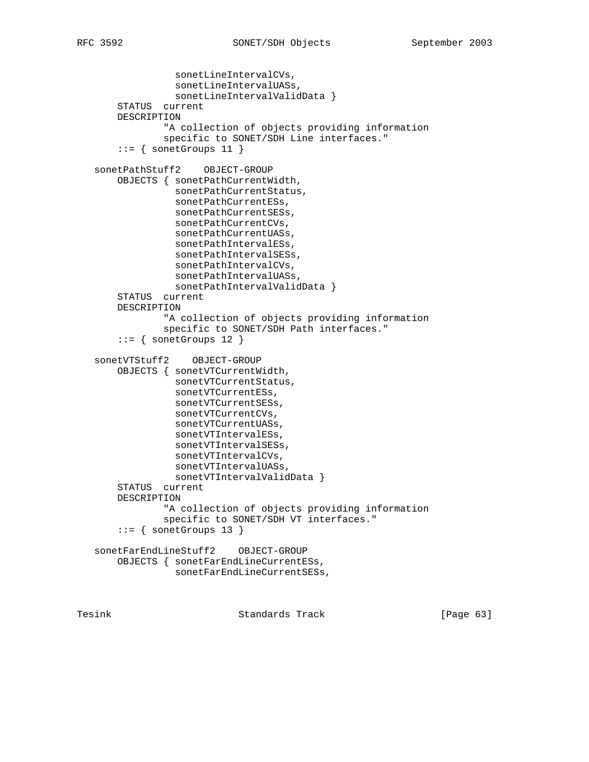```
 sonetLineIntervalCVs,
               sonetLineIntervalUASs,
               sonetLineIntervalValidData }
     STATUS current
     DESCRIPTION
             "A collection of objects providing information
             specific to SONET/SDH Line interfaces."
    ::= { sonetGroups 11 }
 sonetPathStuff2 OBJECT-GROUP
     OBJECTS { sonetPathCurrentWidth,
               sonetPathCurrentStatus,
               sonetPathCurrentESs,
               sonetPathCurrentSESs,
               sonetPathCurrentCVs,
               sonetPathCurrentUASs,
               sonetPathIntervalESs,
               sonetPathIntervalSESs,
               sonetPathIntervalCVs,
               sonetPathIntervalUASs,
              sonetPathIntervalValidData }
     STATUS current
     DESCRIPTION
             "A collection of objects providing information
             specific to SONET/SDH Path interfaces."
    ::= { sonetGroups 12 }
 sonetVTStuff2 OBJECT-GROUP
    OBJECTS { sonetVTCurrentWidth,
               sonetVTCurrentStatus,
               sonetVTCurrentESs,
               sonetVTCurrentSESs,
               sonetVTCurrentCVs,
               sonetVTCurrentUASs,
               sonetVTIntervalESs,
               sonetVTIntervalSESs,
               sonetVTIntervalCVs,
               sonetVTIntervalUASs,
               sonetVTIntervalValidData }
     STATUS current
     DESCRIPTION
             "A collection of objects providing information
             specific to SONET/SDH VT interfaces."
    ::= { sonetGroups 13 }
 sonetFarEndLineStuff2 OBJECT-GROUP
     OBJECTS { sonetFarEndLineCurrentESs,
               sonetFarEndLineCurrentSESs,
```
Tesink **Standards Track** [Page 63]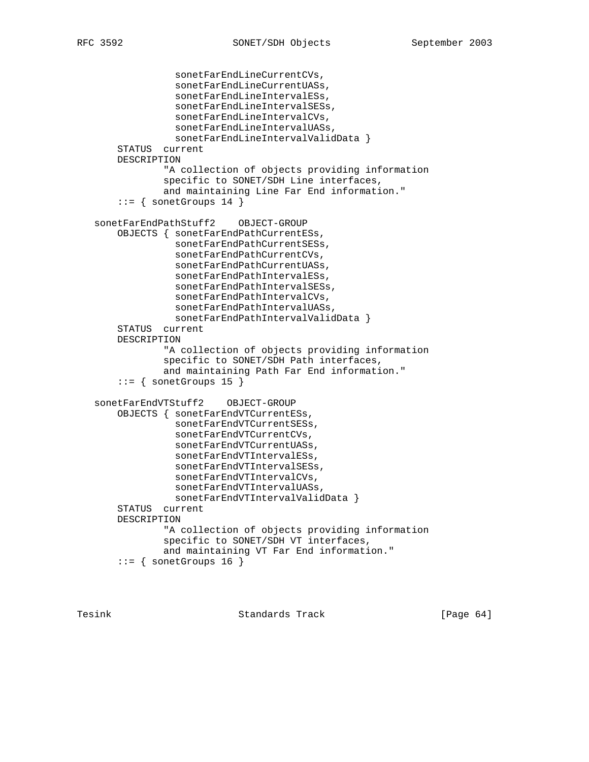```
 sonetFarEndLineCurrentCVs,
               sonetFarEndLineCurrentUASs,
               sonetFarEndLineIntervalESs,
               sonetFarEndLineIntervalSESs,
               sonetFarEndLineIntervalCVs,
               sonetFarEndLineIntervalUASs,
               sonetFarEndLineIntervalValidData }
     STATUS current
     DESCRIPTION
             "A collection of objects providing information
             specific to SONET/SDH Line interfaces,
             and maintaining Line Far End information."
    ::= { sonetGroups 14 }
 sonetFarEndPathStuff2 OBJECT-GROUP
     OBJECTS { sonetFarEndPathCurrentESs,
               sonetFarEndPathCurrentSESs,
               sonetFarEndPathCurrentCVs,
               sonetFarEndPathCurrentUASs,
               sonetFarEndPathIntervalESs,
               sonetFarEndPathIntervalSESs,
               sonetFarEndPathIntervalCVs,
               sonetFarEndPathIntervalUASs,
               sonetFarEndPathIntervalValidData }
     STATUS current
     DESCRIPTION
             "A collection of objects providing information
             specific to SONET/SDH Path interfaces,
             and maintaining Path Far End information."
    ::= { sonetGroups 15 }
 sonetFarEndVTStuff2 OBJECT-GROUP
     OBJECTS { sonetFarEndVTCurrentESs,
               sonetFarEndVTCurrentSESs,
               sonetFarEndVTCurrentCVs,
               sonetFarEndVTCurrentUASs,
               sonetFarEndVTIntervalESs,
               sonetFarEndVTIntervalSESs,
               sonetFarEndVTIntervalCVs,
               sonetFarEndVTIntervalUASs,
               sonetFarEndVTIntervalValidData }
     STATUS current
     DESCRIPTION
             "A collection of objects providing information
             specific to SONET/SDH VT interfaces,
             and maintaining VT Far End information."
    ::= { sonetGroups 16 }
```
Tesink **Standards Track** [Page 64]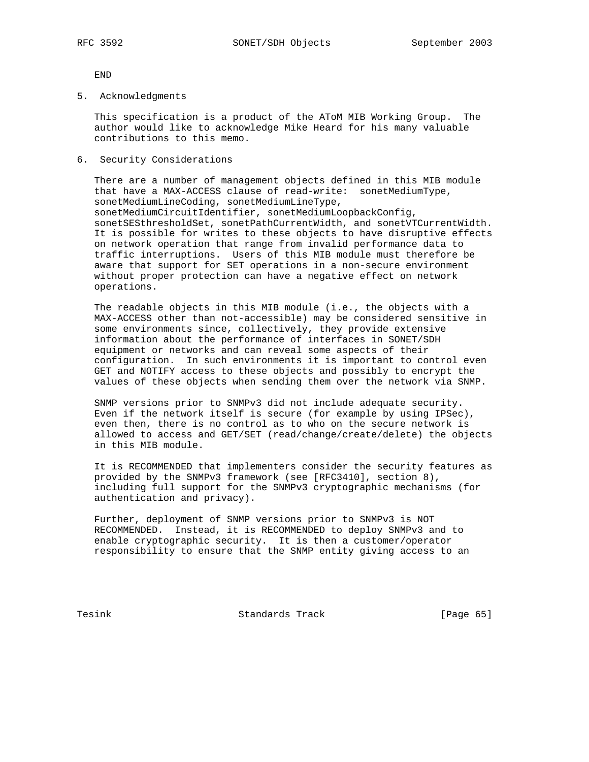END

5. Acknowledgments

 This specification is a product of the AToM MIB Working Group. The author would like to acknowledge Mike Heard for his many valuable contributions to this memo.

6. Security Considerations

 There are a number of management objects defined in this MIB module that have a MAX-ACCESS clause of read-write: sonetMediumType, sonetMediumLineCoding, sonetMediumLineType, sonetMediumCircuitIdentifier, sonetMediumLoopbackConfig, sonetSESthresholdSet, sonetPathCurrentWidth, and sonetVTCurrentWidth. It is possible for writes to these objects to have disruptive effects on network operation that range from invalid performance data to traffic interruptions. Users of this MIB module must therefore be aware that support for SET operations in a non-secure environment without proper protection can have a negative effect on network operations.

 The readable objects in this MIB module (i.e., the objects with a MAX-ACCESS other than not-accessible) may be considered sensitive in some environments since, collectively, they provide extensive information about the performance of interfaces in SONET/SDH equipment or networks and can reveal some aspects of their configuration. In such environments it is important to control even GET and NOTIFY access to these objects and possibly to encrypt the values of these objects when sending them over the network via SNMP.

 SNMP versions prior to SNMPv3 did not include adequate security. Even if the network itself is secure (for example by using IPSec), even then, there is no control as to who on the secure network is allowed to access and GET/SET (read/change/create/delete) the objects in this MIB module.

 It is RECOMMENDED that implementers consider the security features as provided by the SNMPv3 framework (see [RFC3410], section 8), including full support for the SNMPv3 cryptographic mechanisms (for authentication and privacy).

 Further, deployment of SNMP versions prior to SNMPv3 is NOT RECOMMENDED. Instead, it is RECOMMENDED to deploy SNMPv3 and to enable cryptographic security. It is then a customer/operator responsibility to ensure that the SNMP entity giving access to an

Tesink **Standards** Track [Page 65]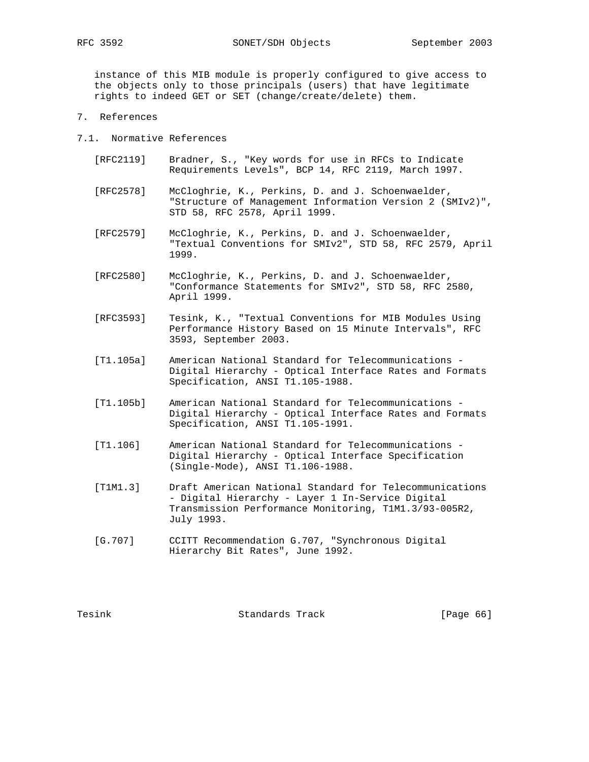instance of this MIB module is properly configured to give access to the objects only to those principals (users) that have legitimate rights to indeed GET or SET (change/create/delete) them.

7. References

7.1. Normative References

- [RFC2119] Bradner, S., "Key words for use in RFCs to Indicate Requirements Levels", BCP 14, RFC 2119, March 1997.
- [RFC2578] McCloghrie, K., Perkins, D. and J. Schoenwaelder, "Structure of Management Information Version 2 (SMIv2)", STD 58, RFC 2578, April 1999.
- [RFC2579] McCloghrie, K., Perkins, D. and J. Schoenwaelder, "Textual Conventions for SMIv2", STD 58, RFC 2579, April 1999.
- [RFC2580] McCloghrie, K., Perkins, D. and J. Schoenwaelder, "Conformance Statements for SMIv2", STD 58, RFC 2580, April 1999.
- [RFC3593] Tesink, K., "Textual Conventions for MIB Modules Using Performance History Based on 15 Minute Intervals", RFC 3593, September 2003.
- [T1.105a] American National Standard for Telecommunications Digital Hierarchy - Optical Interface Rates and Formats Specification, ANSI T1.105-1988.
- [T1.105b] American National Standard for Telecommunications Digital Hierarchy - Optical Interface Rates and Formats Specification, ANSI T1.105-1991.
- [T1.106] American National Standard for Telecommunications Digital Hierarchy - Optical Interface Specification (Single-Mode), ANSI T1.106-1988.
- [T1M1.3] Draft American National Standard for Telecommunications - Digital Hierarchy - Layer 1 In-Service Digital Transmission Performance Monitoring, T1M1.3/93-005R2, July 1993.
- [G.707] CCITT Recommendation G.707, "Synchronous Digital Hierarchy Bit Rates", June 1992.

Tesink **Standards Track** [Page 66]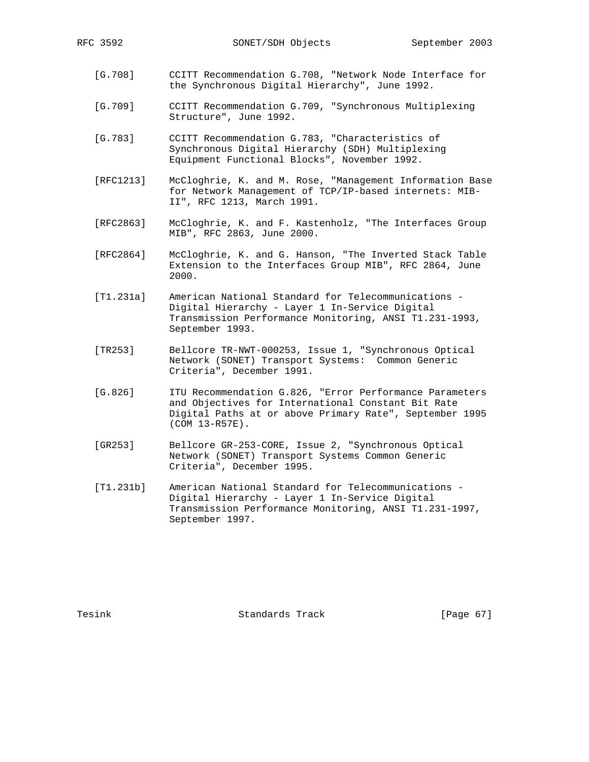- [G.708] CCITT Recommendation G.708, "Network Node Interface for the Synchronous Digital Hierarchy", June 1992.
- [G.709] CCITT Recommendation G.709, "Synchronous Multiplexing Structure", June 1992.
- [G.783] CCITT Recommendation G.783, "Characteristics of Synchronous Digital Hierarchy (SDH) Multiplexing Equipment Functional Blocks", November 1992.
- [RFC1213] McCloghrie, K. and M. Rose, "Management Information Base for Network Management of TCP/IP-based internets: MIB- II", RFC 1213, March 1991.
- [RFC2863] McCloghrie, K. and F. Kastenholz, "The Interfaces Group MIB", RFC 2863, June 2000.
- [RFC2864] McCloghrie, K. and G. Hanson, "The Inverted Stack Table Extension to the Interfaces Group MIB", RFC 2864, June 2000.
- [T1.231a] American National Standard for Telecommunications Digital Hierarchy - Layer 1 In-Service Digital Transmission Performance Monitoring, ANSI T1.231-1993, September 1993.
- [TR253] Bellcore TR-NWT-000253, Issue 1, "Synchronous Optical Network (SONET) Transport Systems: Common Generic Criteria", December 1991.
- [G.826] ITU Recommendation G.826, "Error Performance Parameters and Objectives for International Constant Bit Rate Digital Paths at or above Primary Rate", September 1995 (COM 13-R57E).
- [GR253] Bellcore GR-253-CORE, Issue 2, "Synchronous Optical Network (SONET) Transport Systems Common Generic Criteria", December 1995.
- [T1.231b] American National Standard for Telecommunications Digital Hierarchy - Layer 1 In-Service Digital Transmission Performance Monitoring, ANSI T1.231-1997, September 1997.

Tesink **Standards Track** [Page 67]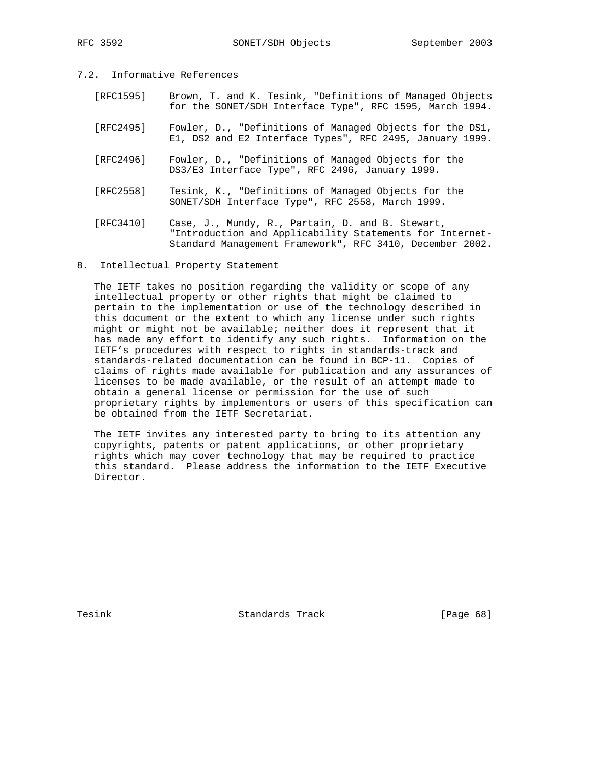## 7.2. Informative References

- [RFC1595] Brown, T. and K. Tesink, "Definitions of Managed Objects for the SONET/SDH Interface Type", RFC 1595, March 1994.
- [RFC2495] Fowler, D., "Definitions of Managed Objects for the DS1, E1, DS2 and E2 Interface Types", RFC 2495, January 1999.
- [RFC2496] Fowler, D., "Definitions of Managed Objects for the DS3/E3 Interface Type", RFC 2496, January 1999.
- [RFC2558] Tesink, K., "Definitions of Managed Objects for the SONET/SDH Interface Type", RFC 2558, March 1999.
- [RFC3410] Case, J., Mundy, R., Partain, D. and B. Stewart, "Introduction and Applicability Statements for Internet- Standard Management Framework", RFC 3410, December 2002.
- 8. Intellectual Property Statement

 The IETF takes no position regarding the validity or scope of any intellectual property or other rights that might be claimed to pertain to the implementation or use of the technology described in this document or the extent to which any license under such rights might or might not be available; neither does it represent that it has made any effort to identify any such rights. Information on the IETF's procedures with respect to rights in standards-track and standards-related documentation can be found in BCP-11. Copies of claims of rights made available for publication and any assurances of licenses to be made available, or the result of an attempt made to obtain a general license or permission for the use of such proprietary rights by implementors or users of this specification can be obtained from the IETF Secretariat.

 The IETF invites any interested party to bring to its attention any copyrights, patents or patent applications, or other proprietary rights which may cover technology that may be required to practice this standard. Please address the information to the IETF Executive Director.

Tesink **Standards Track** [Page 68]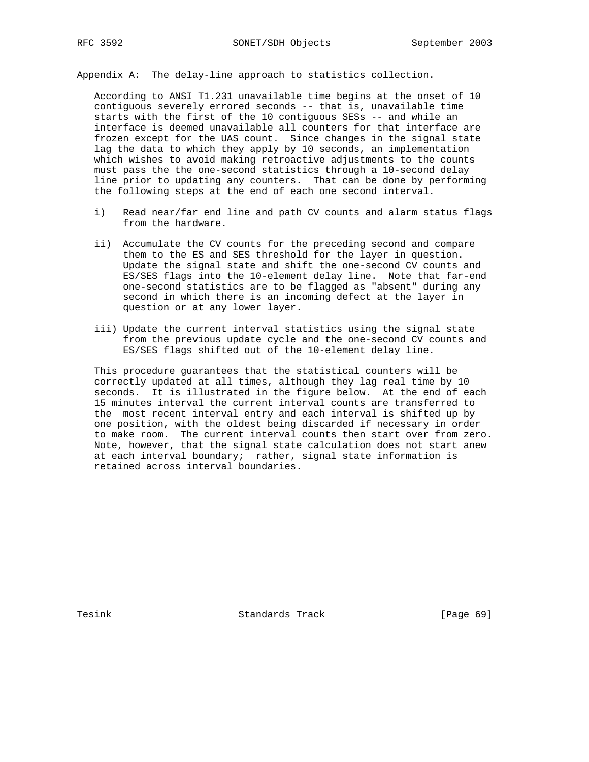Appendix A: The delay-line approach to statistics collection.

 According to ANSI T1.231 unavailable time begins at the onset of 10 contiguous severely errored seconds -- that is, unavailable time starts with the first of the 10 contiguous SESs -- and while an interface is deemed unavailable all counters for that interface are frozen except for the UAS count. Since changes in the signal state lag the data to which they apply by 10 seconds, an implementation which wishes to avoid making retroactive adjustments to the counts must pass the the one-second statistics through a 10-second delay line prior to updating any counters. That can be done by performing the following steps at the end of each one second interval.

- i) Read near/far end line and path CV counts and alarm status flags from the hardware.
- ii) Accumulate the CV counts for the preceding second and compare them to the ES and SES threshold for the layer in question. Update the signal state and shift the one-second CV counts and ES/SES flags into the 10-element delay line. Note that far-end one-second statistics are to be flagged as "absent" during any second in which there is an incoming defect at the layer in question or at any lower layer.
- iii) Update the current interval statistics using the signal state from the previous update cycle and the one-second CV counts and ES/SES flags shifted out of the 10-element delay line.

 This procedure guarantees that the statistical counters will be correctly updated at all times, although they lag real time by 10 seconds. It is illustrated in the figure below. At the end of each 15 minutes interval the current interval counts are transferred to the most recent interval entry and each interval is shifted up by one position, with the oldest being discarded if necessary in order to make room. The current interval counts then start over from zero. Note, however, that the signal state calculation does not start anew at each interval boundary; rather, signal state information is retained across interval boundaries.

Tesink **Standards Track** [Page 69]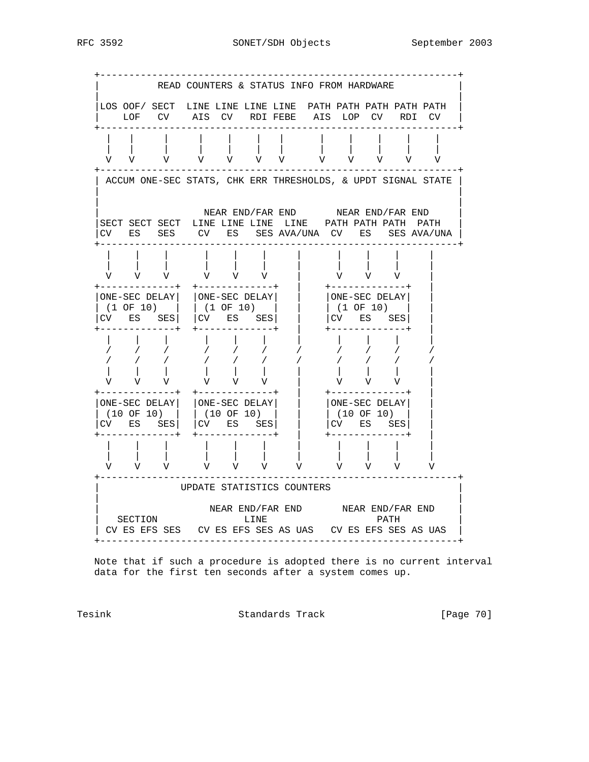RFC 3592 SONET/SDH Objects September 2003



 Note that if such a procedure is adopted there is no current interval data for the first ten seconds after a system comes up.

Tesink Standards Track [Page 70]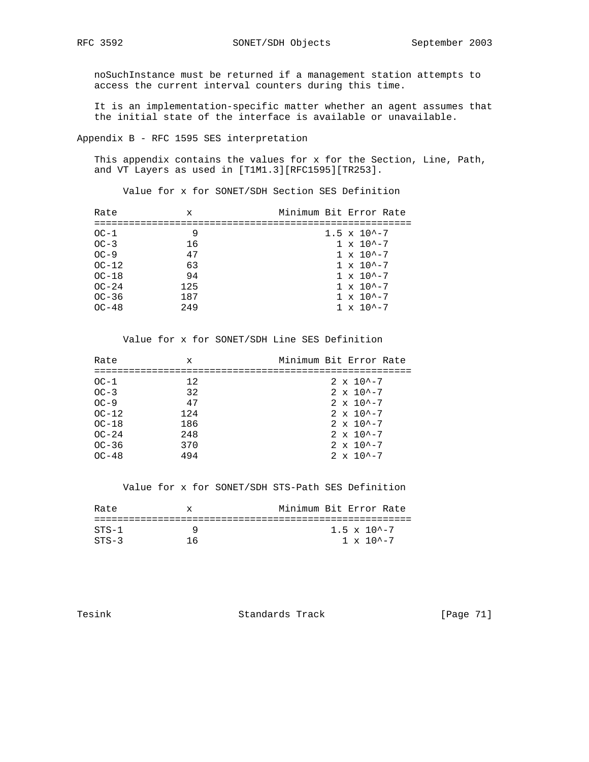noSuchInstance must be returned if a management station attempts to access the current interval counters during this time.

 It is an implementation-specific matter whether an agent assumes that the initial state of the interface is available or unavailable.

Appendix B - RFC 1595 SES interpretation

 This appendix contains the values for x for the Section, Line, Path, and VT Layers as used in [T1M1.3][RFC1595][TR253].

Value for x for SONET/SDH Section SES Definition

| Rate      | x   | Minimum Bit Error Rate  |
|-----------|-----|-------------------------|
|           |     |                         |
| $OC-1$    | 9   | $1.5 \times 10^{2} - 7$ |
| $OC-3$    | 16  | $1 \times 10^{4} - 7$   |
| $OC-9$    | 47  | $1 \times 10^{(-7)}$    |
| $OC-12$   | 63  | $1 \times 10^{4} - 7$   |
| $OC-18$   | 94  | $1 \times 10^{2} - 7$   |
| $OC-24$   | 125 | $1 \times 10^{4} - 7$   |
| $OC - 36$ | 187 | $1 \times 10^{4} - 7$   |
| $OC-48$   | 249 | $1 \times 10^{4} - 7$   |

Value for x for SONET/SDH Line SES Definition

| Rate      | х    | Minimum Bit Error Rate |
|-----------|------|------------------------|
|           |      |                        |
| $OC-1$    | 12.  | $2 \times 10^{4} - 7$  |
| $OC-3$    | 32   | $2 \times 10^{4} - 7$  |
| $OC-9$    | 47   | $2 \times 10^{4} - 7$  |
| $OC-12$   | 124  | $2 \times 10^{(-7)}$   |
| $OC-18$   | 186  | $2 \times 10^{4} - 7$  |
| $OC-24$   | 2.48 | $2 \times 10^{4} - 7$  |
| $OC - 36$ | 370  | $2 \times 10^{4} - 7$  |
| $OC-48$   | 494  | $2 \times 10^{4} - 7$  |
|           |      |                        |

Value for x for SONET/SDH STS-Path SES Definition

| Rate    | X  | Minimum Bit Error Rate          |
|---------|----|---------------------------------|
|         |    |                                 |
| $STS-1$ |    | $1.5 \times 10$ <sup>2</sup> -7 |
| $STS-3$ | 16 | $1 \times 10^{-2} - 7$          |

Tesink **Standards Track** [Page 71]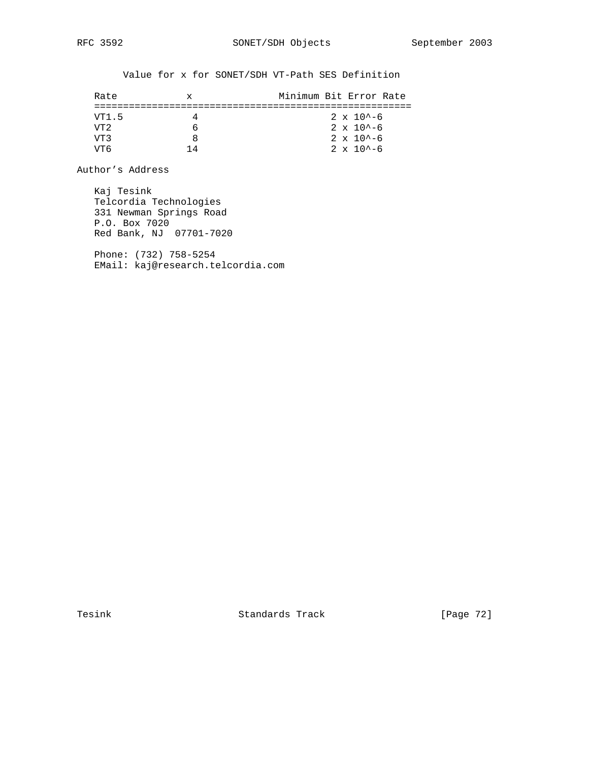Value for x for SONET/SDH VT-Path SES Definition

| Rate        | x.  | Minimum Bit Error Rate |
|-------------|-----|------------------------|
|             |     |                        |
| VT1.5       |     | $2 \times 10^{4} - 6$  |
| VT 2        |     | $2 \times 10^{4} - 6$  |
| 7T R        |     | $2 \times 10^{4} - 6$  |
| <u> የምፍ</u> | 1 4 | $2 \times 10^{4} - 6$  |

Author's Address

 Kaj Tesink Telcordia Technologies 331 Newman Springs Road P.O. Box 7020 Red Bank, NJ 07701-7020

 Phone: (732) 758-5254 EMail: kaj@research.telcordia.com

Tesink **Standards Track** [Page 72]